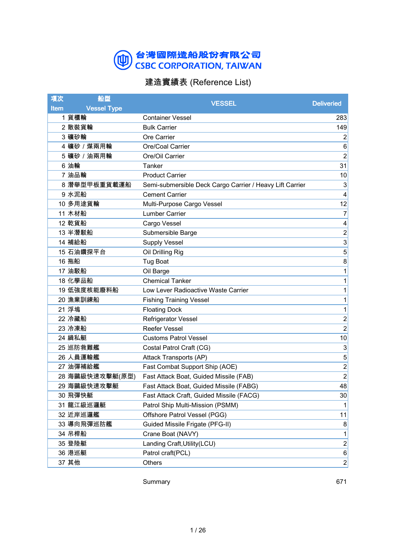#### 台灣國際造船股份有限公司<br>CSBC CORPORATION, TAIWAN 四

#### 建造實績表 (Reference List)

| 項次          | 船型                 | <b>VESSEL</b>                                            | <b>Deliveried</b> |
|-------------|--------------------|----------------------------------------------------------|-------------------|
| <b>Item</b> | <b>Vessel Type</b> |                                                          |                   |
|             | 1 貨櫃輪              | <b>Container Vessel</b>                                  | 283               |
|             | 2 散裝貨輪             | <b>Bulk Carrier</b>                                      | 149               |
|             | 3 礦砂輪              | Ore Carrier                                              | $\overline{2}$    |
|             | 4 礦砂 / 煤兩用輪        | Ore/Coal Carrier                                         | 6                 |
|             | 5 礦砂 / 油兩用輪        | Ore/Oil Carrier                                          | $\overline{2}$    |
|             | 6 油輪               | Tanker                                                   | 31                |
|             | 7 油品輪              | <b>Product Carrier</b>                                   | 10                |
|             | 8 潛舉型甲板重貨載運船       | Semi-submersible Deck Cargo Carrier / Heavy Lift Carrier | 3                 |
|             | 9 水泥船              | <b>Cement Carrier</b>                                    | 4                 |
|             | 10 多用途貨輪           | Multi-Purpose Cargo Vessel                               | 12                |
|             | 11 木材船             | <b>Lumber Carrier</b>                                    | $\overline{7}$    |
|             | 12 乾貨船             | Cargo Vessel                                             | 4                 |
|             | 13 半潛駁船            | Submersible Barge                                        | $\overline{c}$    |
|             | 14 補給船             | <b>Supply Vessel</b>                                     | 3                 |
|             | 15 石油鑽探平台          | Oil Drilling Rig                                         | 5                 |
|             | 16 拖船              | <b>Tug Boat</b>                                          | 8                 |
|             | 17 油駁船             | Oil Barge                                                | 1                 |
|             | 18 化學品船            | <b>Chemical Tanker</b>                                   | 1                 |
|             | 19 低強度核能廢料船        | Low Lever Radioactive Waste Carrier                      | 1                 |
|             | 20 漁業訓練船           | <b>Fishing Training Vessel</b>                           | 1                 |
|             | 21 浮塢              | <b>Floating Dock</b>                                     | 1                 |
|             | 22 冷藏船             | Refrigerator Vessel                                      | $\overline{c}$    |
|             | 23 冷凍船             | <b>Reefer Vessel</b>                                     | $\overline{2}$    |
|             | 24 緝私艇             | <b>Customs Patrol Vessel</b>                             | 10                |
|             | 25 巡防救難艦           | Costal Patrol Craft (CG)                                 | 3                 |
|             | 26 人員運輸艦           | Attack Transports (AP)                                   | 5                 |
|             | 27 油彈補給艦           | Fast Combat Support Ship (AOE)                           | $\overline{2}$    |
|             | 28 海鷗級快速攻擊艇(原型)    | Fast Attack Boat, Guided Missile (FAB)                   | $\overline{2}$    |
|             | 29 海鷗級快速攻擊艇        | Fast Attack Boat, Guided Missile (FABG)                  | 48                |
|             | 30 飛彈快艇            | Fast Attack Craft, Guided Missile (FACG)                 | 30 <sup>1</sup>   |
|             | 31 龍江級巡邏艇          | Patrol Ship Multi-Mission (PSMM)                         | 1                 |
|             | 32 近岸巡邏艦           | Offshore Patrol Vessel (PGG)                             | 11                |
|             | 33 導向飛彈巡防艦         | Guided Missile Frigate (PFG-II)                          | 8                 |
|             | 34 吊桿船             | Crane Boat (NAVY)                                        | 1                 |
|             | 35 登陸艇             | Landing Craft, Utility (LCU)                             | $\overline{2}$    |
|             | 36 港巡艇             | Patrol craft(PCL)                                        | 6                 |
|             | 37 其他              | Others                                                   | $\overline{c}$    |

Summary 671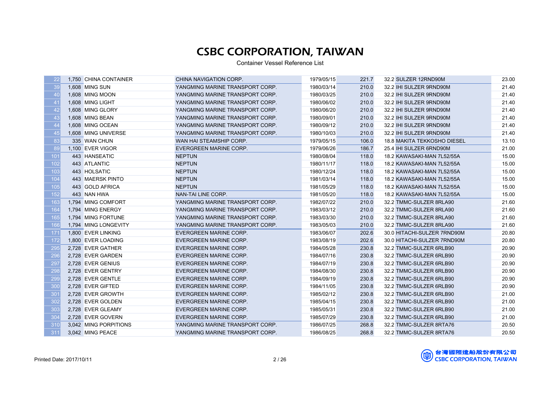| 22  | 1,750 CHINA CONTAINER | CHINA NAVIGATION CORP.          | 1979/05/15 | 221.7 | 32.2 SULZER 12RND90M        | 23.00 |
|-----|-----------------------|---------------------------------|------------|-------|-----------------------------|-------|
| 39  | 1,608 MING SUN        | YANGMING MARINE TRANSPORT CORP. | 1980/03/14 | 210.0 | 32.2 IHI SULZER 9RND90M     | 21.40 |
| 40  | 1,608 MING MOON       | YANGMING MARINE TRANSPORT CORP. | 1980/03/25 | 210.0 | 32.2 IHI SULZER 9RND90M     | 21.40 |
| 41  | 1,608 MING LIGHT      | YANGMING MARINE TRANSPORT CORP. | 1980/06/02 | 210.0 | 32.2 IHI SULZER 9RND90M     | 21.40 |
| 42  | 1,608 MING GLORY      | YANGMING MARINE TRANSPORT CORP. | 1980/06/20 | 210.0 | 32.2 IHI SULZER 9RND90M     | 21.40 |
| 43  | 1,608 MING BEAN       | YANGMING MARINE TRANSPORT CORP. | 1980/09/01 | 210.0 | 32.2 IHI SULZER 9RND90M     | 21.40 |
| 44  | 1,608 MING OCEAN      | YANGMING MARINE TRANSPORT CORP. | 1980/09/12 | 210.0 | 32.2 IHI SULZER 9RND90M     | 21.40 |
| 45  | 1,608 MING UNIVERSE   | YANGMING MARINE TRANSPORT CORP. | 1980/10/03 | 210.0 | 32.2 IHI SULZER 9RND90M     | 21.40 |
| 83  | 335 WAN CHUN          | WAN HAI STEAMSHIP CORP.         | 1979/05/15 | 106.0 | 18.8 MAKITA TEKKOSHO DIESEL | 13.10 |
| 89  | 1.100 EVER VIGOR      | <b>EVERGREEN MARINE CORP.</b>   | 1979/06/26 | 186.7 | 25.4 IHI SULZER 6RND90M     | 21.00 |
| 101 | 443 HANSEATIC         | <b>NEPTUN</b>                   | 1980/08/04 | 118.0 | 18.2 KAWASAKI-MAN 7L52/55A  | 15.00 |
| 102 | 443 ATLANTIC          | <b>NEPTUN</b>                   | 1980/11/17 | 118.0 | 18.2 KAWASAKI-MAN 7L52/55A  | 15.00 |
| 103 | 443 HOLSATIC          | <b>NEPTUN</b>                   | 1980/12/24 | 118.0 | 18.2 KAWASAKI-MAN 7L52/55A  | 15.00 |
| 104 | 443 MAERSK PINTO      | <b>NEPTUN</b>                   | 1981/03/14 | 118.0 | 18.2 KAWASAKI-MAN 7L52/55A  | 15.00 |
| 105 | 443 GOLD AFRICA       | <b>NEPTUN</b>                   | 1981/05/29 | 118.0 | 18.2 KAWASAKI-MAN 7L52/55A  | 15.00 |
| 152 | 443 NAN HWA           | NAN-TAI LINE CORP.              | 1981/05/20 | 118.0 | 18.2 KAWASAKI-MAN 7L52/55A  | 15.00 |
| 163 | 1.794 MING COMFORT    | YANGMING MARINE TRANSPORT CORP. | 1982/07/22 | 210.0 | 32.2 TMMC-SULZER 8RLA90     | 21.60 |
| 164 | 1,794 MING ENERGY     | YANGMING MARINE TRANSPORT CORP. | 1983/03/12 | 210.0 | 32.2 TMMC-SULZER 8RLA90     | 21.60 |
| 165 | 1,794 MING FORTUNE    | YANGMING MARINE TRANSPORT CORP. | 1983/03/30 | 210.0 | 32.2 TMMC-SULZER 8RLA90     | 21.60 |
| 166 | 1.794 MING LONGEVITY  | YANGMING MARINE TRANSPORT CORP. | 1983/05/03 | 210.0 | 32.2 TMMC-SULZER 8RLA90     | 21.60 |
| 171 | 1,800 EVER LINKING    | EVERGREEN MARINE CORP.          | 1983/06/07 | 202.6 | 30.0 HITACHI-SULZER 7RND90M | 20.80 |
| 172 | 1,800 EVER LOADING    | EVERGREEN MARINE CORP.          | 1983/08/19 | 202.6 | 30.0 HITACHI-SULZER 7RND90M | 20.80 |
| 295 | 2,728 EVER GATHER     | EVERGREEN MARINE CORP.          | 1984/05/28 | 230.8 | 32.2 TMMC-SULZER 6RLB90     | 20.90 |
| 296 | 2,728 EVER GARDEN     | EVERGREEN MARINE CORP.          | 1984/07/16 | 230.8 | 32.2 TMMC-SULZER 6RLB90     | 20.90 |
| 297 | 2,728 EVER GENIUS     | EVERGREEN MARINE CORP.          | 1984/07/19 | 230.8 | 32.2 TMMC-SULZER 6RLB90     | 20.90 |
| 298 | 2,728 EVER GENTRY     | EVERGREEN MARINE CORP.          | 1984/08/30 | 230.8 | 32.2 TMMC-SULZER 6RLB90     | 20.90 |
| 299 | 2,728 EVER GENTLE     | EVERGREEN MARINE CORP.          | 1984/09/19 | 230.8 | 32.2 TMMC-SULZER 6RLB90     | 20.90 |
| 300 | 2,728 EVER GIFTED     | EVERGREEN MARINE CORP.          | 1984/11/05 | 230.8 | 32.2 TMMC-SULZER 6RLB90     | 20.90 |
| 301 | 2,728 EVER GROWTH     | EVERGREEN MARINE CORP.          | 1985/02/12 | 230.8 | 32.2 TMMC-SULZER 6RLB90     | 21.00 |
| 302 | 2,728 EVER GOLDEN     | EVERGREEN MARINE CORP.          | 1985/04/15 | 230.8 | 32.2 TMMC-SULZER 6RLB90     | 21.00 |
| 303 | 2,728 EVER GLEAMY     | EVERGREEN MARINE CORP.          | 1985/05/31 | 230.8 | 32.2 TMMC-SULZER 6RLB90     | 21.00 |
| 304 | 2,728 EVER GOVERN     | <b>EVERGREEN MARINE CORP.</b>   | 1985/07/29 | 230.8 | 32.2 TMMC-SULZER 6RLB90     | 21.00 |
| 310 | 3,042 MING PORPITIONS | YANGMING MARINE TRANSPORT CORP. | 1986/07/25 | 268.8 | 32.2 TMMC-SULZER 8RTA76     | 20.50 |
| 311 | 3,042 MING PEACE      | YANGMING MARINE TRANSPORT CORP. | 1986/08/25 | 268.8 | 32.2 TMMC-SULZER 8RTA76     | 20.50 |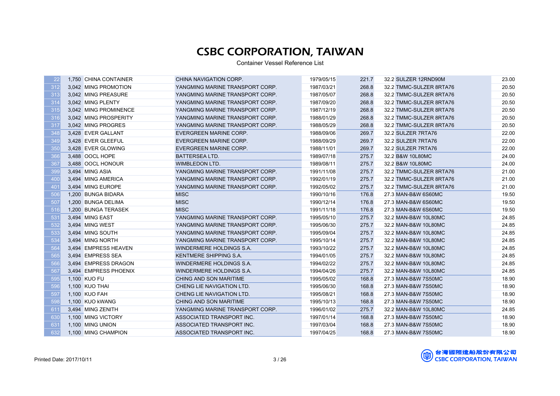| 22  | 1,750 CHINA CONTAINER | CHINA NAVIGATION CORP.          | 1979/05/15 | 221.7 | 32.2 SULZER 12RND90M    | 23.00 |
|-----|-----------------------|---------------------------------|------------|-------|-------------------------|-------|
| 312 | 3,042 MING PROMOTION  | YANGMING MARINE TRANSPORT CORP. | 1987/03/21 | 268.8 | 32.2 TMMC-SULZER 8RTA76 | 20.50 |
| 313 | 3,042 MING PREASURE   | YANGMING MARINE TRANSPORT CORP. | 1987/05/07 | 268.8 | 32.2 TMMC-SULZER 8RTA76 | 20.50 |
| 314 | 3,042 MING PLENTY     | YANGMING MARINE TRANSPORT CORP. | 1987/09/20 | 268.8 | 32.2 TMMC-SULZER 8RTA76 | 20.50 |
| 315 | 3,042 MING PROMINENCE | YANGMING MARINE TRANSPORT CORP. | 1987/12/19 | 268.8 | 32.2 TMMC-SULZER 8RTA76 | 20.50 |
| 316 | 3,042 MING PROSPERITY | YANGMING MARINE TRANSPORT CORP. | 1988/01/29 | 268.8 | 32.2 TMMC-SULZER 8RTA76 | 20.50 |
| 317 | 3,042 MING PROGRES    | YANGMING MARINE TRANSPORT CORP. | 1988/05/29 | 268.8 | 32.2 TMMC-SULZER 8RTA76 | 20.50 |
| 348 | 3,428 EVER GALLANT    | EVERGREEN MARINE CORP.          | 1988/09/06 | 269.7 | 32.2 SULZER 7RTA76      | 22.00 |
| 349 | 3,428 EVER GLEEFUL    | EVERGREEN MARINE CORP.          | 1988/09/29 | 269.7 | 32.2 SULZER 7RTA76      | 22.00 |
| 350 | 3.428 EVER GLOWING    | EVERGREEN MARINE CORP.          | 1988/11/01 | 269.7 | 32.2 SULZER 7RTA76      | 22.00 |
| 366 | 3,488 OOCL HOPE       | <b>BATTERSEA LTD.</b>           | 1989/07/18 | 275.7 | 32.2 B&W 10L80MC        | 24.00 |
| 367 | 3,488 OOCL HONOUR     | <b>WIMBLEDON LTD.</b>           | 1989/08/11 | 275.7 | 32.2 B&W 10L80MC        | 24.00 |
| 399 | 3.494 MING ASIA       | YANGMING MARINE TRANSPORT CORP. | 1991/11/08 | 275.7 | 32.2 TMMC-SULZER 8RTA76 | 21.00 |
| 400 | 3,494 MING AMERICA    | YANGMING MARINE TRANSPORT CORP. | 1992/01/19 | 275.7 | 32.2 TMMC-SULZER 8RTA76 | 21.00 |
| 401 | 3,494 MING EUROPE     | YANGMING MARINE TRANSPORT CORP. | 1992/05/02 | 275.7 | 32.2 TMMC-SULZER 8RTA76 | 21.00 |
| 506 | 1,200 BUNGA BIDARA    | <b>MISC</b>                     | 1990/10/16 | 176.8 | 27.3 MAN-B&W 6S60MC     | 19.50 |
| 507 | 1,200 BUNGA DELIMA    | <b>MISC</b>                     | 1990/12/14 | 176.8 | 27.3 MAN-B&W 6S60MC     | 19.50 |
| 516 | 1,200 BUNGA TERASEK   | <b>MISC</b>                     | 1991/11/18 | 176.8 | 27.3 MAN-B&W 6S60MC     | 19.50 |
| 531 | 3,494 MING EAST       | YANGMING MARINE TRANSPORT CORP. | 1995/05/10 | 275.7 | 32.2 MAN-B&W 10L80MC    | 24.85 |
| 532 | 3,494 MING WEST       | YANGMING MARINE TRANSPORT CORP. | 1995/06/30 | 275.7 | 32.2 MAN-B&W 10L80MC    | 24.85 |
| 533 | 3,494 MING SOUTH      | YANGMING MARINE TRANSPORT CORP. | 1995/09/04 | 275.7 | 32.2 MAN-B&W 10L80MC    | 24.85 |
| 534 | 3,494 MING NORTH      | YANGMING MARINE TRANSPORT CORP. | 1995/10/14 | 275.7 | 32.2 MAN-B&W 10L80MC    | 24.85 |
| 564 | 3,494 EMPRESS HEAVEN  | WINDERMERE HOLDINGS S.A.        | 1993/10/22 | 275.7 | 32.2 MAN-B&W 10L80MC    | 24.85 |
| 565 | 3,494 EMPRESS SEA     | KENTMERE SHIPPING S.A.          | 1994/01/05 | 275.7 | 32.2 MAN-B&W 10L80MC    | 24.85 |
| 566 | 3,494 EMPRESS DRAGON  | WINDERMERE HOLDINGS S.A.        | 1994/02/22 | 275.7 | 32.2 MAN-B&W 10L80MC    | 24.85 |
| 567 | 3,494 EMPRESS PHOENIX | WINDERMERE HOLDINGS S.A.        | 1994/04/26 | 275.7 | 32.2 MAN-B&W 10L80MC    | 24.85 |
| 595 | 1,100 KUO FU          | CHING AND SON MARITIME          | 1995/05/02 | 168.8 | 27.3 MAN-B&W 7S50MC     | 18.90 |
| 596 | 1,100 KUO THAI        | CHENG LIE NAVIGATION LTD.       | 1995/06/30 | 168.8 | 27.3 MAN-B&W 7S50MC     | 18.90 |
| 597 | 1,100 KUO FAH         | CHENG LIE NAVIGATION LTD.       | 1995/08/21 | 168.8 | 27.3 MAN-B&W 7S50MC     | 18.90 |
| 598 | 1,100 KUO kWANG       | CHING AND SON MARITIME          | 1995/10/13 | 168.8 | 27.3 MAN-B&W 7S50MC     | 18.90 |
| 611 | 3,494 MING ZENITH     | YANGMING MARINE TRANSPORT CORP. | 1996/01/02 | 275.7 | 32.2 MAN-B&W 10L80MC    | 24.85 |
| 630 | 1,100 MING VICTORY    | ASSOCIATED TRANSPORT INC.       | 1997/01/14 | 168.8 | 27.3 MAN-B&W 7S50MC     | 18.90 |
| 631 | 1,100 MING UNION      | ASSOCIATED TRANSPORT INC.       | 1997/03/04 | 168.8 | 27.3 MAN-B&W 7S50MC     | 18.90 |
| 632 | 1,100 MING CHAMPION   | ASSOCIATED TRANSPORT INC.       | 1997/04/25 | 168.8 | 27.3 MAN-B&W 7S50MC     | 18.90 |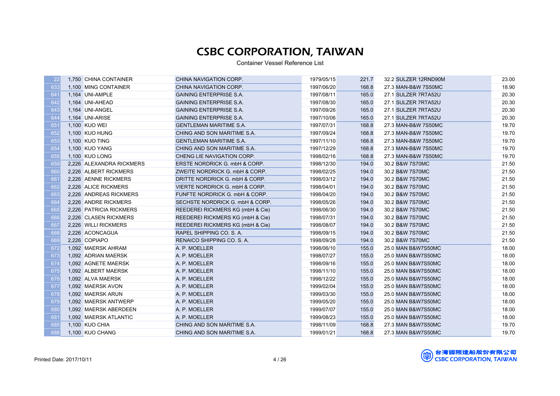| 22         | 1,750 CHINA CONTAINER    | CHINA NAVIGATION CORP.           | 1979/05/15 | 221.7 | 32.2 SULZER 12RND90M | 23.00 |
|------------|--------------------------|----------------------------------|------------|-------|----------------------|-------|
| 633        | 1,100 MING CONTAINER     | CHINA NAVIGATION CORP.           | 1997/06/20 | 168.8 | 27.3 MAN-B&W 7S50MC  | 18.90 |
| 641        | 1,164 UNI-AMPLE          | <b>GAINING ENTERPRISE S.A.</b>   | 1997/08/11 | 165.0 | 27.1 SULZER 7RTA52U  | 20.30 |
| 642        | 1,164 UNI-AHEAD          | <b>GAINING ENTERPRISE S.A.</b>   | 1997/08/30 | 165.0 | 27.1 SULZER 7RTA52U  | 20.30 |
| 643        | 1,164 UNI-ANGEL          | <b>GAINING ENTERPRISE S.A.</b>   | 1997/09/26 | 165.0 | 27.1 SULZER 7RTA52U  | 20.30 |
| 644        | 1,164 UNI-ARISE          | <b>GAINING ENTERPRISE S.A.</b>   | 1997/10/06 | 165.0 | 27.1 SULZER 7RTA52U  | 20.30 |
| 651        | 1,100 KUO WEI            | <b>GENTLEMAN MARITIME S.A.</b>   | 1997/07/31 | 168.8 | 27.3 MAN-B&W 7S50MC  | 19.70 |
| 652        | 1,100 KUO HUNG           | CHING AND SON MARITIME S.A.      | 1997/09/24 | 168.8 | 27.3 MAN-B&W 7S50MC  | 19.70 |
| 653        | 1,100 KUO TING           | <b>GENTLEMAN MARITIME S.A.</b>   | 1997/11/10 | 168.8 | 27.3 MAN-B&W 7S50MC  | 19.70 |
| 654        | 1.100 KUO YANG           | CHING AND SON MARITIME S.A.      | 1997/12/29 | 168.8 | 27.3 MAN-B&W 7S50MC  | 19.70 |
| 655        | 1,100 KUO LONG           | CHENG LIE NAVIGATION CORP.       | 1998/02/16 | 168.8 | 27.3 MAN-B&W 7S50MC  | 19.70 |
| <b>659</b> | 2,226 ALEXANDRA RICKMERS | ERSTE NORDRICK G. mbH & CORP.    | 1998/12/30 | 194.0 | 30.2 B&W 7S70MC      | 21.50 |
| 660        | 2.226 ALBERT RICKMERS    | ZWEITE NORDRICK G. mbH & CORP.   | 1998/02/25 | 194.0 | 30.2 B&W 7S70MC      | 21.50 |
| 661        | 2,226 AENNE RICKMERS     | DRITTE NORDRICK G. mbH & CORP.   | 1998/03/12 | 194.0 | 30.2 B&W 7S70MC      | 21.50 |
| 662        | 2,226 ALICE RICKMERS     | VIERTE NORDRICK G. mbH & CORP.   | 1998/04/01 | 194.0 | 30.2 B&W 7S70MC      | 21.50 |
| 663        | 2,226 ANDREAS RICKMERS   | FUNFTE NORDRICK G. mbH & CORP.   | 1998/04/20 | 194.0 | 30.2 B&W 7S70MC      | 21.50 |
| 664        | 2,226 ANDRE RICKMERS     | SECHSTE NORDRICK G. mbH & CORP.  | 1998/05/26 | 194.0 | 30.2 B&W 7S70MC      | 21.50 |
| 665        | 2,226 PATRICIA RICKMERS  | REEDEREI RICKMERS KG (mbH & Cie) | 1998/06/30 | 194.0 | 30.2 B&W 7S70MC      | 21.50 |
| 666        | 2,226 CLASEN RICKMERS    | REEDEREI RICKMERS KG (mbH & Cie) | 1998/07/31 | 194.0 | 30.2 B&W 7S70MC      | 21.50 |
| 667        | 2,226 WILLI RICKMERS     | REEDEREI RICKMERS KG (mbH & Cie) | 1998/08/07 | 194.0 | 30.2 B&W 7S70MC      | 21.50 |
| 668        | 2,226 ACONCAGUA          | RAPEL SHIPPING CO. S. A.         | 1998/09/15 | 194.0 | 30.2 B&W 7S70MC      | 21.50 |
| 669        | 2,226 COPIAPO            | RENAICO SHIPPING CO. S. A.       | 1998/09/28 | 194.0 | 30.2 B&W 7S70MC      | 21.50 |
| 672        | 1,092 MAERSK AHRAM       | A. P. MOELLER                    | 1998/06/10 | 155.0 | 25.0 MAN B&W7S50MC   | 18.00 |
| 673        | 1,092 ADRIAN MAERSK      | A. P. MOELLER                    | 1998/07/27 | 155.0 | 25.0 MAN B&W7S50MC   | 18.00 |
| 674        | 1,092 AGNETE MAERSK      | A. P. MOELLER                    | 1998/09/16 | 155.0 | 25.0 MAN B&W7S50MC   | 18.00 |
| 675        | 1,092 ALBERT MAERSK      | A. P. MOELLER                    | 1998/11/10 | 155.0 | 25.0 MAN B&W7S50MC   | 18.00 |
| 676        | 1,092 ALVA MAERSK        | A. P. MOELLER                    | 1998/12/22 | 155.0 | 25.0 MAN B&W7S50MC   | 18.00 |
| 677        | 1,092 MAERSK AVON        | A. P. MOELLER                    | 1999/02/04 | 155.0 | 25.0 MAN B&W7S50MC   | 18.00 |
| 678        | 1,092 MAERSK ARUN        | A. P. MOELLER                    | 1999/03/30 | 155.0 | 25.0 MAN B&W7S50MC   | 18.00 |
| 679        | 1,092 MAERSK ANTWERP     | A. P. MOELLER                    | 1999/05/20 | 155.0 | 25.0 MAN B&W7S50MC   | 18.00 |
| 680        | 1,092 MAERSK ABERDEEN    | A. P. MOELLER                    | 1999/07/07 | 155.0 | 25.0 MAN B&W7S50MC   | 18.00 |
| 681        | 1,092 MAERSK ATLANTIC    | A. P. MOELLER                    | 1999/08/23 | 155.0 | 25.0 MAN B&W7S50MC   | 18.00 |
| 685        | 1,100 KUO CHIA           | CHING AND SON MARITIME S.A.      | 1998/11/09 | 168.8 | 27.3 MAN B&W7S50MC   | 19.70 |
| 686        | 1,100 KUO CHANG          | CHING AND SON MARITIME S.A.      | 1999/01/21 | 168.8 | 27.3 MAN B&W7S50MC   | 19.70 |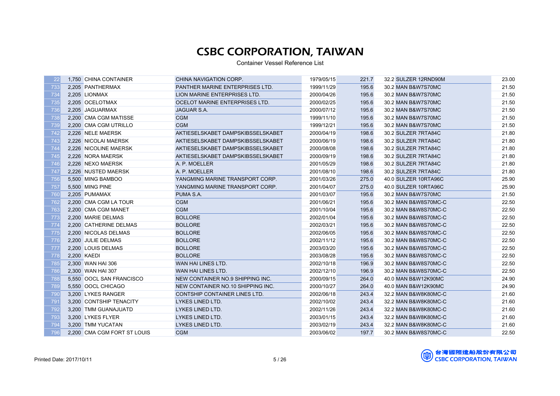| -22 | 1,750 CHINA CONTAINER       | CHINA NAVIGATION CORP.                 | 1979/05/15 | 221.7 | 32.2 SULZER 12RND90M | 23.00 |
|-----|-----------------------------|----------------------------------------|------------|-------|----------------------|-------|
| 733 | 2,205 PANTHERMAX            | <b>PANTHER MARINE ENTERPRISES LTD.</b> | 1999/11/29 | 195.6 | 30.2 MAN B&W7S70MC   | 21.50 |
| 734 | 2,205 LIONMAX               | LION MARINE ENTERPRISES LTD.           | 2000/04/26 | 195.6 | 30.2 MAN B&W7S70MC   | 21.50 |
| 735 | 2,205 OCELOTMAX             | OCELOT MARINE ENTERPRISES LTD.         | 2000/02/25 | 195.6 | 30.2 MAN B&W7S70MC   | 21.50 |
| 736 | 2,205 JAGUARMAX             | JAGUAR S.A.                            | 2000/07/12 | 195.6 | 30.2 MAN B&W7S70MC   | 21.50 |
| 738 | 2,200 CMA CGM MATISSE       | <b>CGM</b>                             | 1999/11/10 | 195.6 | 30.2 MAN B&W7S70MC   | 21.50 |
| 739 | 2,200 CMA CGM UTRILLO       | <b>CGM</b>                             | 1999/12/21 | 195.6 | 30.2 MAN B&W7S70MC   | 21.50 |
| 742 | 2,226 NELE MAERSK           | AKTIESELSKABET DAMPSKIBSSELSKABET      | 2000/04/19 | 198.6 | 30.2 SULZER 7RTA84C  | 21.80 |
| 743 | 2.226 NICOLAI MAERSK        | AKTIESELSKABET DAMPSKIBSSELSKABET      | 2000/06/19 | 198.6 | 30.2 SULZER 7RTA84C  | 21.80 |
| 744 | 2.226 NICOLINE MAERSK       | AKTIESELSKABET DAMPSKIBSSELSKABET      | 2000/08/08 | 198.6 | 30.2 SULZER 7RTA84C  | 21.80 |
| 745 | 2,226 NORA MAERSK           | AKTIESELSKABET DAMPSKIBSSELSKABET      | 2000/09/19 | 198.6 | 30.2 SULZER 7RTA84C  | 21.80 |
| 746 | 2,226 NEXO MAERSK           | A. P. MOELLER                          | 2001/05/29 | 198.6 | 30.2 SULZER 7RTA84C  | 21.80 |
| 747 | 2,226 NUSTED MAERSK         | A. P. MOELLER                          | 2001/08/10 | 198.6 | 30.2 SULZER 7RTA84C  | 21.80 |
| 756 | 5,500 MING BAMBOO           | YANGMING MARINE TRANSPORT CORP.        | 2001/03/26 | 275.0 | 40.0 SULZER 10RTA96C | 25.90 |
| 757 | 5,500 MING PINE             | YANGMING MARINE TRANSPORT CORP.        | 2001/04/07 | 275.0 | 40.0 SULZER 10RTA96C | 25.90 |
| 760 | 2,205 PUMAMAX               | PUMA S.A.                              | 2001/03/07 | 195.6 | 30.2 MAN B&W7S70MC   | 21.50 |
| 762 | 2,200 CMA CGM LA TOUR       | <b>CGM</b>                             | 2001/06/21 | 195.6 | 30.2 MAN B&W8S70MC-C | 22.50 |
| 763 | 2,200 CMA CGM MANET         | <b>CGM</b>                             | 2001/10/04 | 195.6 | 30.2 MAN B&W8S70MC-C | 22.50 |
| 773 | 2,200 MARIE DELMAS          | <b>BOLLORE</b>                         | 2002/01/04 | 195.6 | 30.2 MAN B&W8S70MC-C | 22.50 |
| 774 | 2.200 CATHERINE DELMAS      | <b>BOLLORE</b>                         | 2002/03/21 | 195.6 | 30.2 MAN B&W8S70MC-C | 22.50 |
| 775 | 2,200 NICOLAS DELMAS        | <b>BOLLORE</b>                         | 2002/06/05 | 195.6 | 30.2 MAN B&W8S70MC-C | 22.50 |
| 776 | 2,200 JULIE DELMAS          | <b>BOLLORE</b>                         | 2002/11/12 | 195.6 | 30.2 MAN B&W8S70MC-C | 22.50 |
| 777 | 2,200 LOUIS DELMAS          | <b>BOLLORE</b>                         | 2003/03/20 | 195.6 | 30.2 MAN B&W8S70MC-C | 22.50 |
| 778 | 2,200 KAEDI                 | <b>BOLLORE</b>                         | 2003/08/28 | 195.6 | 30.2 MAN B&W8S70MC-C | 22.50 |
| 785 | 2,300 WAN HAI 306           | WAN HAI LINES LTD.                     | 2002/10/18 | 196.9 | 30.2 MAN B&W8S70MC-C | 22.50 |
| 786 | 2,300 WAN HAI 307           | WAN HAI LINES LTD.                     | 2002/12/10 | 196.9 | 30.2 MAN B&W8S70MC-C | 22.50 |
| 788 | 5,550 OOCL SAN FRANCISCO    | NEW CONTAINER NO.9 SHIPPING INC.       | 2000/09/15 | 264.0 | 40.0 MAN B&W12K90MC  | 24.90 |
| 789 | 5,550 OOCL CHICAGO          | NEW CONTAINER NO.10 SHIPPING INC.      | 2000/10/27 | 264.0 | 40.0 MAN B&W12K90MC  | 24.90 |
| 790 | 3,200 LYKES RANGER          | CONTSHIP CONTAINER LINES LTD.          | 2002/06/18 | 243.4 | 32.2 MAN B&W8K80MC-C | 21.60 |
| 791 | 3,200 CONTSHIP TENACITY     | LYKES LINED LTD.                       | 2002/10/02 | 243.4 | 32.2 MAN B&W8K80MC-C | 21.60 |
| 792 | 3,200 TMM GUANAJUATD        | LYKES LINED LTD.                       | 2002/11/26 | 243.4 | 32.2 MAN B&W8K80MC-C | 21.60 |
| 793 | 3,200 LYKES FLYER           | LYKES LINED LTD.                       | 2003/01/15 | 243.4 | 32.2 MAN B&W8K80MC-C | 21.60 |
| 794 | 3,200 TMM YUCATAN           | LYKES LINED LTD.                       | 2003/02/19 | 243.4 | 32.2 MAN B&W8K80MC-C | 21.60 |
| 796 | 2,200 CMA CGM FORT ST LOUIS | <b>CGM</b>                             | 2003/06/02 | 197.7 | 30.2 MAN B&W8S70MC-C | 22.50 |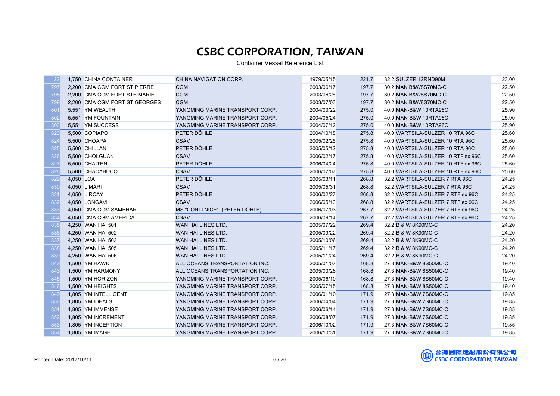| 22  |           | 1,750 CHINA CONTAINER         | CHINA NAVIGATION CORP.          | 1979/05/15 | 221.7 | 32.2 SULZER 12RND90M               | 23.00 |
|-----|-----------|-------------------------------|---------------------------------|------------|-------|------------------------------------|-------|
| 797 |           | 2,200 CMA CGM FORT ST PIERRE  | <b>CGM</b>                      | 2003/06/17 | 197.7 | 30.2 MAN B&W8S70MC-C               | 22.50 |
| 798 |           | 2,200 CMA CGM FORT STE MARIE  | <b>CGM</b>                      | 2003/06/26 | 197.7 | 30.2 MAN B&W8S70MC-C               | 22.50 |
| 799 |           | 2,200 CMA CGM FORT ST GEORGES | <b>CGM</b>                      | 2003/07/03 | 197.7 | 30.2 MAN B&W8S70MC-C               | 22.50 |
| 801 |           | 5,551 YM WEALTH               | YANGMING MARINE TRANSPORT CORP. | 2004/03/22 | 275.0 | 40.0 MAN-B&W 10RTA96C              | 25.90 |
| 802 |           | 5,551 YM FOUNTAIN             | YANGMING MARINE TRANSPORT CORP. | 2004/05/24 | 275.0 | 40.0 MAN-B&W 10RTA96C              | 25.90 |
| 803 |           | 5,551 YM SUCCESS              | YANGMING MARINE TRANSPORT CORP. | 2004/07/12 | 275.0 | 40.0 MAN-B&W 10RTA96C              | 25.90 |
| 823 |           | 5,500 COPIAPO                 | PETER DÖHLE                     | 2004/10/18 | 275.8 | 40.0 WARTSILA-SULZER 10 RTA 96C    | 25.60 |
| 824 |           | 5,500 CHOAPA                  | <b>CSAV</b>                     | 2005/02/25 | 275.8 | 40.0 WARTSILA-SULZER 10 RTA 96C    | 25.60 |
| 825 |           | 5.500 CHILLAN                 | PETER DÖHLE                     | 2005/05/12 | 275.8 | 40.0 WARTSILA-SULZER 10 RTA 96C    | 25.60 |
| 826 |           | 5,500 CHOLGUAN                | <b>CSAV</b>                     | 2006/02/17 | 275.8 | 40.0 WARTSILA-SULZER 10 RTFlex 96C | 25.60 |
| 827 |           | 5,500 CHAITEN                 | PETER DÖHLE                     | 2006/04/24 | 275.8 | 40.0 WARTSILA-SULZER 10 RTFlex 96C | 25.60 |
| 828 |           | 5,500 CHACABUCO               | CSAV                            | 2006/07/07 | 275.8 | 40.0 WARTSILA-SULZER 10 RTFlex 96C | 25.60 |
| 829 | 4,050 LOA |                               | PETER DÖHLE                     | 2005/03/11 | 268.8 | 32.2 WARTSILA-SULZER 7 RTA 96C     | 24.25 |
| 830 |           | 4,050 LIMARI                  | <b>CSAV</b>                     | 2005/05/31 | 268.8 | 32.2 WARTSILA-SULZER 7 RTA 96C     | 24.25 |
| 831 |           | 4,050 LIRCAY                  | PETER DÖHLE                     | 2006/02/27 | 268.8 | 32.2 WARTSILA-SULZER 7 RTFlex 96C  | 24.25 |
| 832 |           | 4,050 LONGAVI                 | <b>CSAV</b>                     | 2006/05/10 | 268.8 | 32.2 WARTSILA-SULZER 7 RTFlex 96C  | 24.25 |
| 833 |           | 4,050 CMA CGM SAMBHAR         | MS "CONTI NICE" (PETER DÖHLE)   | 2006/07/03 | 267.7 | 32.2 WARTSILA-SULZER 7 RTFlex 96C  | 24.25 |
| 834 |           | 4,050 CMA CGM AMERICA         | <b>CSAV</b>                     | 2006/09/14 | 267.7 | 32.2 WARTSILA-SULZER 7 RTFlex 96C  | 24.25 |
| 835 |           | 4,250 WAN HAI 501             | WAN HAI LINES LTD.              | 2005/07/22 | 269.4 | 32.2 B & W 8K90MC-C                | 24.20 |
| 836 |           | 4,250 WAN HAI 502             | WAN HAI LINES LTD.              | 2005/09/22 | 269.4 | 32.2 B & W 8K90MC-C                | 24.20 |
| 837 |           | 4,250 WAN HAI 503             | WAN HAI LINES LTD.              | 2005/10/06 | 269.4 | 32.2 B & W 8K90MC-C                | 24.20 |
| 838 |           | 4,250 WAN HAI 505             | WAN HAI LINES LTD.              | 2005/11/17 | 269.4 | 32.2 B & W 8K90MC-C                | 24.20 |
| 839 |           | 4,250 WAN HAI 506             | WAN HAI LINES LTD.              | 2005/11/24 | 269.4 | 32.2 B & W 8K90MC-C                | 24.20 |
| 842 |           | 1,500 YM HAWK                 | ALL OCEANS TRANSPORTATION INC.  | 2005/01/07 | 168.8 | 27.3 MAN-B&W 8S50MC-C              | 19.40 |
| 843 |           | 1,500 YM HARMONY              | ALL OCEANS TRANSPORTATION INC.  | 2005/03/28 | 168.8 | 27.3 MAN-B&W 8S50MC-C              | 19.40 |
| 845 |           | 1,500 YM HORIZON              | YANGMING MARINE TRANSPORT CORP. | 2005/06/10 | 168.8 | 27.3 MAN-B&W 8S50MC-C              | 19.40 |
| 846 |           | 1.500 YM HEIGHTS              | YANGMING MARINE TRANSPORT CORP. | 2005/07/15 | 168.8 | 27.3 MAN-B&W 8S50MC-C              | 19.40 |
| 849 |           | 1.805 YM INTELLIGENT          | YANGMING MARINE TRANSPORT CORP. | 2006/01/10 | 171.9 | 27.3 MAN-B&W 7S60MC-C              | 19.85 |
| 850 |           | 1,805 YM IDEALS               | YANGMING MARINE TRANSPORT CORP. | 2006/04/04 | 171.9 | 27.3 MAN-B&W 7S60MC-C              | 19.85 |
| 851 |           | 1,805 YM IMMENSE              | YANGMING MARINE TRANSPORT CORP. | 2006/06/14 | 171.9 | 27.3 MAN-B&W 7S60MC-C              | 19.85 |
| 852 |           | 1,805 YM INCREMENT            | YANGMING MARINE TRANSPORT CORP. | 2006/08/07 | 171.9 | 27.3 MAN-B&W 7S60MC-C              | 19.85 |
| 853 |           | 1,805 YM INCEPTION            | YANGMING MARINE TRANSPORT CORP. | 2006/10/02 | 171.9 | 27.3 MAN-B&W 7S60MC-C              | 19.85 |
| 854 |           | 1,805 YM IMAGE                | YANGMING MARINE TRANSPORT CORP. | 2006/10/31 | 171.9 | 27.3 MAN-B&W 7S60MC-C              | 19.85 |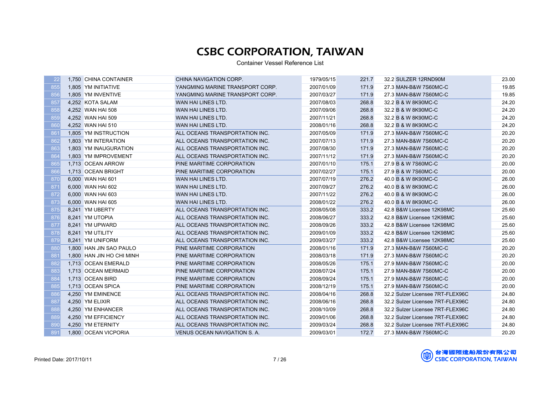| 22              | 1,750 CHINA CONTAINER     | CHINA NAVIGATION CORP.          | 1979/05/15 | 221.7 | 32.2 SULZER 12RND90M             | 23.00 |
|-----------------|---------------------------|---------------------------------|------------|-------|----------------------------------|-------|
| 855             | 1.805 YM INITIATIVE       | YANGMING MARINE TRANSPORT CORP. | 2007/01/09 | 171.9 | 27.3 MAN-B&W 7S60MC-C            | 19.85 |
| 856             | 1,805 YM INVENTIVE        | YANGMING MARINE TRANSPORT CORP. | 2007/03/27 | 171.9 | 27.3 MAN-B&W 7S60MC-C            | 19.85 |
| 857             | 4,252 KOTA SALAM          | WAN HAI LINES LTD.              | 2007/08/03 | 268.8 | 32.2 B & W 8K90MC-C              | 24.20 |
| 858             | 4,252 WAN HAI 508         | WAN HAI LINES LTD.              | 2007/09/06 | 268.8 | 32.2 B & W 8K90MC-C              | 24.20 |
| 859             | 4,252 WAN HAI 509         | WAN HAI LINES LTD.              | 2007/11/21 | 268.8 | 32.2 B & W 8K90MC-C              | 24.20 |
| 860             | 4,252 WAN HAI 510         | WAN HAI LINES LTD.              | 2008/01/16 | 268.8 | 32.2 B & W 8K90MC-C              | 24.20 |
| 86 <sup>′</sup> | 1,805 YM INSTRUCTION      | ALL OCEANS TRANSPORTATION INC.  | 2007/05/09 | 171.9 | 27.3 MAN-B&W 7S60MC-C            | 20.20 |
| 862             | 1,803 YM INTERATION       | ALL OCEANS TRANSPORTATION INC.  | 2007/07/13 | 171.9 | 27.3 MAN-B&W 7S60MC-C            | 20.20 |
| 863             | 1.803 YM INAUGURATION     | ALL OCEANS TRANSPORTATION INC.  | 2007/08/30 | 171.9 | 27.3 MAN-B&W 7S60MC-C            | 20.20 |
| 864             | 1,803 YM IMPROVEMENT      | ALL OCEANS TRANSPORTATION INC.  | 2007/11/12 | 171.9 | 27.3 MAN-B&W 7S60MC-C            | 20.20 |
| 865             | 1,713 OCEAN ARROW         | PINE MARITIME CORPORATION       | 2007/01/10 | 175.1 | 27.9 B & W 7S60MC-C              | 20.00 |
| 866             | 1,713 OCEAN BRIGHT        | PINE MARITIME CORPORATION       | 2007/02/27 | 175.1 | 27.9 B & W 7S60MC-C              | 20.00 |
| 870             | 6,000 WAN HAI 601         | WAN HAI LINES LTD.              | 2007/07/19 | 276.2 | 40.0 B & W 8K90MC-C              | 26.00 |
| 871             | 6,000 WAN HAI 602         | WAN HAI LINES LTD.              | 2007/09/27 | 276.2 | 40.0 B & W 8K90MC-C              | 26.00 |
| 872             | 6,000 WAN HAI 603         | WAN HAI LINES LTD.              | 2007/11/22 | 276.2 | 40.0 B & W 8K90MC-C              | 26.00 |
| 873             | 6,000 WAN HAI 605         | WAN HAI LINES LTD.              | 2008/01/22 | 276.2 | 40.0 B & W 8K90MC-C              | 26.00 |
| 875             | 8,241 YM UBERTY           | ALL OCEANS TRANSPORTATION INC.  | 2008/05/08 | 333.2 | 42.8 B&W Licensee 12K98MC        | 25.60 |
| 876             | 8,241 YM UTOPIA           | ALL OCEANS TRANSPORTATION INC.  | 2008/06/27 | 333.2 | 42.8 B&W Licensee 12K98MC        | 25.60 |
| 877             | 8,241 YM UPWARD           | ALL OCEANS TRANSPORTATION INC.  | 2008/09/26 | 333.2 | 42.8 B&W Licensee 12K98MC        | 25.60 |
| 878             | 8,241 YM UTILITY          | ALL OCEANS TRANSPORTATION INC.  | 2009/01/09 | 333.2 | 42.8 B&W Licensee 12K98MC        | 25.60 |
| 879             | 8,241 YM UNIFORM          | ALL OCEANS TRANSPORTATION INC.  | 2009/03/27 | 333.2 | 42.8 B&W Licensee 12K98MC        | 25.60 |
| 880             | 1,800 HAN JIN SAO PAULO   | PINE MARITIME CORPORATION       | 2008/01/16 | 171.9 | 27.3 MAN-B&W 7S60MC-C            | 20.20 |
| 881             | 1,800 HAN JIN HO CHI MINH | PINE MARITIME CORPORATION       | 2008/03/18 | 171.9 | 27.3 MAN-B&W 7S60MC-C            | 20.20 |
| 882             | 1,713 OCEAN EMERALD       | PINE MARITIME CORPORATION       | 2008/05/26 | 175.1 | 27.9 MAN-B&W 7S60MC-C            | 20.00 |
| 883             | 1,713 OCEAN MERMAID       | PINE MARITIME CORPORATION       | 2008/07/24 | 175.1 | 27.9 MAN-B&W 7S60MC-C            | 20.00 |
| 884             | 1,713 OCEAN BIRD          | PINE MARITIME CORPORATION       | 2008/09/24 | 175.1 | 27.9 MAN-B&W 7S60MC-C            | 20.00 |
| 885             | 1.713 OCEAN SPICA         | PINE MARITIME CORPORATION       | 2008/12/19 | 175.1 | 27.9 MAN-B&W 7S60MC-C            | 20.00 |
| 886             | 4,250 YM EMINENCE         | ALL OCEANS TRANSPORTATION INC.  | 2008/04/16 | 268.8 | 32.2 Sulzer Licensee 7RT-FLEX96C | 24.80 |
| 887             | 4,250 YM ELIXIR           | ALL OCEANS TRANSPORTATION INC.  | 2008/06/16 | 268.8 | 32.2 Sulzer Licensee 7RT-FLEX96C | 24.80 |
| 888             | 4,250 YM ENHANCER         | ALL OCEANS TRANSPORTATION INC.  | 2008/10/09 | 268.8 | 32.2 Sulzer Licensee 7RT-FLEX96C | 24.80 |
| 889             | 4,250 YM EFFICIENCY       | ALL OCEANS TRANSPORTATION INC.  | 2009/01/06 | 268.8 | 32.2 Sulzer Licensee 7RT-FLEX96C | 24.80 |
| 890             | 4,250 YM ETERNITY         | ALL OCEANS TRANSPORTATION INC.  | 2009/03/24 | 268.8 | 32.2 Sulzer Licensee 7RT-FLEX96C | 24.80 |
| 891             | 1,800 OCEAN VICPORIA      | VENUS OCEAN NAVIGATION S. A.    | 2009/03/01 | 172.7 | 27.3 MAN-B&W 7S60MC-C            | 20.20 |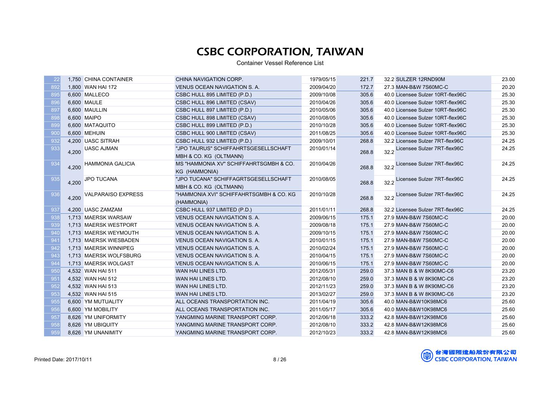| 22         |       | 1,750 CHINA CONTAINER   | CHINA NAVIGATION CORP.                  | 1979/05/15 | 221.7 | 32.2 SULZER 12RND90M              | 23.00 |
|------------|-------|-------------------------|-----------------------------------------|------------|-------|-----------------------------------|-------|
| 892        |       | 1,800 WAN HAI 172       | VENUS OCEAN NAVIGATION S. A.            | 2009/04/20 | 172.7 | 27.3 MAN-B&W 7S60MC-C             | 20.20 |
| 895        |       | 6,600 MALLECO           | CSBC HULL 895 LIMITED (P.D.)            | 2009/10/08 | 305.6 | 40.0 Licensee Sulzer 10RT-flex96C | 25.30 |
| 896        |       | 6,600 MAULE             | CSBC HULL 896 LIMITED (CSAV)            | 2010/04/26 | 305.6 | 40.0 Licensee Sulzer 10RT-flex96C | 25.30 |
| 897        |       | 6,600 MAULLIN           | CSBC HULL 897 LIMITED (P.D.)            | 2010/05/06 | 305.6 | 40.0 Licensee Sulzer 10RT-flex96C | 25.30 |
| 898        |       | 6,600 MAIPO             | CSBC HULL 898 LIMITED (CSAV)            | 2010/08/05 | 305.6 | 40.0 Licensee Sulzer 10RT-flex96C | 25.30 |
| 899        |       | 6,600 MATAQUITO         | CSBC HULL 899 LIMITED (P.D.)            | 2010/10/28 | 305.6 | 40.0 Licensee Sulzer 10RT-flex96C | 25.30 |
| <b>900</b> |       | 6,600 MEHUIN            | CSBC HULL 900 LIMITED (CSAV)            | 2011/08/25 | 305.6 | 40.0 Licensee Sulzer 10RT-flex96C | 25.30 |
| 932        |       | 4.200 UASC SITRAH       | CSBC HULL 932 LIMITED (P.D.)            | 2009/10/01 | 268.8 | 32.2 Licensee Sulzer 7RT-flex96C  | 24.25 |
| 933        | 4,200 | <b>UASC AJMAN</b>       | "JPO TAURUS" SCHIFFAHRTSGESELLSCHAFT    | 2010/01/14 | 268.8 | 32.2 Licensee Sulzer 7RT-flex96C  | 24.25 |
|            |       |                         | MBH & CO. KG (OLTMANN)                  |            |       |                                   |       |
| 934        | 4,200 | <b>HAMMONIA GALICIA</b> | MS "HAMMONIA XV" SCHIFFAHRTSGMBH & CO.  | 2010/04/26 | 268.8 | 32.2 Licensee Sulzer 7RT-flex96C  | 24.25 |
|            |       |                         | KG (HAMMONIA)                           |            |       |                                   |       |
| 935        | 4,200 | JPO TUCANA              | "JPO TUCANA" SCHIFFAGRTSGESELLSCHAFT    | 2010/08/05 | 268.8 | 32.2 Licensee Sulzer 7RT-flex96C  | 24.25 |
|            |       |                         | MBH & CO. KG (OLTMANN)                  |            |       |                                   |       |
| 936        | 4,200 | VALPARAISO EXPRESS      | "HAMMONIA XVI" SCHIFFAHRTSGMBH & CO. KG | 2010/10/28 | 268.8 | 32.2 Licensee Sulzer 7RT-flex96C  | 24.25 |
|            |       |                         | (HAMMONIA)                              |            |       |                                   |       |
| 937        |       | 4,200 UASC ZAMZAM       | CSBC HULL 937 LIMITED (P.D.)            | 2011/01/11 | 268.8 | 32.2 Licensee Sulzer 7RT-flex96C  | 24.25 |
| 938        |       | 1,713 MAERSK WARSAW     | VENUS OCEAN NAVIGATION S. A.            | 2009/06/15 | 175.1 | 27.9 MAN-B&W 7S60MC-C             | 20.00 |
| 939        |       | 1.713 MAERSK WESTPORT   | VENUS OCEAN NAVIGATION S. A.            | 2009/08/18 | 175.1 | 27.9 MAN-B&W 7S60MC-C             | 20.00 |
| 940        |       | 1,713 MAERSK WEYMOUTH   | VENUS OCEAN NAVIGATION S. A.            | 2009/10/15 | 175.1 | 27.9 MAN-B&W 7S60MC-C             | 20.00 |
| 941        |       | 1,713 MAERSK WIESBADEN  | VENUS OCEAN NAVIGATION S.A.             | 2010/01/15 | 175.1 | 27.9 MAN-B&W 7S60MC-C             | 20.00 |
| 942        |       | 1.713 MAERSK WINNIPEG   | VENUS OCEAN NAVIGATION S.A.             | 2010/02/24 | 175.1 | 27.9 MAN-B&W 7S60MC-C             | 20.00 |
| 943        |       | 1,713 MAERSK WOLFSBURG  | VENUS OCEAN NAVIGATION S. A.            | 2010/04/15 | 175.1 | 27.9 MAN-B&W 7S60MC-C             | 20.00 |
| 944        |       | 1,713 MAERSK WOLGAST    | VENUS OCEAN NAVIGATION S. A.            | 2010/06/15 | 175.1 | 27.9 MAN-B&W 7S60MC-C             | 20.00 |
| 950        |       | 4,532 WAN HAI 511       | WAN HAI LINES LTD.                      | 2012/05/31 | 259.0 | 37.3 MAN B & W 8K90MC-C6          | 23.20 |
| 951        |       | 4,532 WAN HAI 512       | WAN HAI LINES LTD.                      | 2012/08/10 | 259.0 | 37.3 MAN B & W 8K90MC-C6          | 23.20 |
| 952        |       | 4,532 WAN HAI 513       | WAN HAI LINES LTD.                      | 2012/11/23 | 259.0 | 37.3 MAN B & W 8K90MC-C6          | 23.20 |
| 953        |       | 4,532 WAN HAI 515       | WAN HAI LINES LTD.                      | 2013/02/27 | 259.0 | 37.3 MAN B & W 8K90MC-C6          | 23.20 |
| 955        |       | 6,600 YM MUTUALITY      | ALL OCEANS TRANSPORTATION INC.          | 2011/04/19 | 305.6 | 40.0 MAN-B&W10K98MC6              | 25.60 |
| 956        |       | 6,600 YM MOBILITY       | ALL OCEANS TRANSPORTATION INC.          | 2011/05/17 | 305.6 | 40.0 MAN-B&W10K98MC6              | 25.60 |
| 957        |       | 8,626 YM UNIFORMITY     | YANGMING MARINE TRANSPORT CORP.         | 2012/06/18 | 333.2 | 42.8 MAN-B&W12K98MC6              | 25.60 |
| 958        |       | 8,626 YM UBIQUITY       | YANGMING MARINE TRANSPORT CORP.         | 2012/08/10 | 333.2 | 42.8 MAN-B&W12K98MC6              | 25.60 |
| 959        |       | 8,626 YM UNANIMITY      | YANGMING MARINE TRANSPORT CORP.         | 2012/10/23 | 333.2 | 42.8 MAN-B&W12K98MC6              | 25.60 |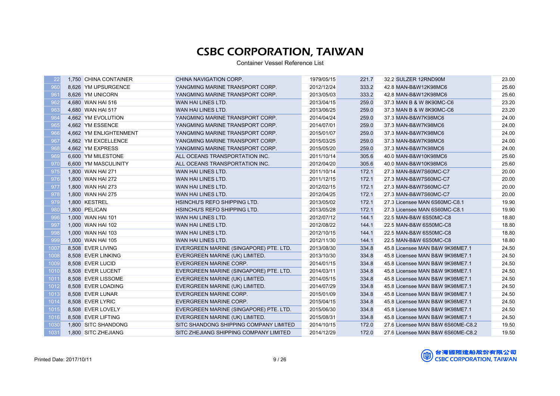| 22   | 1,750 CHINA CONTAINER  | CHINA NAVIGATION CORP.                 | 1979/05/15 | 221.7 | 32.2 SULZER 12RND90M              | 23.00 |
|------|------------------------|----------------------------------------|------------|-------|-----------------------------------|-------|
| 960  | 8,626 YM UPSURGENCE    | YANGMING MARINE TRANSPORT CORP.        | 2012/12/24 | 333.2 | 42.8 MAN-B&W12K98MC6              | 25.60 |
| 961  | 8,626 YM UNICORN       | YANGMING MARINE TRANSPORT CORP.        | 2013/05/03 | 333.2 | 42.8 MAN-B&W12K98MC6              | 25.60 |
| 962  | 4,680 WAN HAI 516      | WAN HAI LINES LTD.                     | 2013/04/15 | 259.0 | 37.3 MAN B & W 8K90MC-C6          | 23.20 |
| 963  | 4,680 WAN HAI 517      | WAN HAI LINES LTD.                     | 2013/06/25 | 259.0 | 37.3 MAN B & W 8K90MC-C6          | 23.20 |
| 964  | 4,662 YM EVOLUTION     | YANGMING MARINE TRANSPORT CORP.        | 2014/04/24 | 259.0 | 37.3 MAN-B&W7K98MC6               | 24.00 |
| 965  | 4,662 YM ESSENCE       | YANGMING MARINE TRANSPORT CORP.        | 2014/07/01 | 259.0 | 37.3 MAN-B&W7K98MC6               | 24.00 |
| 966  | 4,662 YM ENLIGHTENMENT | YANGMING MARINE TRANSPORT CORP.        | 2015/01/07 | 259.0 | 37.3 MAN-B&W7K98MC6               | 24.00 |
| 967  | 4,662 YM EXCELLENCE    | YANGMING MARINE TRANSPORT CORP.        | 2015/03/25 | 259.0 | 37.3 MAN-B&W7K98MC6               | 24.00 |
| 968  | 4.662 YM EXPRESS       | YANGMING MARINE TRANSPORT CORP.        | 2015/05/20 | 259.0 | 37.3 MAN-B&W7K98MC6               | 24.00 |
| 969  | 6,600 YM MILESTONE     | ALL OCEANS TRANSPORTATION INC.         | 2011/10/14 | 305.6 | 40.0 MAN-B&W10K98MC6              | 25.60 |
| 970  | 6,600 YM MASCULINITY   | ALL OCEANS TRANSPORTATION INC.         | 2012/04/20 | 305.6 | 40.0 MAN-B&W10K98MC6              | 25.60 |
| 975  | 1,800 WAN HAI 271      | WAN HAI LINES LTD.                     | 2011/10/14 | 172.1 | 27.3 MAN-B&W7S60MC-C7             | 20.00 |
| 976  | 1,800 WAN HAI 272      | WAN HAI LINES LTD.                     | 2011/12/15 | 172.1 | 27.3 MAN-B&W7S60MC-C7             | 20.00 |
| 977  | 1,800 WAN HAI 273      | WAN HAI LINES LTD.                     | 2012/02/15 | 172.1 | 27.3 MAN-B&W7S60MC-C7             | 20.00 |
| 978  | 1,800 WAN HAI 275      | WAN HAI LINES LTD.                     | 2012/04/25 | 172.1 | 27.3 MAN-B&W7S60MC-C7             | 20.00 |
| 979  | 1,800 KESTREL          | HSINCHU'S REFO SHIPPING LTD.           | 2013/05/02 | 172.1 | 27.3 Licensee MAN 6S60MC-C8.1     | 19.90 |
| 980  | 1,800 PELICAN          | HSINCHU'S REFO SHIPPING LTD.           | 2013/05/28 | 172.1 | 27.3 Licensee MAN 6S60MC-C8.1     | 19.90 |
| 996  | 1,000 WAN HAI 101      | WAN HAI LINES LTD.                     | 2012/07/12 | 144.1 | 22.5 MAN-B&W 6S50MC-C8            | 18.80 |
| 997  | 1,000 WAN HAI 102      | WAN HAI LINES LTD.                     | 2012/08/22 | 144.1 | 22.5 MAN-B&W 6S50MC-C8            | 18.80 |
| 998  | 1,000 WAN HAI 103      | WAN HAI LINES LTD.                     | 2012/10/15 | 144.1 | 22.5 MAN-B&W 6S50MC-C8            | 18.80 |
| 999  | 1,000 WAN HAI 105      | WAN HAI LINES LTD.                     | 2012/11/30 | 144.1 | 22.5 MAN-B&W 6S50MC-C8            | 18.80 |
| 1007 | 8,508 EVER LIVING      | EVERGREEN MARINE (SINGAPORE) PTE. LTD. | 2013/08/30 | 334.8 | 45.8 Licensee MAN B&W 9K98ME7.1   | 24.50 |
| 1008 | 8,508 EVER LINKING     | EVERGREEN MARINE (UK) LIMITED.         | 2013/10/30 | 334.8 | 45.8 Licensee MAN B&W 9K98ME7.1   | 24.50 |
| 1009 | 8,508 EVER LUCID       | EVERGREEN MARINE CORP.                 | 2014/01/15 | 334.8 | 45.8 Licensee MAN B&W 9K98ME7.1   | 24.50 |
| 1010 | 8,508 EVER LUCENT      | EVERGREEN MARINE (SINGAPORE) PTE. LTD. | 2014/03/11 | 334.8 | 45.8 Licensee MAN B&W 9K98ME7.1   | 24.50 |
| 1011 | 8,508 EVER LISSOME     | EVERGREEN MARINE (UK) LIMITED.         | 2014/05/15 | 334.8 | 45.8 Licensee MAN B&W 9K98ME7.1   | 24.50 |
| 1012 | 8,508 EVER LOADING     | EVERGREEN MARINE (UK) LIMITED.         | 2014/07/29 | 334.8 | 45.8 Licensee MAN B&W 9K98ME7.1   | 24.50 |
| 1013 | 8,508 EVER LUNAR       | EVERGREEN MARINE CORP.                 | 2015/01/09 | 334.8 | 45.8 Licensee MAN B&W 9K98ME7.1   | 24.50 |
| 1014 | 8,508 EVER LYRIC       | EVERGREEN MARINE CORP.                 | 2015/04/15 | 334.8 | 45.8 Licensee MAN B&W 9K98ME7.1   | 24.50 |
| 1015 | 8,508 EVER LOVELY      | EVERGREEN MARINE (SINGAPORE) PTE. LTD. | 2015/06/30 | 334.8 | 45.8 Licensee MAN B&W 9K98ME7.1   | 24.50 |
| 1016 | 8,508 EVER LIFTING     | EVERGREEN MARINE (UK) LIMITED.         | 2015/08/31 | 334.8 | 45.8 Licensee MAN B&W 9K98ME7.1   | 24.50 |
| 1030 | 1,800 SITC SHANDONG    | SITC SHANDONG SHIPPING COMPANY LIMITED | 2014/10/15 | 172.0 | 27.6 Licensee MAN B&W 6S60ME-C8.2 | 19.50 |
| 1031 | 1,800 SITC ZHEJIANG    | SITC ZHEJIANG SHIPPING COMPANY LIMITED | 2014/12/29 | 172.0 | 27.6 Licensee MAN B&W 6S60ME-C8.2 | 19.50 |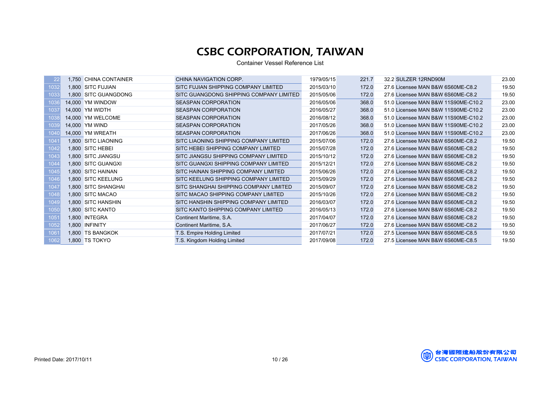| 22               | 1.750 CHINA CONTAINER | CHINA NAVIGATION CORP.                  | 1979/05/15 | 221.7 | 32.2 SULZER 12RND90M                | 23.00 |
|------------------|-----------------------|-----------------------------------------|------------|-------|-------------------------------------|-------|
| 1032             | 1,800 SITC FUJIAN     | SITC FUJIAN SHIPPING COMPANY LIMITED    | 2015/03/10 | 172.0 | 27.6 Licensee MAN B&W 6S60ME-C8.2   | 19.50 |
| 1033             | 1.800 SITC GUANGDONG  | SITC GUANGDONG SHIPPING COMPANY LIMITED | 2015/05/06 | 172.0 | 27.6 Licensee MAN B&W 6S60ME-C8.2   | 19.50 |
| 1036             | 14,000 YM WINDOW      | <b>SEASPAN CORPORATION</b>              | 2016/05/06 | 368.0 | 51.0 Licensee MAN B&W 11S90ME-C10.2 | 23.00 |
| 103              | 14,000 YM WIDTH       | <b>SEASPAN CORPORATION</b>              | 2016/05/27 | 368.0 | 51.0 Licensee MAN B&W 11S90ME-C10.2 | 23.00 |
| 1038             | 14,000 YM WELCOME     | <b>SEASPAN CORPORATION</b>              | 2016/08/12 | 368.0 | 51.0 Licensee MAN B&W 11S90ME-C10.2 | 23.00 |
| 1039             | 14,000 YM WIND        | <b>SEASPAN CORPORATION</b>              | 2017/05/26 | 368.0 | 51.0 Licensee MAN B&W 11S90ME-C10.2 | 23.00 |
| 1040             | 14,000 YM WREATH      | <b>SEASPAN CORPORATION</b>              | 2017/06/26 | 368.0 | 51.0 Licensee MAN B&W 11S90ME-C10.2 | 23.00 |
| 104 <sup>1</sup> | 1.800 SITC LIAONING   | SITC LIAONING SHIPPING COMPANY LIMITED  | 2015/07/06 | 172.0 | 27.6 Licensee MAN B&W 6S60ME-C8.2   | 19.50 |
| 1042             | 1.800 SITC HEBEI      | SITC HEBEI SHIPPING COMPANY LIMITED     | 2015/07/28 | 172.0 | 27.6 Licensee MAN B&W 6S60ME-C8.2   | 19.50 |
| 1043             | 1,800 SITC JIANGSU    | SITC JIANGSU SHIPPING COMPANY LIMITED   | 2015/10/12 | 172.0 | 27.6 Licensee MAN B&W 6S60ME-C8.2   | 19.50 |
| 1044             | 1,800 SITC GUANGXI    | SITC GUANGXI SHIPPING COMPANY LIMITED   | 2015/12/21 | 172.0 | 27.6 Licensee MAN B&W 6S60ME-C8.2   | 19.50 |
| 1045             | 1,800 SITC HAINAN     | SITC HAINAN SHIPPING COMPANY LIMITED    | 2015/06/26 | 172.0 | 27.6 Licensee MAN B&W 6S60ME-C8.2   | 19.50 |
| 1046             | 1,800 SITC KEELUNG    | SITC KEELUNG SHIPPING COMPANY LIMITED   | 2015/09/29 | 172.0 | 27.6 Licensee MAN B&W 6S60ME-C8.2   | 19.50 |
| 1047             | 1,800 SITC SHANGHAI   | SITC SHANGHAI SHIPPING COMPANY LIMITED  | 2015/09/07 | 172.0 | 27.6 Licensee MAN B&W 6S60ME-C8.2   | 19.50 |
| 1048             | 1,800 SITC MACAO      | SITC MACAO SHIPPING COMPANY LIMITED     | 2015/10/26 | 172.0 | 27.6 Licensee MAN B&W 6S60ME-C8.2   | 19.50 |
| 1049             | 1,800 SITC HANSHIN    | SITC HANSHIN SHIPPING COMPANY LIMITED   | 2016/03/07 | 172.0 | 27.6 Licensee MAN B&W 6S60ME-C8.2   | 19.50 |
| 1050             | 1,800 SITC KANTO      | SITC KANTO SHIPPING COMPANY LIMITED     | 2016/05/13 | 172.0 | 27.6 Licensee MAN B&W 6S60ME-C8.2   | 19.50 |
| 1051             | 1,800 INTEGRA         | Continent Maritime, S.A.                | 2017/04/07 | 172.0 | 27.6 Licensee MAN B&W 6S60ME-C8.2   | 19.50 |
| 1052             | 1,800 INFINITY        | Continent Maritime, S.A.                | 2017/06/27 | 172.0 | 27.6 Licensee MAN B&W 6S60ME-C8.2   | 19.50 |
| 1061             | 1,800 TS BANGKOK      | T.S. Empire Holding Limited             | 2017/07/21 | 172.0 | 27.5 Licensee MAN B&W 6S60ME-C8.5   | 19.50 |
| 1062             | 1,800 TS TOKYO        | T.S. Kingdom Holding Limited            | 2017/09/08 | 172.0 | 27.5 Licensee MAN B&W 6S60ME-C8.5   | 19.50 |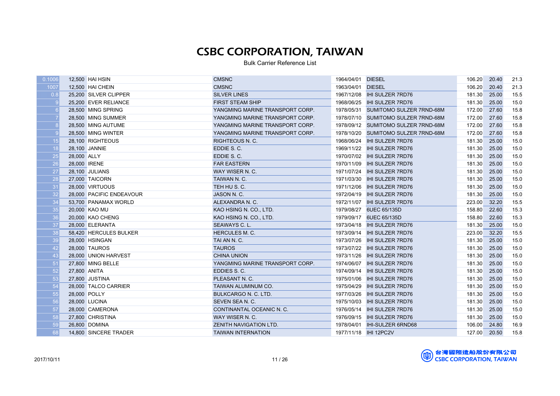| 1007<br><b>CMSNC</b><br>106.20<br>21.3<br>12,500 HAI CHEIN<br>1963/04/01 DIESEL<br>20.40<br>15.5<br>0.8<br>181.30<br>25,200 SILVER CLIPPER<br><b>SILVER LINES</b><br>1967/12/08 IHI SULZER 7RD76<br>25.00<br><b>FIRST STEAM SHIP</b><br>181.30<br>15.0<br>25,200 EVER RELIANCE<br>1968/06/25<br><b>IHI SULZER 7RD76</b><br>25.00<br>15.8<br>27.60<br>28,500 MING SPRING<br>YANGMING MARINE TRANSPORT CORP.<br>1978/05/31<br>SUMITOMO SULZER 7RND-68M<br>172.00<br>15.8<br>YANGMING MARINE TRANSPORT CORP.<br>1978/07/10 SUMITOMO SULZER 7RND-68M<br>172.00<br>27.60<br>28,500 MING SUMMER<br>15.8<br>27.60<br>28,500 MING AUTUME<br>YANGMING MARINE TRANSPORT CORP.<br>1978/09/12 SUMITOMO SULZER 7RND-68M<br>172.00<br>15.8<br>YANGMING MARINE TRANSPORT CORP.<br>172.00<br>27.60<br>28,500 MING WINTER<br>1978/10/20 SUMITOMO SULZER 7RND-68M<br>15.0<br>15<br>181.30<br>25.00<br>28,100 RIGHTEOUS<br><b>RIGHTEOUS N. C.</b><br>1968/06/24<br><b>IHI SULZER 7RD76</b><br>18<br>15.0<br>28,100 JANNIE<br>EDDIE S.C.<br>1969/11/22<br><b>IHI SULZER 7RD76</b><br>181.30<br>25.00<br>25<br>EDDIE S.C.<br>181.30<br>15.0<br>28,000 ALLY<br>1970/07/02 IHI SULZER 7RD76<br>25.00<br>26<br>15.0<br>28,000 IRENE<br>181.30<br>25.00<br><b>FAR EASTERN</b><br>1970/11/09<br><b>IHI SULZER 7RD76</b><br>27<br>15.0<br>28,100 JULIANS<br>WAY WISER N.C.<br><b>IHI SULZER 7RD76</b><br>181.30<br>25.00<br>1971/07/24<br>28<br>15.0<br>181.30<br>25.00<br>27,000 TAICORN<br>TAIWAN N.C.<br>1971/03/30 IHI SULZER 7RD76<br>31<br>TEH HU S. C.<br>181.30<br>25.00<br>15.0<br>28,000 VIRTUOUS<br>1971/12/06 <b>IHI SULZER 7RD76</b><br>32<br>28,000 PACIFIC ENDEAVOUR<br>JASON N. C.<br>181.30<br>25.00<br>15.0<br>15.5<br>34<br>53,700 PANAMAX WORLD<br>ALEXANDRA N. C.<br>1972/11/07 IHI SULZER 7RD76<br>223.00<br>32.20<br>35<br>15.3<br>20,000 KAO MU<br>KAO HSING N. CO., LTD.<br>1979/08/27 6UEC 65/135D<br>158.80<br>22.60<br>36<br>15.3<br>20,000 KAO CHENG<br>KAO HSING N. CO., LTD.<br>1979/09/17 6UEC 65/135D<br>158.80<br>22.60<br>37<br>15.0<br>181.30<br>25.00<br>28,000 ELERANTA<br>SEAWAYS C. L.<br>1973/04/18<br><b>IHI SULZER 7RD76</b><br>38<br>15.5<br><b>HERCULES M. C.</b><br>223.00<br>32.20<br>58,420 HERCULES BULKER<br>1973/09/14<br><b>IHI SULZER 7RD76</b><br>15.0<br>39<br>28,000 HSINGAN<br>TAI AN N. C.<br>181.30<br>25.00<br>1973/07/26<br><b>IHI SULZER 7RD76</b><br>42<br><b>TAUROS</b><br>181.30<br>15.0<br>28,000 TAUROS<br>1973/07/22<br><b>IHI SULZER 7RD76</b><br>25.00<br>43<br>15.0<br>28,000 UNION HARVEST<br><b>CHINA UNION</b><br>1973/11/26<br>IHI SULZER 7RD76<br>181.30<br>25.00<br>15.0<br>51<br>27,800 MING BELLE<br><b>IHI SULZER 7RD76</b><br>181.30<br>25.00<br>YANGMING MARINE TRANSPORT CORP.<br>1974/06/07<br>52<br>15.0<br>27,800 ANITA<br>EDDIES S.C.<br>181.30<br>25.00<br>1974/09/14 <b>IHI SULZER 7RD76</b><br>53<br>15.0<br>PLEASANT N. C.<br>181.30<br>25.00<br>27,800 JUSTINA<br>1975/01/06<br><b>IHI SULZER 7RD76</b><br>54<br>15.0<br>181.30<br>28,000 TALCO CARRIER<br>TAIWAN ALUMINUM CO.<br>1975/04/29 IHI SULZER 7RD76<br>25.00<br>55<br>15.0<br>181.30<br>28,000 POLLY<br><b>BULKCARGO N. C. LTD.</b><br>1977/03/26<br><b>IHI SULZER 7RD76</b><br>25.00<br>56<br>15.0<br>28,000 LUCINA<br>SEVEN SEA N. C.<br>1975/10/03<br><b>IHI SULZER 7RD76</b><br>181.30<br>25.00<br>$\overline{57}$<br>15.0<br>28,000 CAMERONA<br>CONTINANTAL OCEANIC N. C.<br>IHI SULZER 7RD76<br>181.30<br>25.00<br>1976/05/14<br>58<br>WAY WISER N. C.<br><b>IHI SULZER 7RD76</b><br>181.30<br>25.00<br>15.0<br>27,800 CHRISTINA<br>1976/09/15<br>59<br>26,800 DOMINA<br><b>ZENITH NAVIGATION LTD.</b><br><b>IHI-SULZER 6RND68</b><br>106.00<br>24.80<br>16.9<br>1978/04/01<br>68<br>14.800 SINCERE TRADER<br>1977/11/18 IHI 12PC2V<br>127.00<br>20.50<br>15.8<br><b>TAIWAN INTERNATION</b> | 0.1006 | 12,500 HAI HSIN | <b>CMSNC</b> | 1964/04/01 DIESEL | 106.20 | 20.40 | 21.3 |
|------------------------------------------------------------------------------------------------------------------------------------------------------------------------------------------------------------------------------------------------------------------------------------------------------------------------------------------------------------------------------------------------------------------------------------------------------------------------------------------------------------------------------------------------------------------------------------------------------------------------------------------------------------------------------------------------------------------------------------------------------------------------------------------------------------------------------------------------------------------------------------------------------------------------------------------------------------------------------------------------------------------------------------------------------------------------------------------------------------------------------------------------------------------------------------------------------------------------------------------------------------------------------------------------------------------------------------------------------------------------------------------------------------------------------------------------------------------------------------------------------------------------------------------------------------------------------------------------------------------------------------------------------------------------------------------------------------------------------------------------------------------------------------------------------------------------------------------------------------------------------------------------------------------------------------------------------------------------------------------------------------------------------------------------------------------------------------------------------------------------------------------------------------------------------------------------------------------------------------------------------------------------------------------------------------------------------------------------------------------------------------------------------------------------------------------------------------------------------------------------------------------------------------------------------------------------------------------------------------------------------------------------------------------------------------------------------------------------------------------------------------------------------------------------------------------------------------------------------------------------------------------------------------------------------------------------------------------------------------------------------------------------------------------------------------------------------------------------------------------------------------------------------------------------------------------------------------------------------------------------------------------------------------------------------------------------------------------------------------------------------------------------------------------------------------------------------------------------------------------------------------------------------------------------------------------------------------------------------------------------------------------------------------------------------------------------------------------------------------------------------------------------------------------------------------------------------|--------|-----------------|--------------|-------------------|--------|-------|------|
|                                                                                                                                                                                                                                                                                                                                                                                                                                                                                                                                                                                                                                                                                                                                                                                                                                                                                                                                                                                                                                                                                                                                                                                                                                                                                                                                                                                                                                                                                                                                                                                                                                                                                                                                                                                                                                                                                                                                                                                                                                                                                                                                                                                                                                                                                                                                                                                                                                                                                                                                                                                                                                                                                                                                                                                                                                                                                                                                                                                                                                                                                                                                                                                                                                                                                                                                                                                                                                                                                                                                                                                                                                                                                                                                                                                                                              |        |                 |              |                   |        |       |      |
|                                                                                                                                                                                                                                                                                                                                                                                                                                                                                                                                                                                                                                                                                                                                                                                                                                                                                                                                                                                                                                                                                                                                                                                                                                                                                                                                                                                                                                                                                                                                                                                                                                                                                                                                                                                                                                                                                                                                                                                                                                                                                                                                                                                                                                                                                                                                                                                                                                                                                                                                                                                                                                                                                                                                                                                                                                                                                                                                                                                                                                                                                                                                                                                                                                                                                                                                                                                                                                                                                                                                                                                                                                                                                                                                                                                                                              |        |                 |              |                   |        |       |      |
|                                                                                                                                                                                                                                                                                                                                                                                                                                                                                                                                                                                                                                                                                                                                                                                                                                                                                                                                                                                                                                                                                                                                                                                                                                                                                                                                                                                                                                                                                                                                                                                                                                                                                                                                                                                                                                                                                                                                                                                                                                                                                                                                                                                                                                                                                                                                                                                                                                                                                                                                                                                                                                                                                                                                                                                                                                                                                                                                                                                                                                                                                                                                                                                                                                                                                                                                                                                                                                                                                                                                                                                                                                                                                                                                                                                                                              |        |                 |              |                   |        |       |      |
|                                                                                                                                                                                                                                                                                                                                                                                                                                                                                                                                                                                                                                                                                                                                                                                                                                                                                                                                                                                                                                                                                                                                                                                                                                                                                                                                                                                                                                                                                                                                                                                                                                                                                                                                                                                                                                                                                                                                                                                                                                                                                                                                                                                                                                                                                                                                                                                                                                                                                                                                                                                                                                                                                                                                                                                                                                                                                                                                                                                                                                                                                                                                                                                                                                                                                                                                                                                                                                                                                                                                                                                                                                                                                                                                                                                                                              |        |                 |              |                   |        |       |      |
|                                                                                                                                                                                                                                                                                                                                                                                                                                                                                                                                                                                                                                                                                                                                                                                                                                                                                                                                                                                                                                                                                                                                                                                                                                                                                                                                                                                                                                                                                                                                                                                                                                                                                                                                                                                                                                                                                                                                                                                                                                                                                                                                                                                                                                                                                                                                                                                                                                                                                                                                                                                                                                                                                                                                                                                                                                                                                                                                                                                                                                                                                                                                                                                                                                                                                                                                                                                                                                                                                                                                                                                                                                                                                                                                                                                                                              |        |                 |              |                   |        |       |      |
|                                                                                                                                                                                                                                                                                                                                                                                                                                                                                                                                                                                                                                                                                                                                                                                                                                                                                                                                                                                                                                                                                                                                                                                                                                                                                                                                                                                                                                                                                                                                                                                                                                                                                                                                                                                                                                                                                                                                                                                                                                                                                                                                                                                                                                                                                                                                                                                                                                                                                                                                                                                                                                                                                                                                                                                                                                                                                                                                                                                                                                                                                                                                                                                                                                                                                                                                                                                                                                                                                                                                                                                                                                                                                                                                                                                                                              |        |                 |              |                   |        |       |      |
|                                                                                                                                                                                                                                                                                                                                                                                                                                                                                                                                                                                                                                                                                                                                                                                                                                                                                                                                                                                                                                                                                                                                                                                                                                                                                                                                                                                                                                                                                                                                                                                                                                                                                                                                                                                                                                                                                                                                                                                                                                                                                                                                                                                                                                                                                                                                                                                                                                                                                                                                                                                                                                                                                                                                                                                                                                                                                                                                                                                                                                                                                                                                                                                                                                                                                                                                                                                                                                                                                                                                                                                                                                                                                                                                                                                                                              |        |                 |              |                   |        |       |      |
|                                                                                                                                                                                                                                                                                                                                                                                                                                                                                                                                                                                                                                                                                                                                                                                                                                                                                                                                                                                                                                                                                                                                                                                                                                                                                                                                                                                                                                                                                                                                                                                                                                                                                                                                                                                                                                                                                                                                                                                                                                                                                                                                                                                                                                                                                                                                                                                                                                                                                                                                                                                                                                                                                                                                                                                                                                                                                                                                                                                                                                                                                                                                                                                                                                                                                                                                                                                                                                                                                                                                                                                                                                                                                                                                                                                                                              |        |                 |              |                   |        |       |      |
|                                                                                                                                                                                                                                                                                                                                                                                                                                                                                                                                                                                                                                                                                                                                                                                                                                                                                                                                                                                                                                                                                                                                                                                                                                                                                                                                                                                                                                                                                                                                                                                                                                                                                                                                                                                                                                                                                                                                                                                                                                                                                                                                                                                                                                                                                                                                                                                                                                                                                                                                                                                                                                                                                                                                                                                                                                                                                                                                                                                                                                                                                                                                                                                                                                                                                                                                                                                                                                                                                                                                                                                                                                                                                                                                                                                                                              |        |                 |              |                   |        |       |      |
|                                                                                                                                                                                                                                                                                                                                                                                                                                                                                                                                                                                                                                                                                                                                                                                                                                                                                                                                                                                                                                                                                                                                                                                                                                                                                                                                                                                                                                                                                                                                                                                                                                                                                                                                                                                                                                                                                                                                                                                                                                                                                                                                                                                                                                                                                                                                                                                                                                                                                                                                                                                                                                                                                                                                                                                                                                                                                                                                                                                                                                                                                                                                                                                                                                                                                                                                                                                                                                                                                                                                                                                                                                                                                                                                                                                                                              |        |                 |              |                   |        |       |      |
|                                                                                                                                                                                                                                                                                                                                                                                                                                                                                                                                                                                                                                                                                                                                                                                                                                                                                                                                                                                                                                                                                                                                                                                                                                                                                                                                                                                                                                                                                                                                                                                                                                                                                                                                                                                                                                                                                                                                                                                                                                                                                                                                                                                                                                                                                                                                                                                                                                                                                                                                                                                                                                                                                                                                                                                                                                                                                                                                                                                                                                                                                                                                                                                                                                                                                                                                                                                                                                                                                                                                                                                                                                                                                                                                                                                                                              |        |                 |              |                   |        |       |      |
|                                                                                                                                                                                                                                                                                                                                                                                                                                                                                                                                                                                                                                                                                                                                                                                                                                                                                                                                                                                                                                                                                                                                                                                                                                                                                                                                                                                                                                                                                                                                                                                                                                                                                                                                                                                                                                                                                                                                                                                                                                                                                                                                                                                                                                                                                                                                                                                                                                                                                                                                                                                                                                                                                                                                                                                                                                                                                                                                                                                                                                                                                                                                                                                                                                                                                                                                                                                                                                                                                                                                                                                                                                                                                                                                                                                                                              |        |                 |              |                   |        |       |      |
|                                                                                                                                                                                                                                                                                                                                                                                                                                                                                                                                                                                                                                                                                                                                                                                                                                                                                                                                                                                                                                                                                                                                                                                                                                                                                                                                                                                                                                                                                                                                                                                                                                                                                                                                                                                                                                                                                                                                                                                                                                                                                                                                                                                                                                                                                                                                                                                                                                                                                                                                                                                                                                                                                                                                                                                                                                                                                                                                                                                                                                                                                                                                                                                                                                                                                                                                                                                                                                                                                                                                                                                                                                                                                                                                                                                                                              |        |                 |              |                   |        |       |      |
|                                                                                                                                                                                                                                                                                                                                                                                                                                                                                                                                                                                                                                                                                                                                                                                                                                                                                                                                                                                                                                                                                                                                                                                                                                                                                                                                                                                                                                                                                                                                                                                                                                                                                                                                                                                                                                                                                                                                                                                                                                                                                                                                                                                                                                                                                                                                                                                                                                                                                                                                                                                                                                                                                                                                                                                                                                                                                                                                                                                                                                                                                                                                                                                                                                                                                                                                                                                                                                                                                                                                                                                                                                                                                                                                                                                                                              |        |                 |              |                   |        |       |      |
|                                                                                                                                                                                                                                                                                                                                                                                                                                                                                                                                                                                                                                                                                                                                                                                                                                                                                                                                                                                                                                                                                                                                                                                                                                                                                                                                                                                                                                                                                                                                                                                                                                                                                                                                                                                                                                                                                                                                                                                                                                                                                                                                                                                                                                                                                                                                                                                                                                                                                                                                                                                                                                                                                                                                                                                                                                                                                                                                                                                                                                                                                                                                                                                                                                                                                                                                                                                                                                                                                                                                                                                                                                                                                                                                                                                                                              |        |                 |              |                   |        |       |      |
|                                                                                                                                                                                                                                                                                                                                                                                                                                                                                                                                                                                                                                                                                                                                                                                                                                                                                                                                                                                                                                                                                                                                                                                                                                                                                                                                                                                                                                                                                                                                                                                                                                                                                                                                                                                                                                                                                                                                                                                                                                                                                                                                                                                                                                                                                                                                                                                                                                                                                                                                                                                                                                                                                                                                                                                                                                                                                                                                                                                                                                                                                                                                                                                                                                                                                                                                                                                                                                                                                                                                                                                                                                                                                                                                                                                                                              |        |                 |              |                   |        |       |      |
|                                                                                                                                                                                                                                                                                                                                                                                                                                                                                                                                                                                                                                                                                                                                                                                                                                                                                                                                                                                                                                                                                                                                                                                                                                                                                                                                                                                                                                                                                                                                                                                                                                                                                                                                                                                                                                                                                                                                                                                                                                                                                                                                                                                                                                                                                                                                                                                                                                                                                                                                                                                                                                                                                                                                                                                                                                                                                                                                                                                                                                                                                                                                                                                                                                                                                                                                                                                                                                                                                                                                                                                                                                                                                                                                                                                                                              |        |                 |              |                   |        |       |      |
|                                                                                                                                                                                                                                                                                                                                                                                                                                                                                                                                                                                                                                                                                                                                                                                                                                                                                                                                                                                                                                                                                                                                                                                                                                                                                                                                                                                                                                                                                                                                                                                                                                                                                                                                                                                                                                                                                                                                                                                                                                                                                                                                                                                                                                                                                                                                                                                                                                                                                                                                                                                                                                                                                                                                                                                                                                                                                                                                                                                                                                                                                                                                                                                                                                                                                                                                                                                                                                                                                                                                                                                                                                                                                                                                                                                                                              |        |                 |              |                   |        |       |      |
|                                                                                                                                                                                                                                                                                                                                                                                                                                                                                                                                                                                                                                                                                                                                                                                                                                                                                                                                                                                                                                                                                                                                                                                                                                                                                                                                                                                                                                                                                                                                                                                                                                                                                                                                                                                                                                                                                                                                                                                                                                                                                                                                                                                                                                                                                                                                                                                                                                                                                                                                                                                                                                                                                                                                                                                                                                                                                                                                                                                                                                                                                                                                                                                                                                                                                                                                                                                                                                                                                                                                                                                                                                                                                                                                                                                                                              |        |                 |              |                   |        |       |      |
|                                                                                                                                                                                                                                                                                                                                                                                                                                                                                                                                                                                                                                                                                                                                                                                                                                                                                                                                                                                                                                                                                                                                                                                                                                                                                                                                                                                                                                                                                                                                                                                                                                                                                                                                                                                                                                                                                                                                                                                                                                                                                                                                                                                                                                                                                                                                                                                                                                                                                                                                                                                                                                                                                                                                                                                                                                                                                                                                                                                                                                                                                                                                                                                                                                                                                                                                                                                                                                                                                                                                                                                                                                                                                                                                                                                                                              |        |                 |              |                   |        |       |      |
|                                                                                                                                                                                                                                                                                                                                                                                                                                                                                                                                                                                                                                                                                                                                                                                                                                                                                                                                                                                                                                                                                                                                                                                                                                                                                                                                                                                                                                                                                                                                                                                                                                                                                                                                                                                                                                                                                                                                                                                                                                                                                                                                                                                                                                                                                                                                                                                                                                                                                                                                                                                                                                                                                                                                                                                                                                                                                                                                                                                                                                                                                                                                                                                                                                                                                                                                                                                                                                                                                                                                                                                                                                                                                                                                                                                                                              |        |                 |              |                   |        |       |      |
|                                                                                                                                                                                                                                                                                                                                                                                                                                                                                                                                                                                                                                                                                                                                                                                                                                                                                                                                                                                                                                                                                                                                                                                                                                                                                                                                                                                                                                                                                                                                                                                                                                                                                                                                                                                                                                                                                                                                                                                                                                                                                                                                                                                                                                                                                                                                                                                                                                                                                                                                                                                                                                                                                                                                                                                                                                                                                                                                                                                                                                                                                                                                                                                                                                                                                                                                                                                                                                                                                                                                                                                                                                                                                                                                                                                                                              |        |                 |              |                   |        |       |      |
|                                                                                                                                                                                                                                                                                                                                                                                                                                                                                                                                                                                                                                                                                                                                                                                                                                                                                                                                                                                                                                                                                                                                                                                                                                                                                                                                                                                                                                                                                                                                                                                                                                                                                                                                                                                                                                                                                                                                                                                                                                                                                                                                                                                                                                                                                                                                                                                                                                                                                                                                                                                                                                                                                                                                                                                                                                                                                                                                                                                                                                                                                                                                                                                                                                                                                                                                                                                                                                                                                                                                                                                                                                                                                                                                                                                                                              |        |                 |              |                   |        |       |      |
|                                                                                                                                                                                                                                                                                                                                                                                                                                                                                                                                                                                                                                                                                                                                                                                                                                                                                                                                                                                                                                                                                                                                                                                                                                                                                                                                                                                                                                                                                                                                                                                                                                                                                                                                                                                                                                                                                                                                                                                                                                                                                                                                                                                                                                                                                                                                                                                                                                                                                                                                                                                                                                                                                                                                                                                                                                                                                                                                                                                                                                                                                                                                                                                                                                                                                                                                                                                                                                                                                                                                                                                                                                                                                                                                                                                                                              |        |                 |              |                   |        |       |      |
|                                                                                                                                                                                                                                                                                                                                                                                                                                                                                                                                                                                                                                                                                                                                                                                                                                                                                                                                                                                                                                                                                                                                                                                                                                                                                                                                                                                                                                                                                                                                                                                                                                                                                                                                                                                                                                                                                                                                                                                                                                                                                                                                                                                                                                                                                                                                                                                                                                                                                                                                                                                                                                                                                                                                                                                                                                                                                                                                                                                                                                                                                                                                                                                                                                                                                                                                                                                                                                                                                                                                                                                                                                                                                                                                                                                                                              |        |                 |              |                   |        |       |      |
|                                                                                                                                                                                                                                                                                                                                                                                                                                                                                                                                                                                                                                                                                                                                                                                                                                                                                                                                                                                                                                                                                                                                                                                                                                                                                                                                                                                                                                                                                                                                                                                                                                                                                                                                                                                                                                                                                                                                                                                                                                                                                                                                                                                                                                                                                                                                                                                                                                                                                                                                                                                                                                                                                                                                                                                                                                                                                                                                                                                                                                                                                                                                                                                                                                                                                                                                                                                                                                                                                                                                                                                                                                                                                                                                                                                                                              |        |                 |              |                   |        |       |      |
|                                                                                                                                                                                                                                                                                                                                                                                                                                                                                                                                                                                                                                                                                                                                                                                                                                                                                                                                                                                                                                                                                                                                                                                                                                                                                                                                                                                                                                                                                                                                                                                                                                                                                                                                                                                                                                                                                                                                                                                                                                                                                                                                                                                                                                                                                                                                                                                                                                                                                                                                                                                                                                                                                                                                                                                                                                                                                                                                                                                                                                                                                                                                                                                                                                                                                                                                                                                                                                                                                                                                                                                                                                                                                                                                                                                                                              |        |                 |              |                   |        |       |      |
|                                                                                                                                                                                                                                                                                                                                                                                                                                                                                                                                                                                                                                                                                                                                                                                                                                                                                                                                                                                                                                                                                                                                                                                                                                                                                                                                                                                                                                                                                                                                                                                                                                                                                                                                                                                                                                                                                                                                                                                                                                                                                                                                                                                                                                                                                                                                                                                                                                                                                                                                                                                                                                                                                                                                                                                                                                                                                                                                                                                                                                                                                                                                                                                                                                                                                                                                                                                                                                                                                                                                                                                                                                                                                                                                                                                                                              |        |                 |              |                   |        |       |      |
|                                                                                                                                                                                                                                                                                                                                                                                                                                                                                                                                                                                                                                                                                                                                                                                                                                                                                                                                                                                                                                                                                                                                                                                                                                                                                                                                                                                                                                                                                                                                                                                                                                                                                                                                                                                                                                                                                                                                                                                                                                                                                                                                                                                                                                                                                                                                                                                                                                                                                                                                                                                                                                                                                                                                                                                                                                                                                                                                                                                                                                                                                                                                                                                                                                                                                                                                                                                                                                                                                                                                                                                                                                                                                                                                                                                                                              |        |                 |              |                   |        |       |      |
|                                                                                                                                                                                                                                                                                                                                                                                                                                                                                                                                                                                                                                                                                                                                                                                                                                                                                                                                                                                                                                                                                                                                                                                                                                                                                                                                                                                                                                                                                                                                                                                                                                                                                                                                                                                                                                                                                                                                                                                                                                                                                                                                                                                                                                                                                                                                                                                                                                                                                                                                                                                                                                                                                                                                                                                                                                                                                                                                                                                                                                                                                                                                                                                                                                                                                                                                                                                                                                                                                                                                                                                                                                                                                                                                                                                                                              |        |                 |              |                   |        |       |      |
|                                                                                                                                                                                                                                                                                                                                                                                                                                                                                                                                                                                                                                                                                                                                                                                                                                                                                                                                                                                                                                                                                                                                                                                                                                                                                                                                                                                                                                                                                                                                                                                                                                                                                                                                                                                                                                                                                                                                                                                                                                                                                                                                                                                                                                                                                                                                                                                                                                                                                                                                                                                                                                                                                                                                                                                                                                                                                                                                                                                                                                                                                                                                                                                                                                                                                                                                                                                                                                                                                                                                                                                                                                                                                                                                                                                                                              |        |                 |              |                   |        |       |      |
|                                                                                                                                                                                                                                                                                                                                                                                                                                                                                                                                                                                                                                                                                                                                                                                                                                                                                                                                                                                                                                                                                                                                                                                                                                                                                                                                                                                                                                                                                                                                                                                                                                                                                                                                                                                                                                                                                                                                                                                                                                                                                                                                                                                                                                                                                                                                                                                                                                                                                                                                                                                                                                                                                                                                                                                                                                                                                                                                                                                                                                                                                                                                                                                                                                                                                                                                                                                                                                                                                                                                                                                                                                                                                                                                                                                                                              |        |                 |              |                   |        |       |      |
|                                                                                                                                                                                                                                                                                                                                                                                                                                                                                                                                                                                                                                                                                                                                                                                                                                                                                                                                                                                                                                                                                                                                                                                                                                                                                                                                                                                                                                                                                                                                                                                                                                                                                                                                                                                                                                                                                                                                                                                                                                                                                                                                                                                                                                                                                                                                                                                                                                                                                                                                                                                                                                                                                                                                                                                                                                                                                                                                                                                                                                                                                                                                                                                                                                                                                                                                                                                                                                                                                                                                                                                                                                                                                                                                                                                                                              |        |                 |              |                   |        |       |      |

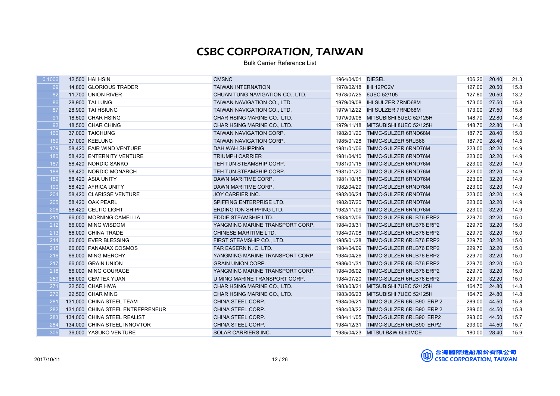| 69<br>20.50<br>15.8<br>14,800 GLORIOUS TRADER<br><b>TAIWAN INTERNATION</b><br>127.00<br>82<br>1978/07/25 6UEC 52/105<br>127.80<br>20.50<br>13.2<br>11,700 UNION RIVER<br>CHUAN TUNG NAVIGATION CO., LTD.<br>86<br>27.50<br>15.8<br>28,900 TAI LUNG<br>TAIWAN NAVIGATION CO., LTD.<br>1979/09/08<br><b>IHI SULZER 7RND68M</b><br>173.00<br>15.8<br>87<br>28,900 TAI HSIUNG<br>TAIWAN NAVIGATION CO., LTD.<br>173.00<br>27.50<br>91<br>14.8<br>18,500 CHAR HSING<br>MITSUBISHI 8UEC 52/125H<br>148.70<br>22.80<br>CHAR HSING MARINE CO., LTD.<br>1979/09/06<br>92<br>14.8<br>148.70<br>22.80<br>18,500 CHAR CHING<br>CHAR HSING MARINE CO., LTD.<br>1979/11/18<br>MITSUBISHI 8UEC 52/125H<br>160<br>15.0<br>187.70<br>37,000 TAICHUNG<br>TAIWAN NAVIGATION CORP.<br>1982/01/20<br>TMMC-SULZER 6RND68M<br>28.40<br>169<br>14.5<br>37.000 KEELUNG<br><b>TAIWAN NAVIGATION CORP.</b><br><b>TMMC-SULZER 5RLB66</b><br>187.70<br>28.40<br>1985/01/28<br>14.9<br>179<br>58.420 FAIR WIND VENTURE<br><b>DAH WAH SHIPPING</b><br>223.00<br>32.20<br>1981/01/06<br>TMMC-SULZER 6RND76M<br>180<br>14.9<br><b>TRIUMPH CARRIER</b><br>223.00<br>58,420 ENTERNITY VENTURE<br>1981/04/10<br>TMMC-SULZER 6RND76M<br>32.20<br>187<br>14.9<br>223.00<br>32.20<br>58,420 NORDIC SANKO<br>TEH TUN STEAMSHIP CORP.<br>1981/01/15<br>TMMC-SULZER 6RND76M<br>188<br>14.9<br>223.00<br>32.20<br>58,420 NORDIC MONARCH<br>TEH TUN STEAMSHIP CORP.<br>1981/01/20<br>TMMC-SULZER 6RND76M<br>189<br>223.00<br>32.20<br>14.9<br>58,420 ASIA UNITY<br>DAWN MARITIME CORP.<br>TMMC-SULZER 6RND76M<br>1981/10/15<br>190<br>14.9<br>58,420 AFRICA UNITY<br>DAWN MARITIME CORP.<br>223.00<br>32.20<br>1982/04/29<br>TMMC-SULZER 6RND76M<br>204<br>223.00<br>32.20<br>14.9<br>58,420 CLARISSE VENTURE<br><b>JOY CARRIER INC.</b><br>1982/06/24<br>TMMC-SULZER 6RND76M<br>205<br>14.9<br>TMMC-SULZER 6RND76M<br>223.00<br>32.20<br>58,420 OAK PEARL<br>SPIFFING ENTERPRISE LTD.<br>1982/07/20<br>14.9<br>206<br>ERDINGTON SHIPPING LTD.<br>223.00<br>32.20<br>58,420 CELTIC LIGHT<br>1982/11/09<br>TMMC-SULZER 6RND76M<br>15.0<br>211<br>66,000 MORNING CAMELLIA<br>229.70<br>32.20<br>EDDIE STEAMSHIP LTD.<br>1983/12/06<br>TMMC-SULZER 6RLB76 ERP2<br>212<br>15.0<br>TMMC-SULZER 6RLB76 ERP2<br>229.70<br>32.20<br>66,000 MING WISDOM<br>YANGMING MARINE TRANSPORT CORP.<br>1984/03/31<br>213<br>15.0<br><b>CHINESE MARITIME LTD.</b><br>229.70<br>32.20<br>66,000 CHINA TRADE<br>1984/07/08<br>TMMC-SULZER 6RLB76 ERP2<br>214<br>15.0<br>229.70<br>32.20<br>66,000 EVER BLESSING<br>FIRST STEAMSHIP CO., LTD.<br>1985/01/28<br>TMMC-SULZER 6RLB76 ERP2<br>215<br>15.0<br>229.70<br>32.20<br>66,000 PANAMAX COSMOS<br>FAR EASERN N. C. LTD.<br>1984/04/09<br>TMMC-SULZER 6RLB76 ERP2<br>216<br>15.0<br>229.70<br>32.20<br>66,000 MING MERCHY<br>YANGMING MARINE TRANSPORT CORP.<br>1984/04/26<br>TMMC-SULZER 6RLB76 ERP2<br>217<br>15.0<br>229.70<br>32.20<br>66,000 GRAIN UNION<br><b>GRAIN UNION CORP.</b><br>1986/01/31<br>TMMC-SULZER 6RLB76 ERP2<br>218<br>229.70<br>32.20<br>15.0<br>66,000 MING COURAGE<br>YANGMING MARINE TRANSPORT CORP.<br>1984/06/02<br>TMMC-SULZER 6RLB76 ERP2<br>269<br>229.70<br>15.0<br>U MING MARINE TRANSPORT CORP.<br>1984/07/20<br>32.20<br>66,000 CEMTEX YUAN<br>TMMC-SULZER 6RLB76 ERP2<br>271<br>14.8<br>22,500 CHAR HWA<br>164.70<br>24.80<br>CHAR HSING MARINE CO., LTD.<br>1983/03/21<br>MITSUBISHI 7UEC 52/125H<br>272<br>14.8<br>22,500 CHAR MING<br>164.70<br>24.80<br>CHAR HSING MARINE CO., LTD.<br>1983/06/23<br>MITSUBISHI 7UEC 52/125H<br>15.8<br>281<br>131,000 CHINA STEEL TEAM<br>TMMC-SULZER 6RLB90 ERP 2<br>289.00<br>44.50<br>CHINA STEEL CORP.<br>1984/06/21<br>282<br>15.8<br>131,000 CHINA STEEL ENTREPRENEUR<br>TMMC-SULZER 6RLB90 ERP 2<br>289.00<br>44.50<br>CHINA STEEL CORP.<br>1984/08/22<br>283<br>134,000 CHINA STEEL REALIST<br>CHINA STEEL CORP.<br>TMMC-SULZER 6RLB90 ERP2<br>293.00<br>44.50<br>15.7<br>1984/11/05<br>284<br>CHINA STEEL CORP.<br>293.00<br>44.50<br>15.7<br>134,000 CHINA STEEL INNOVTOR<br>1984/12/31<br>TMMC-SULZER 6RLB90 ERP2<br>305<br>36,000 YASUKO VENTURE<br>180.00<br>15.9<br>SOLAR CARRIERS INC.<br>1985/04/23 MITSUI B&W 6L60MCE<br>28.40 | 0.1006 | 12,500 HAI HSIN | <b>CMSNC</b> | 1964/04/01 DIESEL | 106.20 | 20.40 | 21.3 |
|----------------------------------------------------------------------------------------------------------------------------------------------------------------------------------------------------------------------------------------------------------------------------------------------------------------------------------------------------------------------------------------------------------------------------------------------------------------------------------------------------------------------------------------------------------------------------------------------------------------------------------------------------------------------------------------------------------------------------------------------------------------------------------------------------------------------------------------------------------------------------------------------------------------------------------------------------------------------------------------------------------------------------------------------------------------------------------------------------------------------------------------------------------------------------------------------------------------------------------------------------------------------------------------------------------------------------------------------------------------------------------------------------------------------------------------------------------------------------------------------------------------------------------------------------------------------------------------------------------------------------------------------------------------------------------------------------------------------------------------------------------------------------------------------------------------------------------------------------------------------------------------------------------------------------------------------------------------------------------------------------------------------------------------------------------------------------------------------------------------------------------------------------------------------------------------------------------------------------------------------------------------------------------------------------------------------------------------------------------------------------------------------------------------------------------------------------------------------------------------------------------------------------------------------------------------------------------------------------------------------------------------------------------------------------------------------------------------------------------------------------------------------------------------------------------------------------------------------------------------------------------------------------------------------------------------------------------------------------------------------------------------------------------------------------------------------------------------------------------------------------------------------------------------------------------------------------------------------------------------------------------------------------------------------------------------------------------------------------------------------------------------------------------------------------------------------------------------------------------------------------------------------------------------------------------------------------------------------------------------------------------------------------------------------------------------------------------------------------------------------------------------------------------------------------------------------------------------------------------------------------------------------------------------------------------------------------------------------------------------------------------------------------------------------------------------------------------------------------------------------------------------------------------------------------------------------------------|--------|-----------------|--------------|-------------------|--------|-------|------|
|                                                                                                                                                                                                                                                                                                                                                                                                                                                                                                                                                                                                                                                                                                                                                                                                                                                                                                                                                                                                                                                                                                                                                                                                                                                                                                                                                                                                                                                                                                                                                                                                                                                                                                                                                                                                                                                                                                                                                                                                                                                                                                                                                                                                                                                                                                                                                                                                                                                                                                                                                                                                                                                                                                                                                                                                                                                                                                                                                                                                                                                                                                                                                                                                                                                                                                                                                                                                                                                                                                                                                                                                                                                                                                                                                                                                                                                                                                                                                                                                                                                                                                                                                                                                          |        |                 |              |                   |        |       |      |
|                                                                                                                                                                                                                                                                                                                                                                                                                                                                                                                                                                                                                                                                                                                                                                                                                                                                                                                                                                                                                                                                                                                                                                                                                                                                                                                                                                                                                                                                                                                                                                                                                                                                                                                                                                                                                                                                                                                                                                                                                                                                                                                                                                                                                                                                                                                                                                                                                                                                                                                                                                                                                                                                                                                                                                                                                                                                                                                                                                                                                                                                                                                                                                                                                                                                                                                                                                                                                                                                                                                                                                                                                                                                                                                                                                                                                                                                                                                                                                                                                                                                                                                                                                                                          |        |                 |              |                   |        |       |      |
|                                                                                                                                                                                                                                                                                                                                                                                                                                                                                                                                                                                                                                                                                                                                                                                                                                                                                                                                                                                                                                                                                                                                                                                                                                                                                                                                                                                                                                                                                                                                                                                                                                                                                                                                                                                                                                                                                                                                                                                                                                                                                                                                                                                                                                                                                                                                                                                                                                                                                                                                                                                                                                                                                                                                                                                                                                                                                                                                                                                                                                                                                                                                                                                                                                                                                                                                                                                                                                                                                                                                                                                                                                                                                                                                                                                                                                                                                                                                                                                                                                                                                                                                                                                                          |        |                 |              |                   |        |       |      |
|                                                                                                                                                                                                                                                                                                                                                                                                                                                                                                                                                                                                                                                                                                                                                                                                                                                                                                                                                                                                                                                                                                                                                                                                                                                                                                                                                                                                                                                                                                                                                                                                                                                                                                                                                                                                                                                                                                                                                                                                                                                                                                                                                                                                                                                                                                                                                                                                                                                                                                                                                                                                                                                                                                                                                                                                                                                                                                                                                                                                                                                                                                                                                                                                                                                                                                                                                                                                                                                                                                                                                                                                                                                                                                                                                                                                                                                                                                                                                                                                                                                                                                                                                                                                          |        |                 |              |                   |        |       |      |
|                                                                                                                                                                                                                                                                                                                                                                                                                                                                                                                                                                                                                                                                                                                                                                                                                                                                                                                                                                                                                                                                                                                                                                                                                                                                                                                                                                                                                                                                                                                                                                                                                                                                                                                                                                                                                                                                                                                                                                                                                                                                                                                                                                                                                                                                                                                                                                                                                                                                                                                                                                                                                                                                                                                                                                                                                                                                                                                                                                                                                                                                                                                                                                                                                                                                                                                                                                                                                                                                                                                                                                                                                                                                                                                                                                                                                                                                                                                                                                                                                                                                                                                                                                                                          |        |                 |              |                   |        |       |      |
|                                                                                                                                                                                                                                                                                                                                                                                                                                                                                                                                                                                                                                                                                                                                                                                                                                                                                                                                                                                                                                                                                                                                                                                                                                                                                                                                                                                                                                                                                                                                                                                                                                                                                                                                                                                                                                                                                                                                                                                                                                                                                                                                                                                                                                                                                                                                                                                                                                                                                                                                                                                                                                                                                                                                                                                                                                                                                                                                                                                                                                                                                                                                                                                                                                                                                                                                                                                                                                                                                                                                                                                                                                                                                                                                                                                                                                                                                                                                                                                                                                                                                                                                                                                                          |        |                 |              |                   |        |       |      |
|                                                                                                                                                                                                                                                                                                                                                                                                                                                                                                                                                                                                                                                                                                                                                                                                                                                                                                                                                                                                                                                                                                                                                                                                                                                                                                                                                                                                                                                                                                                                                                                                                                                                                                                                                                                                                                                                                                                                                                                                                                                                                                                                                                                                                                                                                                                                                                                                                                                                                                                                                                                                                                                                                                                                                                                                                                                                                                                                                                                                                                                                                                                                                                                                                                                                                                                                                                                                                                                                                                                                                                                                                                                                                                                                                                                                                                                                                                                                                                                                                                                                                                                                                                                                          |        |                 |              |                   |        |       |      |
|                                                                                                                                                                                                                                                                                                                                                                                                                                                                                                                                                                                                                                                                                                                                                                                                                                                                                                                                                                                                                                                                                                                                                                                                                                                                                                                                                                                                                                                                                                                                                                                                                                                                                                                                                                                                                                                                                                                                                                                                                                                                                                                                                                                                                                                                                                                                                                                                                                                                                                                                                                                                                                                                                                                                                                                                                                                                                                                                                                                                                                                                                                                                                                                                                                                                                                                                                                                                                                                                                                                                                                                                                                                                                                                                                                                                                                                                                                                                                                                                                                                                                                                                                                                                          |        |                 |              |                   |        |       |      |
|                                                                                                                                                                                                                                                                                                                                                                                                                                                                                                                                                                                                                                                                                                                                                                                                                                                                                                                                                                                                                                                                                                                                                                                                                                                                                                                                                                                                                                                                                                                                                                                                                                                                                                                                                                                                                                                                                                                                                                                                                                                                                                                                                                                                                                                                                                                                                                                                                                                                                                                                                                                                                                                                                                                                                                                                                                                                                                                                                                                                                                                                                                                                                                                                                                                                                                                                                                                                                                                                                                                                                                                                                                                                                                                                                                                                                                                                                                                                                                                                                                                                                                                                                                                                          |        |                 |              |                   |        |       |      |
|                                                                                                                                                                                                                                                                                                                                                                                                                                                                                                                                                                                                                                                                                                                                                                                                                                                                                                                                                                                                                                                                                                                                                                                                                                                                                                                                                                                                                                                                                                                                                                                                                                                                                                                                                                                                                                                                                                                                                                                                                                                                                                                                                                                                                                                                                                                                                                                                                                                                                                                                                                                                                                                                                                                                                                                                                                                                                                                                                                                                                                                                                                                                                                                                                                                                                                                                                                                                                                                                                                                                                                                                                                                                                                                                                                                                                                                                                                                                                                                                                                                                                                                                                                                                          |        |                 |              |                   |        |       |      |
|                                                                                                                                                                                                                                                                                                                                                                                                                                                                                                                                                                                                                                                                                                                                                                                                                                                                                                                                                                                                                                                                                                                                                                                                                                                                                                                                                                                                                                                                                                                                                                                                                                                                                                                                                                                                                                                                                                                                                                                                                                                                                                                                                                                                                                                                                                                                                                                                                                                                                                                                                                                                                                                                                                                                                                                                                                                                                                                                                                                                                                                                                                                                                                                                                                                                                                                                                                                                                                                                                                                                                                                                                                                                                                                                                                                                                                                                                                                                                                                                                                                                                                                                                                                                          |        |                 |              |                   |        |       |      |
|                                                                                                                                                                                                                                                                                                                                                                                                                                                                                                                                                                                                                                                                                                                                                                                                                                                                                                                                                                                                                                                                                                                                                                                                                                                                                                                                                                                                                                                                                                                                                                                                                                                                                                                                                                                                                                                                                                                                                                                                                                                                                                                                                                                                                                                                                                                                                                                                                                                                                                                                                                                                                                                                                                                                                                                                                                                                                                                                                                                                                                                                                                                                                                                                                                                                                                                                                                                                                                                                                                                                                                                                                                                                                                                                                                                                                                                                                                                                                                                                                                                                                                                                                                                                          |        |                 |              |                   |        |       |      |
|                                                                                                                                                                                                                                                                                                                                                                                                                                                                                                                                                                                                                                                                                                                                                                                                                                                                                                                                                                                                                                                                                                                                                                                                                                                                                                                                                                                                                                                                                                                                                                                                                                                                                                                                                                                                                                                                                                                                                                                                                                                                                                                                                                                                                                                                                                                                                                                                                                                                                                                                                                                                                                                                                                                                                                                                                                                                                                                                                                                                                                                                                                                                                                                                                                                                                                                                                                                                                                                                                                                                                                                                                                                                                                                                                                                                                                                                                                                                                                                                                                                                                                                                                                                                          |        |                 |              |                   |        |       |      |
|                                                                                                                                                                                                                                                                                                                                                                                                                                                                                                                                                                                                                                                                                                                                                                                                                                                                                                                                                                                                                                                                                                                                                                                                                                                                                                                                                                                                                                                                                                                                                                                                                                                                                                                                                                                                                                                                                                                                                                                                                                                                                                                                                                                                                                                                                                                                                                                                                                                                                                                                                                                                                                                                                                                                                                                                                                                                                                                                                                                                                                                                                                                                                                                                                                                                                                                                                                                                                                                                                                                                                                                                                                                                                                                                                                                                                                                                                                                                                                                                                                                                                                                                                                                                          |        |                 |              |                   |        |       |      |
|                                                                                                                                                                                                                                                                                                                                                                                                                                                                                                                                                                                                                                                                                                                                                                                                                                                                                                                                                                                                                                                                                                                                                                                                                                                                                                                                                                                                                                                                                                                                                                                                                                                                                                                                                                                                                                                                                                                                                                                                                                                                                                                                                                                                                                                                                                                                                                                                                                                                                                                                                                                                                                                                                                                                                                                                                                                                                                                                                                                                                                                                                                                                                                                                                                                                                                                                                                                                                                                                                                                                                                                                                                                                                                                                                                                                                                                                                                                                                                                                                                                                                                                                                                                                          |        |                 |              |                   |        |       |      |
|                                                                                                                                                                                                                                                                                                                                                                                                                                                                                                                                                                                                                                                                                                                                                                                                                                                                                                                                                                                                                                                                                                                                                                                                                                                                                                                                                                                                                                                                                                                                                                                                                                                                                                                                                                                                                                                                                                                                                                                                                                                                                                                                                                                                                                                                                                                                                                                                                                                                                                                                                                                                                                                                                                                                                                                                                                                                                                                                                                                                                                                                                                                                                                                                                                                                                                                                                                                                                                                                                                                                                                                                                                                                                                                                                                                                                                                                                                                                                                                                                                                                                                                                                                                                          |        |                 |              |                   |        |       |      |
|                                                                                                                                                                                                                                                                                                                                                                                                                                                                                                                                                                                                                                                                                                                                                                                                                                                                                                                                                                                                                                                                                                                                                                                                                                                                                                                                                                                                                                                                                                                                                                                                                                                                                                                                                                                                                                                                                                                                                                                                                                                                                                                                                                                                                                                                                                                                                                                                                                                                                                                                                                                                                                                                                                                                                                                                                                                                                                                                                                                                                                                                                                                                                                                                                                                                                                                                                                                                                                                                                                                                                                                                                                                                                                                                                                                                                                                                                                                                                                                                                                                                                                                                                                                                          |        |                 |              |                   |        |       |      |
|                                                                                                                                                                                                                                                                                                                                                                                                                                                                                                                                                                                                                                                                                                                                                                                                                                                                                                                                                                                                                                                                                                                                                                                                                                                                                                                                                                                                                                                                                                                                                                                                                                                                                                                                                                                                                                                                                                                                                                                                                                                                                                                                                                                                                                                                                                                                                                                                                                                                                                                                                                                                                                                                                                                                                                                                                                                                                                                                                                                                                                                                                                                                                                                                                                                                                                                                                                                                                                                                                                                                                                                                                                                                                                                                                                                                                                                                                                                                                                                                                                                                                                                                                                                                          |        |                 |              |                   |        |       |      |
|                                                                                                                                                                                                                                                                                                                                                                                                                                                                                                                                                                                                                                                                                                                                                                                                                                                                                                                                                                                                                                                                                                                                                                                                                                                                                                                                                                                                                                                                                                                                                                                                                                                                                                                                                                                                                                                                                                                                                                                                                                                                                                                                                                                                                                                                                                                                                                                                                                                                                                                                                                                                                                                                                                                                                                                                                                                                                                                                                                                                                                                                                                                                                                                                                                                                                                                                                                                                                                                                                                                                                                                                                                                                                                                                                                                                                                                                                                                                                                                                                                                                                                                                                                                                          |        |                 |              |                   |        |       |      |
|                                                                                                                                                                                                                                                                                                                                                                                                                                                                                                                                                                                                                                                                                                                                                                                                                                                                                                                                                                                                                                                                                                                                                                                                                                                                                                                                                                                                                                                                                                                                                                                                                                                                                                                                                                                                                                                                                                                                                                                                                                                                                                                                                                                                                                                                                                                                                                                                                                                                                                                                                                                                                                                                                                                                                                                                                                                                                                                                                                                                                                                                                                                                                                                                                                                                                                                                                                                                                                                                                                                                                                                                                                                                                                                                                                                                                                                                                                                                                                                                                                                                                                                                                                                                          |        |                 |              |                   |        |       |      |
|                                                                                                                                                                                                                                                                                                                                                                                                                                                                                                                                                                                                                                                                                                                                                                                                                                                                                                                                                                                                                                                                                                                                                                                                                                                                                                                                                                                                                                                                                                                                                                                                                                                                                                                                                                                                                                                                                                                                                                                                                                                                                                                                                                                                                                                                                                                                                                                                                                                                                                                                                                                                                                                                                                                                                                                                                                                                                                                                                                                                                                                                                                                                                                                                                                                                                                                                                                                                                                                                                                                                                                                                                                                                                                                                                                                                                                                                                                                                                                                                                                                                                                                                                                                                          |        |                 |              |                   |        |       |      |
|                                                                                                                                                                                                                                                                                                                                                                                                                                                                                                                                                                                                                                                                                                                                                                                                                                                                                                                                                                                                                                                                                                                                                                                                                                                                                                                                                                                                                                                                                                                                                                                                                                                                                                                                                                                                                                                                                                                                                                                                                                                                                                                                                                                                                                                                                                                                                                                                                                                                                                                                                                                                                                                                                                                                                                                                                                                                                                                                                                                                                                                                                                                                                                                                                                                                                                                                                                                                                                                                                                                                                                                                                                                                                                                                                                                                                                                                                                                                                                                                                                                                                                                                                                                                          |        |                 |              |                   |        |       |      |
|                                                                                                                                                                                                                                                                                                                                                                                                                                                                                                                                                                                                                                                                                                                                                                                                                                                                                                                                                                                                                                                                                                                                                                                                                                                                                                                                                                                                                                                                                                                                                                                                                                                                                                                                                                                                                                                                                                                                                                                                                                                                                                                                                                                                                                                                                                                                                                                                                                                                                                                                                                                                                                                                                                                                                                                                                                                                                                                                                                                                                                                                                                                                                                                                                                                                                                                                                                                                                                                                                                                                                                                                                                                                                                                                                                                                                                                                                                                                                                                                                                                                                                                                                                                                          |        |                 |              |                   |        |       |      |
|                                                                                                                                                                                                                                                                                                                                                                                                                                                                                                                                                                                                                                                                                                                                                                                                                                                                                                                                                                                                                                                                                                                                                                                                                                                                                                                                                                                                                                                                                                                                                                                                                                                                                                                                                                                                                                                                                                                                                                                                                                                                                                                                                                                                                                                                                                                                                                                                                                                                                                                                                                                                                                                                                                                                                                                                                                                                                                                                                                                                                                                                                                                                                                                                                                                                                                                                                                                                                                                                                                                                                                                                                                                                                                                                                                                                                                                                                                                                                                                                                                                                                                                                                                                                          |        |                 |              |                   |        |       |      |
|                                                                                                                                                                                                                                                                                                                                                                                                                                                                                                                                                                                                                                                                                                                                                                                                                                                                                                                                                                                                                                                                                                                                                                                                                                                                                                                                                                                                                                                                                                                                                                                                                                                                                                                                                                                                                                                                                                                                                                                                                                                                                                                                                                                                                                                                                                                                                                                                                                                                                                                                                                                                                                                                                                                                                                                                                                                                                                                                                                                                                                                                                                                                                                                                                                                                                                                                                                                                                                                                                                                                                                                                                                                                                                                                                                                                                                                                                                                                                                                                                                                                                                                                                                                                          |        |                 |              |                   |        |       |      |
|                                                                                                                                                                                                                                                                                                                                                                                                                                                                                                                                                                                                                                                                                                                                                                                                                                                                                                                                                                                                                                                                                                                                                                                                                                                                                                                                                                                                                                                                                                                                                                                                                                                                                                                                                                                                                                                                                                                                                                                                                                                                                                                                                                                                                                                                                                                                                                                                                                                                                                                                                                                                                                                                                                                                                                                                                                                                                                                                                                                                                                                                                                                                                                                                                                                                                                                                                                                                                                                                                                                                                                                                                                                                                                                                                                                                                                                                                                                                                                                                                                                                                                                                                                                                          |        |                 |              |                   |        |       |      |
|                                                                                                                                                                                                                                                                                                                                                                                                                                                                                                                                                                                                                                                                                                                                                                                                                                                                                                                                                                                                                                                                                                                                                                                                                                                                                                                                                                                                                                                                                                                                                                                                                                                                                                                                                                                                                                                                                                                                                                                                                                                                                                                                                                                                                                                                                                                                                                                                                                                                                                                                                                                                                                                                                                                                                                                                                                                                                                                                                                                                                                                                                                                                                                                                                                                                                                                                                                                                                                                                                                                                                                                                                                                                                                                                                                                                                                                                                                                                                                                                                                                                                                                                                                                                          |        |                 |              |                   |        |       |      |
|                                                                                                                                                                                                                                                                                                                                                                                                                                                                                                                                                                                                                                                                                                                                                                                                                                                                                                                                                                                                                                                                                                                                                                                                                                                                                                                                                                                                                                                                                                                                                                                                                                                                                                                                                                                                                                                                                                                                                                                                                                                                                                                                                                                                                                                                                                                                                                                                                                                                                                                                                                                                                                                                                                                                                                                                                                                                                                                                                                                                                                                                                                                                                                                                                                                                                                                                                                                                                                                                                                                                                                                                                                                                                                                                                                                                                                                                                                                                                                                                                                                                                                                                                                                                          |        |                 |              |                   |        |       |      |
|                                                                                                                                                                                                                                                                                                                                                                                                                                                                                                                                                                                                                                                                                                                                                                                                                                                                                                                                                                                                                                                                                                                                                                                                                                                                                                                                                                                                                                                                                                                                                                                                                                                                                                                                                                                                                                                                                                                                                                                                                                                                                                                                                                                                                                                                                                                                                                                                                                                                                                                                                                                                                                                                                                                                                                                                                                                                                                                                                                                                                                                                                                                                                                                                                                                                                                                                                                                                                                                                                                                                                                                                                                                                                                                                                                                                                                                                                                                                                                                                                                                                                                                                                                                                          |        |                 |              |                   |        |       |      |
|                                                                                                                                                                                                                                                                                                                                                                                                                                                                                                                                                                                                                                                                                                                                                                                                                                                                                                                                                                                                                                                                                                                                                                                                                                                                                                                                                                                                                                                                                                                                                                                                                                                                                                                                                                                                                                                                                                                                                                                                                                                                                                                                                                                                                                                                                                                                                                                                                                                                                                                                                                                                                                                                                                                                                                                                                                                                                                                                                                                                                                                                                                                                                                                                                                                                                                                                                                                                                                                                                                                                                                                                                                                                                                                                                                                                                                                                                                                                                                                                                                                                                                                                                                                                          |        |                 |              |                   |        |       |      |
|                                                                                                                                                                                                                                                                                                                                                                                                                                                                                                                                                                                                                                                                                                                                                                                                                                                                                                                                                                                                                                                                                                                                                                                                                                                                                                                                                                                                                                                                                                                                                                                                                                                                                                                                                                                                                                                                                                                                                                                                                                                                                                                                                                                                                                                                                                                                                                                                                                                                                                                                                                                                                                                                                                                                                                                                                                                                                                                                                                                                                                                                                                                                                                                                                                                                                                                                                                                                                                                                                                                                                                                                                                                                                                                                                                                                                                                                                                                                                                                                                                                                                                                                                                                                          |        |                 |              |                   |        |       |      |
|                                                                                                                                                                                                                                                                                                                                                                                                                                                                                                                                                                                                                                                                                                                                                                                                                                                                                                                                                                                                                                                                                                                                                                                                                                                                                                                                                                                                                                                                                                                                                                                                                                                                                                                                                                                                                                                                                                                                                                                                                                                                                                                                                                                                                                                                                                                                                                                                                                                                                                                                                                                                                                                                                                                                                                                                                                                                                                                                                                                                                                                                                                                                                                                                                                                                                                                                                                                                                                                                                                                                                                                                                                                                                                                                                                                                                                                                                                                                                                                                                                                                                                                                                                                                          |        |                 |              |                   |        |       |      |
|                                                                                                                                                                                                                                                                                                                                                                                                                                                                                                                                                                                                                                                                                                                                                                                                                                                                                                                                                                                                                                                                                                                                                                                                                                                                                                                                                                                                                                                                                                                                                                                                                                                                                                                                                                                                                                                                                                                                                                                                                                                                                                                                                                                                                                                                                                                                                                                                                                                                                                                                                                                                                                                                                                                                                                                                                                                                                                                                                                                                                                                                                                                                                                                                                                                                                                                                                                                                                                                                                                                                                                                                                                                                                                                                                                                                                                                                                                                                                                                                                                                                                                                                                                                                          |        |                 |              |                   |        |       |      |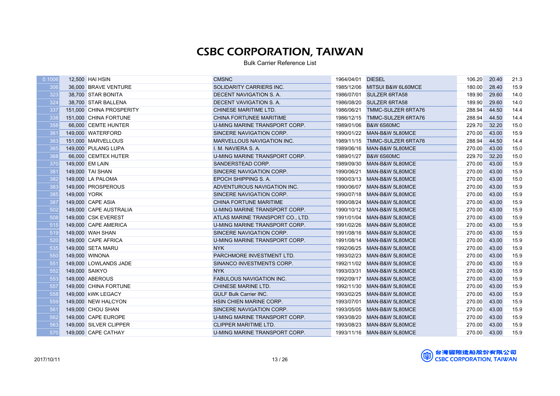| 306<br>15.9<br>36,000 BRAVE VENTURE<br>SOLIDARITY CARRIERS INC.<br>1985/12/06 MITSUI B&W 6L60MCE<br>180.00<br>28.40<br>323<br>189.90<br>29.60<br>14.0<br>38,700 STAR BONITA<br>DECENT NAVIGATION S. A.<br>1986/07/01 SULZER 6RTA58<br>324<br>14.0<br>DECENT VAVIGATION S. A.<br><b>SULZER 6RTA58</b><br>189.90<br>29.60<br>38,700 STAR BALLENA<br>1986/08/20<br>14.4<br>337<br>288.94<br>44.50<br>151,000 CHINA PROSPERITY<br>CHINESE MARITIME LTD.<br>1986/06/21 TMMC-SULZER 6RTA76<br>338<br>14.4<br>288.94<br>44.50<br>151,000 CHINA FORTUNE<br>CHINA FORTUNEE MARITIME<br>1986/12/15<br>TMMC-SULZER 6RTA76<br>358<br>15.0<br>66,000 CEMTE HUNTER<br>229.70<br>32.20<br>U-MING MARINE TRANSPORT CORP.<br>1989/01/06<br><b>B&amp;W 6S60MC</b><br>15.9<br>361<br>270.00<br>149,000 WATERFORD<br>SINCERE NAVIGATION CORP.<br>1990/01/22<br>MAN-B&W 5L80MCE<br>43.00<br>363<br><b>MARVELLOUS NAVIGATION INC.</b><br>288.94<br>44.50<br>14.4<br>151.000 MARVELLOUS<br>1989/11/15<br>TMMC-SULZER 6RTA76<br>365<br>1989/06/16<br>270.00<br>15.0<br>149,000 PULANG LUPA<br>I. M. NAVIERA S. A.<br>MAN-B&W 5L80MCE<br>43.00<br>368<br>229.70<br>15.0<br>66,000 CEMTEX HUTER<br>U-MING MARINE TRANSPORT CORP.<br>1989/01/27<br><b>B&amp;W 6S60MC</b><br>32.20<br>15.9<br>370<br>149,000 EM LAIN<br>SANDERSTEAD CORP.<br>1989/09/30<br>270.00<br>43.00<br>MAN-B&W 5L80MCE<br>381<br>15.9<br>149,000 TAI SHAN<br>1990/06/21<br>270.00<br>43.00<br>SINCERE NAVIGATION CORP.<br>MAN-B&W 5L80MCE<br>382<br>15.0<br>EPOCH SHIPPING S.A.<br>1990/03/13 MAN-B&W 5L80MCE<br>270.00<br>43.00<br>149,000 LA PALOMA<br>383<br>15.9<br>149,000 PROSPEROUS<br>ADVENTUROUS NAVIGATION INC.<br>270.00<br>43.00<br>1990/06/07<br>MAN-B&W 5L80MCE<br>385<br>15.9<br>149,000 YORK<br>1990/07/18 MAN-B&W 5L80MCE<br>270.00<br>43.00<br>SINCERE NAVIGATION CORP.<br>387<br>15.9<br>270.00<br>43.00<br>149,000 CAPE ASIA<br>CHINA FORTUNE MARITIME<br>1990/08/24<br>MAN-B&W 5L80MCE<br>502<br>15.9<br>270.00<br>149,000 CAPE AUSTRALIA<br>U-MING MARINE TRANSPORT CORP.<br>1990/10/12 MAN-B&W 5L80MCE<br>43.00<br>508<br>15.9<br>270.00<br>43.00<br>149,000 CSK EVEREST<br>ATLAS MARINE TRANSPORT CO., LTD.<br>1991/01/04<br>MAN-B&W 5L80MCE<br>515<br>15.9<br>270.00<br>43.00<br>149,000 CAPE AMERICA<br>U-MING MARINE TRANSPORT CORP.<br>1991/02/26<br>MAN-B&W 5L80MCE<br>519<br>15.9<br>SINCERE NAVIGATION CORP.<br>270.00<br>43.00<br>149,000 WAH SHAN<br>1991/08/16<br>MAN-B&W 5L80MCE<br>15.9<br>520<br>270.00<br>149,000 CAPE AFRICA<br>U-MING MARINE TRANSPORT CORP.<br>43.00<br>1991/08/14<br>MAN-B&W 5L80MCE<br>535<br>15.9<br><b>NYK</b><br>270.00<br>43.00<br>149,000 SETA MARU<br>1992/06/25<br>MAN-B&W 5L80MCE<br>550<br>15.9<br>149,000 WINONA<br>PARCHMORE INVESTMENT LTD.<br>1993/02/23<br>270.00<br>43.00<br>MAN-B&W 5L80MCE<br>551<br>15.9<br>149,000 LOWLANDS JADE<br>SINANCO INVESTMENTS CORP.<br>270.00<br>43.00<br>1992/11/02<br>MAN-B&W 5L80MCE<br>552<br>15.9<br><b>NYK</b><br>1993/03/31<br>270.00<br>43.00<br>149,000 SAIKYO<br>MAN-B&W 5L80MCE<br>553<br>15.9<br><b>FABULOUS NAVIGATION INC.</b><br>270.00<br>43.00<br>149,000 ABEROUS<br>1992/09/17<br>MAN-B&W 5L80MCE<br>557<br>15.9<br>270.00<br>43.00<br>149,000 CHINA FORTUNE<br>CHINESE MARINE LTD.<br>1992/11/30<br>MAN-B&W 5L80MCE<br>558<br>15.9<br>270.00<br>43.00<br>149,000 kWK LEGACY<br><b>GULF Bulk Carrier INC.</b><br>1993/02/25<br>MAN-B&W 5L80MCE<br>559<br>15.9<br>270.00<br>43.00<br>149,000 NEW HALCYON<br>HSIN CHIEN MARINE CORP.<br>1993/07/01<br>MAN-B&W 5L80MCE<br>561<br>15.9<br>270.00<br>43.00<br>149,000 CHOU SHAN<br>SINCERE NAVIGATION CORP.<br>1993/05/05<br>MAN-B&W 5L80MCE<br>562<br>U-MING MARINE TRANSPORT CORP.<br>270.00<br>15.9<br>149,000 CAPE EUROPE<br>1993/08/20<br>MAN-B&W 5L80MCE<br>43.00<br>563<br><b>CLIPPER MARITIME LTD.</b><br>270.00<br>15.9<br>149,000 SILVER CLIPPER<br>1993/08/23<br>MAN-B&W 5L80MCE<br>43.00<br>570<br>270.00 43.00<br>15.9<br>149,000 CAPE CATHAY<br>U-MING MARINE TRANSPORT CORP.<br>1993/11/16 MAN-B&W 5L80MCE | 0.1006 | 12,500 HAI HSIN | <b>CMSNC</b> | 1964/04/01 DIESEL | 106.20 | 20.40 | 21.3 |
|-------------------------------------------------------------------------------------------------------------------------------------------------------------------------------------------------------------------------------------------------------------------------------------------------------------------------------------------------------------------------------------------------------------------------------------------------------------------------------------------------------------------------------------------------------------------------------------------------------------------------------------------------------------------------------------------------------------------------------------------------------------------------------------------------------------------------------------------------------------------------------------------------------------------------------------------------------------------------------------------------------------------------------------------------------------------------------------------------------------------------------------------------------------------------------------------------------------------------------------------------------------------------------------------------------------------------------------------------------------------------------------------------------------------------------------------------------------------------------------------------------------------------------------------------------------------------------------------------------------------------------------------------------------------------------------------------------------------------------------------------------------------------------------------------------------------------------------------------------------------------------------------------------------------------------------------------------------------------------------------------------------------------------------------------------------------------------------------------------------------------------------------------------------------------------------------------------------------------------------------------------------------------------------------------------------------------------------------------------------------------------------------------------------------------------------------------------------------------------------------------------------------------------------------------------------------------------------------------------------------------------------------------------------------------------------------------------------------------------------------------------------------------------------------------------------------------------------------------------------------------------------------------------------------------------------------------------------------------------------------------------------------------------------------------------------------------------------------------------------------------------------------------------------------------------------------------------------------------------------------------------------------------------------------------------------------------------------------------------------------------------------------------------------------------------------------------------------------------------------------------------------------------------------------------------------------------------------------------------------------------------------------------------------------------------------------------------------------------------------------------------------------------------------------------------------------------------------------------------------------------------------------------------------------------------------------------------------------------------------------------------------------------------------------|--------|-----------------|--------------|-------------------|--------|-------|------|
|                                                                                                                                                                                                                                                                                                                                                                                                                                                                                                                                                                                                                                                                                                                                                                                                                                                                                                                                                                                                                                                                                                                                                                                                                                                                                                                                                                                                                                                                                                                                                                                                                                                                                                                                                                                                                                                                                                                                                                                                                                                                                                                                                                                                                                                                                                                                                                                                                                                                                                                                                                                                                                                                                                                                                                                                                                                                                                                                                                                                                                                                                                                                                                                                                                                                                                                                                                                                                                                                                                                                                                                                                                                                                                                                                                                                                                                                                                                                                                                                                                           |        |                 |              |                   |        |       |      |
|                                                                                                                                                                                                                                                                                                                                                                                                                                                                                                                                                                                                                                                                                                                                                                                                                                                                                                                                                                                                                                                                                                                                                                                                                                                                                                                                                                                                                                                                                                                                                                                                                                                                                                                                                                                                                                                                                                                                                                                                                                                                                                                                                                                                                                                                                                                                                                                                                                                                                                                                                                                                                                                                                                                                                                                                                                                                                                                                                                                                                                                                                                                                                                                                                                                                                                                                                                                                                                                                                                                                                                                                                                                                                                                                                                                                                                                                                                                                                                                                                                           |        |                 |              |                   |        |       |      |
|                                                                                                                                                                                                                                                                                                                                                                                                                                                                                                                                                                                                                                                                                                                                                                                                                                                                                                                                                                                                                                                                                                                                                                                                                                                                                                                                                                                                                                                                                                                                                                                                                                                                                                                                                                                                                                                                                                                                                                                                                                                                                                                                                                                                                                                                                                                                                                                                                                                                                                                                                                                                                                                                                                                                                                                                                                                                                                                                                                                                                                                                                                                                                                                                                                                                                                                                                                                                                                                                                                                                                                                                                                                                                                                                                                                                                                                                                                                                                                                                                                           |        |                 |              |                   |        |       |      |
|                                                                                                                                                                                                                                                                                                                                                                                                                                                                                                                                                                                                                                                                                                                                                                                                                                                                                                                                                                                                                                                                                                                                                                                                                                                                                                                                                                                                                                                                                                                                                                                                                                                                                                                                                                                                                                                                                                                                                                                                                                                                                                                                                                                                                                                                                                                                                                                                                                                                                                                                                                                                                                                                                                                                                                                                                                                                                                                                                                                                                                                                                                                                                                                                                                                                                                                                                                                                                                                                                                                                                                                                                                                                                                                                                                                                                                                                                                                                                                                                                                           |        |                 |              |                   |        |       |      |
|                                                                                                                                                                                                                                                                                                                                                                                                                                                                                                                                                                                                                                                                                                                                                                                                                                                                                                                                                                                                                                                                                                                                                                                                                                                                                                                                                                                                                                                                                                                                                                                                                                                                                                                                                                                                                                                                                                                                                                                                                                                                                                                                                                                                                                                                                                                                                                                                                                                                                                                                                                                                                                                                                                                                                                                                                                                                                                                                                                                                                                                                                                                                                                                                                                                                                                                                                                                                                                                                                                                                                                                                                                                                                                                                                                                                                                                                                                                                                                                                                                           |        |                 |              |                   |        |       |      |
|                                                                                                                                                                                                                                                                                                                                                                                                                                                                                                                                                                                                                                                                                                                                                                                                                                                                                                                                                                                                                                                                                                                                                                                                                                                                                                                                                                                                                                                                                                                                                                                                                                                                                                                                                                                                                                                                                                                                                                                                                                                                                                                                                                                                                                                                                                                                                                                                                                                                                                                                                                                                                                                                                                                                                                                                                                                                                                                                                                                                                                                                                                                                                                                                                                                                                                                                                                                                                                                                                                                                                                                                                                                                                                                                                                                                                                                                                                                                                                                                                                           |        |                 |              |                   |        |       |      |
|                                                                                                                                                                                                                                                                                                                                                                                                                                                                                                                                                                                                                                                                                                                                                                                                                                                                                                                                                                                                                                                                                                                                                                                                                                                                                                                                                                                                                                                                                                                                                                                                                                                                                                                                                                                                                                                                                                                                                                                                                                                                                                                                                                                                                                                                                                                                                                                                                                                                                                                                                                                                                                                                                                                                                                                                                                                                                                                                                                                                                                                                                                                                                                                                                                                                                                                                                                                                                                                                                                                                                                                                                                                                                                                                                                                                                                                                                                                                                                                                                                           |        |                 |              |                   |        |       |      |
|                                                                                                                                                                                                                                                                                                                                                                                                                                                                                                                                                                                                                                                                                                                                                                                                                                                                                                                                                                                                                                                                                                                                                                                                                                                                                                                                                                                                                                                                                                                                                                                                                                                                                                                                                                                                                                                                                                                                                                                                                                                                                                                                                                                                                                                                                                                                                                                                                                                                                                                                                                                                                                                                                                                                                                                                                                                                                                                                                                                                                                                                                                                                                                                                                                                                                                                                                                                                                                                                                                                                                                                                                                                                                                                                                                                                                                                                                                                                                                                                                                           |        |                 |              |                   |        |       |      |
|                                                                                                                                                                                                                                                                                                                                                                                                                                                                                                                                                                                                                                                                                                                                                                                                                                                                                                                                                                                                                                                                                                                                                                                                                                                                                                                                                                                                                                                                                                                                                                                                                                                                                                                                                                                                                                                                                                                                                                                                                                                                                                                                                                                                                                                                                                                                                                                                                                                                                                                                                                                                                                                                                                                                                                                                                                                                                                                                                                                                                                                                                                                                                                                                                                                                                                                                                                                                                                                                                                                                                                                                                                                                                                                                                                                                                                                                                                                                                                                                                                           |        |                 |              |                   |        |       |      |
|                                                                                                                                                                                                                                                                                                                                                                                                                                                                                                                                                                                                                                                                                                                                                                                                                                                                                                                                                                                                                                                                                                                                                                                                                                                                                                                                                                                                                                                                                                                                                                                                                                                                                                                                                                                                                                                                                                                                                                                                                                                                                                                                                                                                                                                                                                                                                                                                                                                                                                                                                                                                                                                                                                                                                                                                                                                                                                                                                                                                                                                                                                                                                                                                                                                                                                                                                                                                                                                                                                                                                                                                                                                                                                                                                                                                                                                                                                                                                                                                                                           |        |                 |              |                   |        |       |      |
|                                                                                                                                                                                                                                                                                                                                                                                                                                                                                                                                                                                                                                                                                                                                                                                                                                                                                                                                                                                                                                                                                                                                                                                                                                                                                                                                                                                                                                                                                                                                                                                                                                                                                                                                                                                                                                                                                                                                                                                                                                                                                                                                                                                                                                                                                                                                                                                                                                                                                                                                                                                                                                                                                                                                                                                                                                                                                                                                                                                                                                                                                                                                                                                                                                                                                                                                                                                                                                                                                                                                                                                                                                                                                                                                                                                                                                                                                                                                                                                                                                           |        |                 |              |                   |        |       |      |
|                                                                                                                                                                                                                                                                                                                                                                                                                                                                                                                                                                                                                                                                                                                                                                                                                                                                                                                                                                                                                                                                                                                                                                                                                                                                                                                                                                                                                                                                                                                                                                                                                                                                                                                                                                                                                                                                                                                                                                                                                                                                                                                                                                                                                                                                                                                                                                                                                                                                                                                                                                                                                                                                                                                                                                                                                                                                                                                                                                                                                                                                                                                                                                                                                                                                                                                                                                                                                                                                                                                                                                                                                                                                                                                                                                                                                                                                                                                                                                                                                                           |        |                 |              |                   |        |       |      |
|                                                                                                                                                                                                                                                                                                                                                                                                                                                                                                                                                                                                                                                                                                                                                                                                                                                                                                                                                                                                                                                                                                                                                                                                                                                                                                                                                                                                                                                                                                                                                                                                                                                                                                                                                                                                                                                                                                                                                                                                                                                                                                                                                                                                                                                                                                                                                                                                                                                                                                                                                                                                                                                                                                                                                                                                                                                                                                                                                                                                                                                                                                                                                                                                                                                                                                                                                                                                                                                                                                                                                                                                                                                                                                                                                                                                                                                                                                                                                                                                                                           |        |                 |              |                   |        |       |      |
|                                                                                                                                                                                                                                                                                                                                                                                                                                                                                                                                                                                                                                                                                                                                                                                                                                                                                                                                                                                                                                                                                                                                                                                                                                                                                                                                                                                                                                                                                                                                                                                                                                                                                                                                                                                                                                                                                                                                                                                                                                                                                                                                                                                                                                                                                                                                                                                                                                                                                                                                                                                                                                                                                                                                                                                                                                                                                                                                                                                                                                                                                                                                                                                                                                                                                                                                                                                                                                                                                                                                                                                                                                                                                                                                                                                                                                                                                                                                                                                                                                           |        |                 |              |                   |        |       |      |
|                                                                                                                                                                                                                                                                                                                                                                                                                                                                                                                                                                                                                                                                                                                                                                                                                                                                                                                                                                                                                                                                                                                                                                                                                                                                                                                                                                                                                                                                                                                                                                                                                                                                                                                                                                                                                                                                                                                                                                                                                                                                                                                                                                                                                                                                                                                                                                                                                                                                                                                                                                                                                                                                                                                                                                                                                                                                                                                                                                                                                                                                                                                                                                                                                                                                                                                                                                                                                                                                                                                                                                                                                                                                                                                                                                                                                                                                                                                                                                                                                                           |        |                 |              |                   |        |       |      |
|                                                                                                                                                                                                                                                                                                                                                                                                                                                                                                                                                                                                                                                                                                                                                                                                                                                                                                                                                                                                                                                                                                                                                                                                                                                                                                                                                                                                                                                                                                                                                                                                                                                                                                                                                                                                                                                                                                                                                                                                                                                                                                                                                                                                                                                                                                                                                                                                                                                                                                                                                                                                                                                                                                                                                                                                                                                                                                                                                                                                                                                                                                                                                                                                                                                                                                                                                                                                                                                                                                                                                                                                                                                                                                                                                                                                                                                                                                                                                                                                                                           |        |                 |              |                   |        |       |      |
|                                                                                                                                                                                                                                                                                                                                                                                                                                                                                                                                                                                                                                                                                                                                                                                                                                                                                                                                                                                                                                                                                                                                                                                                                                                                                                                                                                                                                                                                                                                                                                                                                                                                                                                                                                                                                                                                                                                                                                                                                                                                                                                                                                                                                                                                                                                                                                                                                                                                                                                                                                                                                                                                                                                                                                                                                                                                                                                                                                                                                                                                                                                                                                                                                                                                                                                                                                                                                                                                                                                                                                                                                                                                                                                                                                                                                                                                                                                                                                                                                                           |        |                 |              |                   |        |       |      |
|                                                                                                                                                                                                                                                                                                                                                                                                                                                                                                                                                                                                                                                                                                                                                                                                                                                                                                                                                                                                                                                                                                                                                                                                                                                                                                                                                                                                                                                                                                                                                                                                                                                                                                                                                                                                                                                                                                                                                                                                                                                                                                                                                                                                                                                                                                                                                                                                                                                                                                                                                                                                                                                                                                                                                                                                                                                                                                                                                                                                                                                                                                                                                                                                                                                                                                                                                                                                                                                                                                                                                                                                                                                                                                                                                                                                                                                                                                                                                                                                                                           |        |                 |              |                   |        |       |      |
|                                                                                                                                                                                                                                                                                                                                                                                                                                                                                                                                                                                                                                                                                                                                                                                                                                                                                                                                                                                                                                                                                                                                                                                                                                                                                                                                                                                                                                                                                                                                                                                                                                                                                                                                                                                                                                                                                                                                                                                                                                                                                                                                                                                                                                                                                                                                                                                                                                                                                                                                                                                                                                                                                                                                                                                                                                                                                                                                                                                                                                                                                                                                                                                                                                                                                                                                                                                                                                                                                                                                                                                                                                                                                                                                                                                                                                                                                                                                                                                                                                           |        |                 |              |                   |        |       |      |
|                                                                                                                                                                                                                                                                                                                                                                                                                                                                                                                                                                                                                                                                                                                                                                                                                                                                                                                                                                                                                                                                                                                                                                                                                                                                                                                                                                                                                                                                                                                                                                                                                                                                                                                                                                                                                                                                                                                                                                                                                                                                                                                                                                                                                                                                                                                                                                                                                                                                                                                                                                                                                                                                                                                                                                                                                                                                                                                                                                                                                                                                                                                                                                                                                                                                                                                                                                                                                                                                                                                                                                                                                                                                                                                                                                                                                                                                                                                                                                                                                                           |        |                 |              |                   |        |       |      |
|                                                                                                                                                                                                                                                                                                                                                                                                                                                                                                                                                                                                                                                                                                                                                                                                                                                                                                                                                                                                                                                                                                                                                                                                                                                                                                                                                                                                                                                                                                                                                                                                                                                                                                                                                                                                                                                                                                                                                                                                                                                                                                                                                                                                                                                                                                                                                                                                                                                                                                                                                                                                                                                                                                                                                                                                                                                                                                                                                                                                                                                                                                                                                                                                                                                                                                                                                                                                                                                                                                                                                                                                                                                                                                                                                                                                                                                                                                                                                                                                                                           |        |                 |              |                   |        |       |      |
|                                                                                                                                                                                                                                                                                                                                                                                                                                                                                                                                                                                                                                                                                                                                                                                                                                                                                                                                                                                                                                                                                                                                                                                                                                                                                                                                                                                                                                                                                                                                                                                                                                                                                                                                                                                                                                                                                                                                                                                                                                                                                                                                                                                                                                                                                                                                                                                                                                                                                                                                                                                                                                                                                                                                                                                                                                                                                                                                                                                                                                                                                                                                                                                                                                                                                                                                                                                                                                                                                                                                                                                                                                                                                                                                                                                                                                                                                                                                                                                                                                           |        |                 |              |                   |        |       |      |
|                                                                                                                                                                                                                                                                                                                                                                                                                                                                                                                                                                                                                                                                                                                                                                                                                                                                                                                                                                                                                                                                                                                                                                                                                                                                                                                                                                                                                                                                                                                                                                                                                                                                                                                                                                                                                                                                                                                                                                                                                                                                                                                                                                                                                                                                                                                                                                                                                                                                                                                                                                                                                                                                                                                                                                                                                                                                                                                                                                                                                                                                                                                                                                                                                                                                                                                                                                                                                                                                                                                                                                                                                                                                                                                                                                                                                                                                                                                                                                                                                                           |        |                 |              |                   |        |       |      |
|                                                                                                                                                                                                                                                                                                                                                                                                                                                                                                                                                                                                                                                                                                                                                                                                                                                                                                                                                                                                                                                                                                                                                                                                                                                                                                                                                                                                                                                                                                                                                                                                                                                                                                                                                                                                                                                                                                                                                                                                                                                                                                                                                                                                                                                                                                                                                                                                                                                                                                                                                                                                                                                                                                                                                                                                                                                                                                                                                                                                                                                                                                                                                                                                                                                                                                                                                                                                                                                                                                                                                                                                                                                                                                                                                                                                                                                                                                                                                                                                                                           |        |                 |              |                   |        |       |      |
|                                                                                                                                                                                                                                                                                                                                                                                                                                                                                                                                                                                                                                                                                                                                                                                                                                                                                                                                                                                                                                                                                                                                                                                                                                                                                                                                                                                                                                                                                                                                                                                                                                                                                                                                                                                                                                                                                                                                                                                                                                                                                                                                                                                                                                                                                                                                                                                                                                                                                                                                                                                                                                                                                                                                                                                                                                                                                                                                                                                                                                                                                                                                                                                                                                                                                                                                                                                                                                                                                                                                                                                                                                                                                                                                                                                                                                                                                                                                                                                                                                           |        |                 |              |                   |        |       |      |
|                                                                                                                                                                                                                                                                                                                                                                                                                                                                                                                                                                                                                                                                                                                                                                                                                                                                                                                                                                                                                                                                                                                                                                                                                                                                                                                                                                                                                                                                                                                                                                                                                                                                                                                                                                                                                                                                                                                                                                                                                                                                                                                                                                                                                                                                                                                                                                                                                                                                                                                                                                                                                                                                                                                                                                                                                                                                                                                                                                                                                                                                                                                                                                                                                                                                                                                                                                                                                                                                                                                                                                                                                                                                                                                                                                                                                                                                                                                                                                                                                                           |        |                 |              |                   |        |       |      |
|                                                                                                                                                                                                                                                                                                                                                                                                                                                                                                                                                                                                                                                                                                                                                                                                                                                                                                                                                                                                                                                                                                                                                                                                                                                                                                                                                                                                                                                                                                                                                                                                                                                                                                                                                                                                                                                                                                                                                                                                                                                                                                                                                                                                                                                                                                                                                                                                                                                                                                                                                                                                                                                                                                                                                                                                                                                                                                                                                                                                                                                                                                                                                                                                                                                                                                                                                                                                                                                                                                                                                                                                                                                                                                                                                                                                                                                                                                                                                                                                                                           |        |                 |              |                   |        |       |      |
|                                                                                                                                                                                                                                                                                                                                                                                                                                                                                                                                                                                                                                                                                                                                                                                                                                                                                                                                                                                                                                                                                                                                                                                                                                                                                                                                                                                                                                                                                                                                                                                                                                                                                                                                                                                                                                                                                                                                                                                                                                                                                                                                                                                                                                                                                                                                                                                                                                                                                                                                                                                                                                                                                                                                                                                                                                                                                                                                                                                                                                                                                                                                                                                                                                                                                                                                                                                                                                                                                                                                                                                                                                                                                                                                                                                                                                                                                                                                                                                                                                           |        |                 |              |                   |        |       |      |
|                                                                                                                                                                                                                                                                                                                                                                                                                                                                                                                                                                                                                                                                                                                                                                                                                                                                                                                                                                                                                                                                                                                                                                                                                                                                                                                                                                                                                                                                                                                                                                                                                                                                                                                                                                                                                                                                                                                                                                                                                                                                                                                                                                                                                                                                                                                                                                                                                                                                                                                                                                                                                                                                                                                                                                                                                                                                                                                                                                                                                                                                                                                                                                                                                                                                                                                                                                                                                                                                                                                                                                                                                                                                                                                                                                                                                                                                                                                                                                                                                                           |        |                 |              |                   |        |       |      |
|                                                                                                                                                                                                                                                                                                                                                                                                                                                                                                                                                                                                                                                                                                                                                                                                                                                                                                                                                                                                                                                                                                                                                                                                                                                                                                                                                                                                                                                                                                                                                                                                                                                                                                                                                                                                                                                                                                                                                                                                                                                                                                                                                                                                                                                                                                                                                                                                                                                                                                                                                                                                                                                                                                                                                                                                                                                                                                                                                                                                                                                                                                                                                                                                                                                                                                                                                                                                                                                                                                                                                                                                                                                                                                                                                                                                                                                                                                                                                                                                                                           |        |                 |              |                   |        |       |      |
|                                                                                                                                                                                                                                                                                                                                                                                                                                                                                                                                                                                                                                                                                                                                                                                                                                                                                                                                                                                                                                                                                                                                                                                                                                                                                                                                                                                                                                                                                                                                                                                                                                                                                                                                                                                                                                                                                                                                                                                                                                                                                                                                                                                                                                                                                                                                                                                                                                                                                                                                                                                                                                                                                                                                                                                                                                                                                                                                                                                                                                                                                                                                                                                                                                                                                                                                                                                                                                                                                                                                                                                                                                                                                                                                                                                                                                                                                                                                                                                                                                           |        |                 |              |                   |        |       |      |
|                                                                                                                                                                                                                                                                                                                                                                                                                                                                                                                                                                                                                                                                                                                                                                                                                                                                                                                                                                                                                                                                                                                                                                                                                                                                                                                                                                                                                                                                                                                                                                                                                                                                                                                                                                                                                                                                                                                                                                                                                                                                                                                                                                                                                                                                                                                                                                                                                                                                                                                                                                                                                                                                                                                                                                                                                                                                                                                                                                                                                                                                                                                                                                                                                                                                                                                                                                                                                                                                                                                                                                                                                                                                                                                                                                                                                                                                                                                                                                                                                                           |        |                 |              |                   |        |       |      |
|                                                                                                                                                                                                                                                                                                                                                                                                                                                                                                                                                                                                                                                                                                                                                                                                                                                                                                                                                                                                                                                                                                                                                                                                                                                                                                                                                                                                                                                                                                                                                                                                                                                                                                                                                                                                                                                                                                                                                                                                                                                                                                                                                                                                                                                                                                                                                                                                                                                                                                                                                                                                                                                                                                                                                                                                                                                                                                                                                                                                                                                                                                                                                                                                                                                                                                                                                                                                                                                                                                                                                                                                                                                                                                                                                                                                                                                                                                                                                                                                                                           |        |                 |              |                   |        |       |      |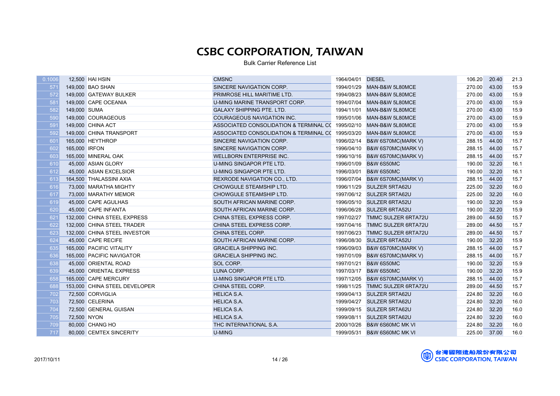| 571<br>15.9<br>149,000 BAO SHAN<br>1994/01/29 MAN-B&W 5L80MCE<br>270.00<br>43.00<br>SINCERE NAVIGATION CORP.<br>572<br>15.9<br>149,000 GATEWAY BULKER<br>PRIMROSE HILL MARITIME LTD.<br>1994/08/23<br>270.00<br>43.00<br>MAN-B&W 5L80MCE<br>581<br>15.9<br>U-MING MARINE TRANSPORT CORP.<br>43.00<br>149,000 CAPE OCEANIA<br>1994/07/04<br>270.00<br>MAN-B&W 5L80MCE<br>582<br>15.9<br>149,000 SUMA<br><b>GALAXY SHIPPING PTE. LTD.</b><br>270.00<br>43.00<br>1994/11/01<br>MAN-B&W 5L80MCE<br>590<br>15.9<br>149,000 COURAGEOUS<br>COURAGEOUS NAVIGATION INC.<br>270.00<br>43.00<br>1995/01/06<br>MAN-B&W 5L80MCE<br>591<br>15.9<br>43.00<br>149,000 CHINA ACT<br>ASSOCIATED CONSOLIDATION & TERMINAL C( 1995/02/10<br>MAN-B&W 5L80MCE<br>270.00<br>592<br>15.9<br>149,000 CHINA TRANSPORT<br>ASSOCIATED CONSOLIDATION & TERMINAL C( 1995/03/20<br>270.00<br>43.00<br>MAN-B&W 5L80MCE<br>601<br>15.7<br>165,000 HEYTHROP<br>SINCERE NAVIGATION CORP.<br>B&W 6S70MC(MARK V)<br>288.15<br>44.00<br>1996/02/14<br>15.7<br>602<br>165,000 IRFON<br>SINCERE NAVIGATION CORP.<br>1996/04/10<br>B&W 6S70MC(MARK V)<br>288.15<br>44.00<br>15.7<br>603<br>165,000 MINERAL OAK<br>288.15<br>44.00<br>WELLBORN ENTERPRISE INC.<br>1996/10/16<br>B&W 6S70MC(MARK V)<br>610<br>16.1<br>45,000 ASIAN GLORY<br>B&W 6S50MC<br>190.00<br>32.20<br>U-MING SINGAPOR PTE LTD.<br>1996/01/09<br>612<br>16.1<br>U-MING SINGAPOR PTE LTD.<br>190.00<br>32.20<br>45,000 ASIAN EXCELSIOR<br>1996/03/01<br><b>B&amp;W 6S50MC</b><br>613<br>15.7<br>164,500 THALASSINI AXIA<br>1996/07/04<br>288.15<br>44.00<br><b>REXRODE NAVIGATION CO., LTD.</b><br>B&W 6S70MC(MARK V)<br>16.0<br>616<br>32.20<br>73,000 MARATHA MIGHTY<br>CHOWGULE STEAMSHIP LTD.<br>1996/11/29<br>SULZER 5RTA62U<br>225.00<br>16.0<br>617<br>CHOWGULE STEAMSHIP LTD.<br>1997/06/12 SULZER 5RTA62U<br>225.00<br>32.20<br>73,000 MARATHY MEMOR<br>619<br>15.9<br>190.00<br>32.20<br>45,000 CAPE AGULHAS<br>SOUTH AFRICAN MARINE CORP.<br>1996/05/10 SULZER 6RTA52U<br>15.9<br>620<br>45,000 CAPE INFANTA<br>SOUTH AFRICAN MARINE CORP.<br>1996/06/28<br><b>SULZER 6RTA52U</b><br>190.00<br>32.20<br>15.7<br>621<br>289.00<br>132,000 CHINA STEEL EXPRESS<br>CHINA STEEL EXPRESS CORP.<br>1997/02/27<br>TMMC SULZER 6RTA72U<br>44.50<br>622<br>15.7<br>132,000 CHINA STEEL TRADER<br>289.00<br>44.50<br>CHINA STEEL EXPRESS CORP.<br>1997/04/16<br>TMMC SULZER 6RTA72U<br>623<br>15.7<br>289.00<br>132,000 CHINA STEEL INVESTOR<br>CHINA STEEL CORP.<br>1997/06/23<br>TMMC SULZER 6RTA72U<br>44.50<br>15.9<br>624<br>SOUTH AFRICAN MARINE CORP.<br>45,000 CAPE RECIFE<br>1996/08/30<br><b>SULZER 6RTA52U</b><br>190.00<br>32.20<br>15.7<br>635<br>165,000 PACIFIC VITALITY<br><b>GRACIELA SHIPPING INC.</b><br>1996/09/03<br>B&W 6S70MC(MARK V)<br>288.15<br>44.00<br>636<br>15.7<br>165,000 PACIFIC NAVIGATOR<br><b>GRACIELA SHIPPING INC.</b><br>1997/01/09<br>B&W 6S70MC(MARK V)<br>288.15<br>44.00<br>638<br>15.9<br>45,000 ORIENTAL ROAD<br>1997/01/21<br><b>B&amp;W 6S50MC</b><br>190.00<br>32.20<br>SOL CORP.<br>639<br>15.9<br>45,000 ORIENTAL EXPRESS<br>LUNA CORP.<br>1997/03/17<br><b>B&amp;W 6S50MC</b><br>190.00<br>32.20<br>15.7<br>658<br>165,000 CAPE MERCURY<br>U-MING SINGAPOR PTE LTD.<br>1997/12/05<br>288.15<br>44.00<br>B&W 6S70MC(MARK V)<br>15.7<br>688<br>153,000 CHINA STEEL DEVELOPER<br>289.00<br>44.50<br>CHINA STEEL CORP.<br>1998/11/25<br><b>TMMC SULZER 6RTA72U</b><br>16.0<br>702<br>72,500 CORVIGLIA<br><b>HELICA S.A.</b><br>SULZER 5RTA62U<br>224.80<br>32.20<br>1999/04/13<br>16.0<br>703<br>72,500 CELERINA<br><b>HELICA S.A.</b><br><b>SULZER 5RTA62U</b><br>224.80<br>32.20<br>1999/04/27<br>704<br>16.0<br>72,500 GENERAL GUISAN<br><b>HELICA S.A.</b><br>224.80<br>32.20<br>1999/09/15<br><b>SULZER 5RTA62U</b><br>16.0<br>705<br><b>HELICA S.A.</b><br>224.80<br>32.20<br>72,500 NYON<br>1999/08/11<br>SULZER 5RTA62U<br>80,000 CHANG HO<br>THC INTERNATIONAL S.A.<br>224.80<br>32.20<br>16.0<br>709<br>2000/10/26<br><b>B&amp;W 6S60MC MK VI</b><br>717<br>80,000 CEMTEX SINCERITY<br>225.00 37.00<br>16.0<br><b>U-MING</b><br>1999/05/31 B&W 6S60MC MK VI | 0.1006 | 12,500 HAI HSIN | <b>CMSNC</b> | 1964/04/01 | <b>DIESEL</b> | 106.20 | 20.40 | 21.3 |
|-------------------------------------------------------------------------------------------------------------------------------------------------------------------------------------------------------------------------------------------------------------------------------------------------------------------------------------------------------------------------------------------------------------------------------------------------------------------------------------------------------------------------------------------------------------------------------------------------------------------------------------------------------------------------------------------------------------------------------------------------------------------------------------------------------------------------------------------------------------------------------------------------------------------------------------------------------------------------------------------------------------------------------------------------------------------------------------------------------------------------------------------------------------------------------------------------------------------------------------------------------------------------------------------------------------------------------------------------------------------------------------------------------------------------------------------------------------------------------------------------------------------------------------------------------------------------------------------------------------------------------------------------------------------------------------------------------------------------------------------------------------------------------------------------------------------------------------------------------------------------------------------------------------------------------------------------------------------------------------------------------------------------------------------------------------------------------------------------------------------------------------------------------------------------------------------------------------------------------------------------------------------------------------------------------------------------------------------------------------------------------------------------------------------------------------------------------------------------------------------------------------------------------------------------------------------------------------------------------------------------------------------------------------------------------------------------------------------------------------------------------------------------------------------------------------------------------------------------------------------------------------------------------------------------------------------------------------------------------------------------------------------------------------------------------------------------------------------------------------------------------------------------------------------------------------------------------------------------------------------------------------------------------------------------------------------------------------------------------------------------------------------------------------------------------------------------------------------------------------------------------------------------------------------------------------------------------------------------------------------------------------------------------------------------------------------------------------------------------------------------------------------------------------------------------------------------------------------------------------------------------------------------------------------------------------------------------------------------------------------------------------------------------------------------------------------------------------------------------------------------------------------------|--------|-----------------|--------------|------------|---------------|--------|-------|------|
|                                                                                                                                                                                                                                                                                                                                                                                                                                                                                                                                                                                                                                                                                                                                                                                                                                                                                                                                                                                                                                                                                                                                                                                                                                                                                                                                                                                                                                                                                                                                                                                                                                                                                                                                                                                                                                                                                                                                                                                                                                                                                                                                                                                                                                                                                                                                                                                                                                                                                                                                                                                                                                                                                                                                                                                                                                                                                                                                                                                                                                                                                                                                                                                                                                                                                                                                                                                                                                                                                                                                                                                                                                                                                                                                                                                                                                                                                                                                                                                                                                                                                                                                                 |        |                 |              |            |               |        |       |      |
|                                                                                                                                                                                                                                                                                                                                                                                                                                                                                                                                                                                                                                                                                                                                                                                                                                                                                                                                                                                                                                                                                                                                                                                                                                                                                                                                                                                                                                                                                                                                                                                                                                                                                                                                                                                                                                                                                                                                                                                                                                                                                                                                                                                                                                                                                                                                                                                                                                                                                                                                                                                                                                                                                                                                                                                                                                                                                                                                                                                                                                                                                                                                                                                                                                                                                                                                                                                                                                                                                                                                                                                                                                                                                                                                                                                                                                                                                                                                                                                                                                                                                                                                                 |        |                 |              |            |               |        |       |      |
|                                                                                                                                                                                                                                                                                                                                                                                                                                                                                                                                                                                                                                                                                                                                                                                                                                                                                                                                                                                                                                                                                                                                                                                                                                                                                                                                                                                                                                                                                                                                                                                                                                                                                                                                                                                                                                                                                                                                                                                                                                                                                                                                                                                                                                                                                                                                                                                                                                                                                                                                                                                                                                                                                                                                                                                                                                                                                                                                                                                                                                                                                                                                                                                                                                                                                                                                                                                                                                                                                                                                                                                                                                                                                                                                                                                                                                                                                                                                                                                                                                                                                                                                                 |        |                 |              |            |               |        |       |      |
|                                                                                                                                                                                                                                                                                                                                                                                                                                                                                                                                                                                                                                                                                                                                                                                                                                                                                                                                                                                                                                                                                                                                                                                                                                                                                                                                                                                                                                                                                                                                                                                                                                                                                                                                                                                                                                                                                                                                                                                                                                                                                                                                                                                                                                                                                                                                                                                                                                                                                                                                                                                                                                                                                                                                                                                                                                                                                                                                                                                                                                                                                                                                                                                                                                                                                                                                                                                                                                                                                                                                                                                                                                                                                                                                                                                                                                                                                                                                                                                                                                                                                                                                                 |        |                 |              |            |               |        |       |      |
|                                                                                                                                                                                                                                                                                                                                                                                                                                                                                                                                                                                                                                                                                                                                                                                                                                                                                                                                                                                                                                                                                                                                                                                                                                                                                                                                                                                                                                                                                                                                                                                                                                                                                                                                                                                                                                                                                                                                                                                                                                                                                                                                                                                                                                                                                                                                                                                                                                                                                                                                                                                                                                                                                                                                                                                                                                                                                                                                                                                                                                                                                                                                                                                                                                                                                                                                                                                                                                                                                                                                                                                                                                                                                                                                                                                                                                                                                                                                                                                                                                                                                                                                                 |        |                 |              |            |               |        |       |      |
|                                                                                                                                                                                                                                                                                                                                                                                                                                                                                                                                                                                                                                                                                                                                                                                                                                                                                                                                                                                                                                                                                                                                                                                                                                                                                                                                                                                                                                                                                                                                                                                                                                                                                                                                                                                                                                                                                                                                                                                                                                                                                                                                                                                                                                                                                                                                                                                                                                                                                                                                                                                                                                                                                                                                                                                                                                                                                                                                                                                                                                                                                                                                                                                                                                                                                                                                                                                                                                                                                                                                                                                                                                                                                                                                                                                                                                                                                                                                                                                                                                                                                                                                                 |        |                 |              |            |               |        |       |      |
|                                                                                                                                                                                                                                                                                                                                                                                                                                                                                                                                                                                                                                                                                                                                                                                                                                                                                                                                                                                                                                                                                                                                                                                                                                                                                                                                                                                                                                                                                                                                                                                                                                                                                                                                                                                                                                                                                                                                                                                                                                                                                                                                                                                                                                                                                                                                                                                                                                                                                                                                                                                                                                                                                                                                                                                                                                                                                                                                                                                                                                                                                                                                                                                                                                                                                                                                                                                                                                                                                                                                                                                                                                                                                                                                                                                                                                                                                                                                                                                                                                                                                                                                                 |        |                 |              |            |               |        |       |      |
|                                                                                                                                                                                                                                                                                                                                                                                                                                                                                                                                                                                                                                                                                                                                                                                                                                                                                                                                                                                                                                                                                                                                                                                                                                                                                                                                                                                                                                                                                                                                                                                                                                                                                                                                                                                                                                                                                                                                                                                                                                                                                                                                                                                                                                                                                                                                                                                                                                                                                                                                                                                                                                                                                                                                                                                                                                                                                                                                                                                                                                                                                                                                                                                                                                                                                                                                                                                                                                                                                                                                                                                                                                                                                                                                                                                                                                                                                                                                                                                                                                                                                                                                                 |        |                 |              |            |               |        |       |      |
|                                                                                                                                                                                                                                                                                                                                                                                                                                                                                                                                                                                                                                                                                                                                                                                                                                                                                                                                                                                                                                                                                                                                                                                                                                                                                                                                                                                                                                                                                                                                                                                                                                                                                                                                                                                                                                                                                                                                                                                                                                                                                                                                                                                                                                                                                                                                                                                                                                                                                                                                                                                                                                                                                                                                                                                                                                                                                                                                                                                                                                                                                                                                                                                                                                                                                                                                                                                                                                                                                                                                                                                                                                                                                                                                                                                                                                                                                                                                                                                                                                                                                                                                                 |        |                 |              |            |               |        |       |      |
|                                                                                                                                                                                                                                                                                                                                                                                                                                                                                                                                                                                                                                                                                                                                                                                                                                                                                                                                                                                                                                                                                                                                                                                                                                                                                                                                                                                                                                                                                                                                                                                                                                                                                                                                                                                                                                                                                                                                                                                                                                                                                                                                                                                                                                                                                                                                                                                                                                                                                                                                                                                                                                                                                                                                                                                                                                                                                                                                                                                                                                                                                                                                                                                                                                                                                                                                                                                                                                                                                                                                                                                                                                                                                                                                                                                                                                                                                                                                                                                                                                                                                                                                                 |        |                 |              |            |               |        |       |      |
|                                                                                                                                                                                                                                                                                                                                                                                                                                                                                                                                                                                                                                                                                                                                                                                                                                                                                                                                                                                                                                                                                                                                                                                                                                                                                                                                                                                                                                                                                                                                                                                                                                                                                                                                                                                                                                                                                                                                                                                                                                                                                                                                                                                                                                                                                                                                                                                                                                                                                                                                                                                                                                                                                                                                                                                                                                                                                                                                                                                                                                                                                                                                                                                                                                                                                                                                                                                                                                                                                                                                                                                                                                                                                                                                                                                                                                                                                                                                                                                                                                                                                                                                                 |        |                 |              |            |               |        |       |      |
|                                                                                                                                                                                                                                                                                                                                                                                                                                                                                                                                                                                                                                                                                                                                                                                                                                                                                                                                                                                                                                                                                                                                                                                                                                                                                                                                                                                                                                                                                                                                                                                                                                                                                                                                                                                                                                                                                                                                                                                                                                                                                                                                                                                                                                                                                                                                                                                                                                                                                                                                                                                                                                                                                                                                                                                                                                                                                                                                                                                                                                                                                                                                                                                                                                                                                                                                                                                                                                                                                                                                                                                                                                                                                                                                                                                                                                                                                                                                                                                                                                                                                                                                                 |        |                 |              |            |               |        |       |      |
|                                                                                                                                                                                                                                                                                                                                                                                                                                                                                                                                                                                                                                                                                                                                                                                                                                                                                                                                                                                                                                                                                                                                                                                                                                                                                                                                                                                                                                                                                                                                                                                                                                                                                                                                                                                                                                                                                                                                                                                                                                                                                                                                                                                                                                                                                                                                                                                                                                                                                                                                                                                                                                                                                                                                                                                                                                                                                                                                                                                                                                                                                                                                                                                                                                                                                                                                                                                                                                                                                                                                                                                                                                                                                                                                                                                                                                                                                                                                                                                                                                                                                                                                                 |        |                 |              |            |               |        |       |      |
|                                                                                                                                                                                                                                                                                                                                                                                                                                                                                                                                                                                                                                                                                                                                                                                                                                                                                                                                                                                                                                                                                                                                                                                                                                                                                                                                                                                                                                                                                                                                                                                                                                                                                                                                                                                                                                                                                                                                                                                                                                                                                                                                                                                                                                                                                                                                                                                                                                                                                                                                                                                                                                                                                                                                                                                                                                                                                                                                                                                                                                                                                                                                                                                                                                                                                                                                                                                                                                                                                                                                                                                                                                                                                                                                                                                                                                                                                                                                                                                                                                                                                                                                                 |        |                 |              |            |               |        |       |      |
|                                                                                                                                                                                                                                                                                                                                                                                                                                                                                                                                                                                                                                                                                                                                                                                                                                                                                                                                                                                                                                                                                                                                                                                                                                                                                                                                                                                                                                                                                                                                                                                                                                                                                                                                                                                                                                                                                                                                                                                                                                                                                                                                                                                                                                                                                                                                                                                                                                                                                                                                                                                                                                                                                                                                                                                                                                                                                                                                                                                                                                                                                                                                                                                                                                                                                                                                                                                                                                                                                                                                                                                                                                                                                                                                                                                                                                                                                                                                                                                                                                                                                                                                                 |        |                 |              |            |               |        |       |      |
|                                                                                                                                                                                                                                                                                                                                                                                                                                                                                                                                                                                                                                                                                                                                                                                                                                                                                                                                                                                                                                                                                                                                                                                                                                                                                                                                                                                                                                                                                                                                                                                                                                                                                                                                                                                                                                                                                                                                                                                                                                                                                                                                                                                                                                                                                                                                                                                                                                                                                                                                                                                                                                                                                                                                                                                                                                                                                                                                                                                                                                                                                                                                                                                                                                                                                                                                                                                                                                                                                                                                                                                                                                                                                                                                                                                                                                                                                                                                                                                                                                                                                                                                                 |        |                 |              |            |               |        |       |      |
|                                                                                                                                                                                                                                                                                                                                                                                                                                                                                                                                                                                                                                                                                                                                                                                                                                                                                                                                                                                                                                                                                                                                                                                                                                                                                                                                                                                                                                                                                                                                                                                                                                                                                                                                                                                                                                                                                                                                                                                                                                                                                                                                                                                                                                                                                                                                                                                                                                                                                                                                                                                                                                                                                                                                                                                                                                                                                                                                                                                                                                                                                                                                                                                                                                                                                                                                                                                                                                                                                                                                                                                                                                                                                                                                                                                                                                                                                                                                                                                                                                                                                                                                                 |        |                 |              |            |               |        |       |      |
|                                                                                                                                                                                                                                                                                                                                                                                                                                                                                                                                                                                                                                                                                                                                                                                                                                                                                                                                                                                                                                                                                                                                                                                                                                                                                                                                                                                                                                                                                                                                                                                                                                                                                                                                                                                                                                                                                                                                                                                                                                                                                                                                                                                                                                                                                                                                                                                                                                                                                                                                                                                                                                                                                                                                                                                                                                                                                                                                                                                                                                                                                                                                                                                                                                                                                                                                                                                                                                                                                                                                                                                                                                                                                                                                                                                                                                                                                                                                                                                                                                                                                                                                                 |        |                 |              |            |               |        |       |      |
|                                                                                                                                                                                                                                                                                                                                                                                                                                                                                                                                                                                                                                                                                                                                                                                                                                                                                                                                                                                                                                                                                                                                                                                                                                                                                                                                                                                                                                                                                                                                                                                                                                                                                                                                                                                                                                                                                                                                                                                                                                                                                                                                                                                                                                                                                                                                                                                                                                                                                                                                                                                                                                                                                                                                                                                                                                                                                                                                                                                                                                                                                                                                                                                                                                                                                                                                                                                                                                                                                                                                                                                                                                                                                                                                                                                                                                                                                                                                                                                                                                                                                                                                                 |        |                 |              |            |               |        |       |      |
|                                                                                                                                                                                                                                                                                                                                                                                                                                                                                                                                                                                                                                                                                                                                                                                                                                                                                                                                                                                                                                                                                                                                                                                                                                                                                                                                                                                                                                                                                                                                                                                                                                                                                                                                                                                                                                                                                                                                                                                                                                                                                                                                                                                                                                                                                                                                                                                                                                                                                                                                                                                                                                                                                                                                                                                                                                                                                                                                                                                                                                                                                                                                                                                                                                                                                                                                                                                                                                                                                                                                                                                                                                                                                                                                                                                                                                                                                                                                                                                                                                                                                                                                                 |        |                 |              |            |               |        |       |      |
|                                                                                                                                                                                                                                                                                                                                                                                                                                                                                                                                                                                                                                                                                                                                                                                                                                                                                                                                                                                                                                                                                                                                                                                                                                                                                                                                                                                                                                                                                                                                                                                                                                                                                                                                                                                                                                                                                                                                                                                                                                                                                                                                                                                                                                                                                                                                                                                                                                                                                                                                                                                                                                                                                                                                                                                                                                                                                                                                                                                                                                                                                                                                                                                                                                                                                                                                                                                                                                                                                                                                                                                                                                                                                                                                                                                                                                                                                                                                                                                                                                                                                                                                                 |        |                 |              |            |               |        |       |      |
|                                                                                                                                                                                                                                                                                                                                                                                                                                                                                                                                                                                                                                                                                                                                                                                                                                                                                                                                                                                                                                                                                                                                                                                                                                                                                                                                                                                                                                                                                                                                                                                                                                                                                                                                                                                                                                                                                                                                                                                                                                                                                                                                                                                                                                                                                                                                                                                                                                                                                                                                                                                                                                                                                                                                                                                                                                                                                                                                                                                                                                                                                                                                                                                                                                                                                                                                                                                                                                                                                                                                                                                                                                                                                                                                                                                                                                                                                                                                                                                                                                                                                                                                                 |        |                 |              |            |               |        |       |      |
|                                                                                                                                                                                                                                                                                                                                                                                                                                                                                                                                                                                                                                                                                                                                                                                                                                                                                                                                                                                                                                                                                                                                                                                                                                                                                                                                                                                                                                                                                                                                                                                                                                                                                                                                                                                                                                                                                                                                                                                                                                                                                                                                                                                                                                                                                                                                                                                                                                                                                                                                                                                                                                                                                                                                                                                                                                                                                                                                                                                                                                                                                                                                                                                                                                                                                                                                                                                                                                                                                                                                                                                                                                                                                                                                                                                                                                                                                                                                                                                                                                                                                                                                                 |        |                 |              |            |               |        |       |      |
|                                                                                                                                                                                                                                                                                                                                                                                                                                                                                                                                                                                                                                                                                                                                                                                                                                                                                                                                                                                                                                                                                                                                                                                                                                                                                                                                                                                                                                                                                                                                                                                                                                                                                                                                                                                                                                                                                                                                                                                                                                                                                                                                                                                                                                                                                                                                                                                                                                                                                                                                                                                                                                                                                                                                                                                                                                                                                                                                                                                                                                                                                                                                                                                                                                                                                                                                                                                                                                                                                                                                                                                                                                                                                                                                                                                                                                                                                                                                                                                                                                                                                                                                                 |        |                 |              |            |               |        |       |      |
|                                                                                                                                                                                                                                                                                                                                                                                                                                                                                                                                                                                                                                                                                                                                                                                                                                                                                                                                                                                                                                                                                                                                                                                                                                                                                                                                                                                                                                                                                                                                                                                                                                                                                                                                                                                                                                                                                                                                                                                                                                                                                                                                                                                                                                                                                                                                                                                                                                                                                                                                                                                                                                                                                                                                                                                                                                                                                                                                                                                                                                                                                                                                                                                                                                                                                                                                                                                                                                                                                                                                                                                                                                                                                                                                                                                                                                                                                                                                                                                                                                                                                                                                                 |        |                 |              |            |               |        |       |      |
|                                                                                                                                                                                                                                                                                                                                                                                                                                                                                                                                                                                                                                                                                                                                                                                                                                                                                                                                                                                                                                                                                                                                                                                                                                                                                                                                                                                                                                                                                                                                                                                                                                                                                                                                                                                                                                                                                                                                                                                                                                                                                                                                                                                                                                                                                                                                                                                                                                                                                                                                                                                                                                                                                                                                                                                                                                                                                                                                                                                                                                                                                                                                                                                                                                                                                                                                                                                                                                                                                                                                                                                                                                                                                                                                                                                                                                                                                                                                                                                                                                                                                                                                                 |        |                 |              |            |               |        |       |      |
|                                                                                                                                                                                                                                                                                                                                                                                                                                                                                                                                                                                                                                                                                                                                                                                                                                                                                                                                                                                                                                                                                                                                                                                                                                                                                                                                                                                                                                                                                                                                                                                                                                                                                                                                                                                                                                                                                                                                                                                                                                                                                                                                                                                                                                                                                                                                                                                                                                                                                                                                                                                                                                                                                                                                                                                                                                                                                                                                                                                                                                                                                                                                                                                                                                                                                                                                                                                                                                                                                                                                                                                                                                                                                                                                                                                                                                                                                                                                                                                                                                                                                                                                                 |        |                 |              |            |               |        |       |      |
|                                                                                                                                                                                                                                                                                                                                                                                                                                                                                                                                                                                                                                                                                                                                                                                                                                                                                                                                                                                                                                                                                                                                                                                                                                                                                                                                                                                                                                                                                                                                                                                                                                                                                                                                                                                                                                                                                                                                                                                                                                                                                                                                                                                                                                                                                                                                                                                                                                                                                                                                                                                                                                                                                                                                                                                                                                                                                                                                                                                                                                                                                                                                                                                                                                                                                                                                                                                                                                                                                                                                                                                                                                                                                                                                                                                                                                                                                                                                                                                                                                                                                                                                                 |        |                 |              |            |               |        |       |      |
|                                                                                                                                                                                                                                                                                                                                                                                                                                                                                                                                                                                                                                                                                                                                                                                                                                                                                                                                                                                                                                                                                                                                                                                                                                                                                                                                                                                                                                                                                                                                                                                                                                                                                                                                                                                                                                                                                                                                                                                                                                                                                                                                                                                                                                                                                                                                                                                                                                                                                                                                                                                                                                                                                                                                                                                                                                                                                                                                                                                                                                                                                                                                                                                                                                                                                                                                                                                                                                                                                                                                                                                                                                                                                                                                                                                                                                                                                                                                                                                                                                                                                                                                                 |        |                 |              |            |               |        |       |      |
|                                                                                                                                                                                                                                                                                                                                                                                                                                                                                                                                                                                                                                                                                                                                                                                                                                                                                                                                                                                                                                                                                                                                                                                                                                                                                                                                                                                                                                                                                                                                                                                                                                                                                                                                                                                                                                                                                                                                                                                                                                                                                                                                                                                                                                                                                                                                                                                                                                                                                                                                                                                                                                                                                                                                                                                                                                                                                                                                                                                                                                                                                                                                                                                                                                                                                                                                                                                                                                                                                                                                                                                                                                                                                                                                                                                                                                                                                                                                                                                                                                                                                                                                                 |        |                 |              |            |               |        |       |      |
|                                                                                                                                                                                                                                                                                                                                                                                                                                                                                                                                                                                                                                                                                                                                                                                                                                                                                                                                                                                                                                                                                                                                                                                                                                                                                                                                                                                                                                                                                                                                                                                                                                                                                                                                                                                                                                                                                                                                                                                                                                                                                                                                                                                                                                                                                                                                                                                                                                                                                                                                                                                                                                                                                                                                                                                                                                                                                                                                                                                                                                                                                                                                                                                                                                                                                                                                                                                                                                                                                                                                                                                                                                                                                                                                                                                                                                                                                                                                                                                                                                                                                                                                                 |        |                 |              |            |               |        |       |      |
|                                                                                                                                                                                                                                                                                                                                                                                                                                                                                                                                                                                                                                                                                                                                                                                                                                                                                                                                                                                                                                                                                                                                                                                                                                                                                                                                                                                                                                                                                                                                                                                                                                                                                                                                                                                                                                                                                                                                                                                                                                                                                                                                                                                                                                                                                                                                                                                                                                                                                                                                                                                                                                                                                                                                                                                                                                                                                                                                                                                                                                                                                                                                                                                                                                                                                                                                                                                                                                                                                                                                                                                                                                                                                                                                                                                                                                                                                                                                                                                                                                                                                                                                                 |        |                 |              |            |               |        |       |      |
|                                                                                                                                                                                                                                                                                                                                                                                                                                                                                                                                                                                                                                                                                                                                                                                                                                                                                                                                                                                                                                                                                                                                                                                                                                                                                                                                                                                                                                                                                                                                                                                                                                                                                                                                                                                                                                                                                                                                                                                                                                                                                                                                                                                                                                                                                                                                                                                                                                                                                                                                                                                                                                                                                                                                                                                                                                                                                                                                                                                                                                                                                                                                                                                                                                                                                                                                                                                                                                                                                                                                                                                                                                                                                                                                                                                                                                                                                                                                                                                                                                                                                                                                                 |        |                 |              |            |               |        |       |      |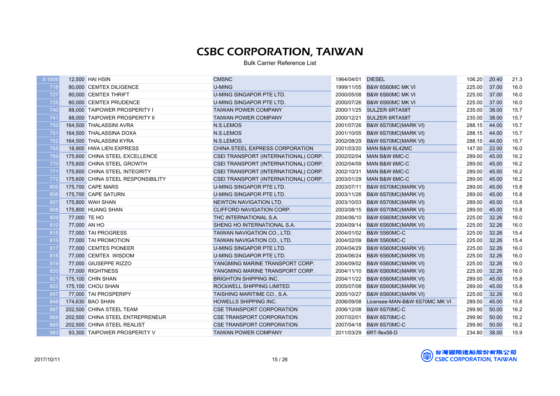| 0.1006 |              | 12,500 HAI HSIN                    | <b>CMSNC</b>                         | 1964/04/01 | <b>DIESEL</b>                  | 106.20 | 20.40 | 21.3 |
|--------|--------------|------------------------------------|--------------------------------------|------------|--------------------------------|--------|-------|------|
| 718    |              | 80,000 CEMTEX DILIGENCE            | <b>U-MING</b>                        |            | 1999/11/05 B&W 6S60MC MK VI    | 225.00 | 37.00 | 16.0 |
| 727    |              | 80,000 CEMTEX THRIFT               | U-MING SINGAPOR PTE LTD.             | 2000/05/08 | <b>B&amp;W 6S60MC MK VI</b>    | 225.00 | 37.00 | 16.0 |
| 728    |              | 80,000 CEMTEX PRUDENCE             | U-MING SINGAPOR PTE LTD.             | 2000/07/26 | <b>B&amp;W 6S60MC MK VI</b>    | 225.00 | 37.00 | 16.0 |
| 740    |              | 88,000 TAIPOWER PROSPERITY I       | <b>TAIWAN POWER COMPANY</b>          | 2000/11/25 | <b>SULZER 6RTA58T</b>          | 235.00 | 38.00 | 15.7 |
| 741    |              | 88,000 TAIPOWER PROSPERITY II      | <b>TAIWAN POWER COMPANY</b>          | 2000/12/21 | <b>SULZER 6RTA58T</b>          | 235.00 | 38.00 | 15.7 |
| 750    |              | 164,500 THALASSINI AVRA            | N.S.LEMOS                            | 2001/07/26 | <b>B&amp;W 6S70MC(MARK VI)</b> | 288.15 | 44.00 | 15.7 |
| 751    |              | 164,500 THALASSINA DOXA            | N.S.LEMOS                            | 2001/10/05 | <b>B&amp;W 6S70MC(MARK VI)</b> | 288.15 | 44.00 | 15.7 |
| 752    |              | 164,500 THALASSINI KYRA            | <b>N.S.LEMOS</b>                     | 2002/08/29 | B&W 6S70MC(MARK VI)            | 288.15 | 44.00 | 15.7 |
| 768    |              | 18,900 HWA LIEN EXPRESS            | CHINA STEEL EXPRESS CORPORATION      | 2001/03/20 | MAN B&W 6L42MC                 | 147.00 | 22.00 | 16.0 |
| 769    |              | 175,600 CHINA STEEL EXCELLENCE     | CSEI TRANSPORT (INTERNATIONAL) CORP. | 2002/02/04 | MAN B&W 6MC-C                  | 289.00 | 45.00 | 16.2 |
| 770    |              | 175,600 CHINA STEEL GROWTH         | CSEI TRANSPORT (INTERNATIONAL) CORP. | 2002/04/09 | MAN B&W 6MC-C                  | 289.00 | 45.00 | 16.2 |
| 771    |              | 175,600 CHINA STEEL INTEGRITY      | CSEI TRANSPORT (INTERNATIONAL) CORP. | 2002/10/31 | MAN B&W 6MC-C                  | 289.00 | 45.00 | 16.2 |
| 772    |              | 175,600 CHINA STEEL RESPONSIBILITY | CSEI TRANSPORT (INTERNATIONAL) CORP. | 2003/01/29 | MAN B&W 6MC-C                  | 289.00 | 45.00 | 16.2 |
| 805    |              | 175,700 CAPE MARS                  | U-MING SINGAPOR PTE LTD.             | 2003/07/11 | <b>B&amp;W 6S70MC(MARK VI)</b> | 289.00 | 45.00 | 15.8 |
| 806    |              | 175,700 CAPE SATURN                | U-MING SINGAPOR PTE LTD.             | 2003/11/26 | <b>B&amp;W 6S70MC(MARK VI)</b> | 289.00 | 45.00 | 15.8 |
| 807    |              | 175,800 WAH SHAN                   | NEWTON NAVIGATION LTD.               | 2003/10/03 | B&W 6S70MC(MARK VI)            | 289.00 | 45.00 | 15.8 |
| 808    |              | 175,800 HUANG SHAN                 | CLIFFORD NAVIGATION CORP.            | 2003/08/15 | B&W 6S70MC(MARK VI)            | 289.00 | 45.00 | 15.8 |
| 809    | 77,000 TE HO |                                    | THC INTERNATIONAL S.A.               | 2004/06/10 | B&W 6S60MC(MARK VI)            | 225.00 | 32.26 | 16.0 |
| 810    | 77,000 AN HO |                                    | SHENG HO INTERNATIONAL S.A.          | 2004/09/14 | B&W 6S60MC(MARK VI)            | 225.00 | 32.26 | 16.0 |
| 815    |              | 77,000 TAI PROGRESS                | TAIWAN NAVIGATION CO., LTD.          | 2004/01/02 | <b>B&amp;W 5S60MC-C</b>        | 225.00 | 32.26 | 15.4 |
| 816    |              | 77,000 TAI PROMOTION               | TAIWAN NAVIGATION CO., LTD.          | 2004/02/09 | <b>B&amp;W 5S60MC-C</b>        | 225.00 | 32.26 | 15.4 |
| 817    |              | 77,000 CEMTES PIONEER              | U-MING SINGAPOR PTE LTD.             | 2004/04/29 | B&W 6S60MC(MARK VI)            | 225.00 | 32.26 | 16.0 |
| 818    |              | 77,000 CEMTEX WISDOM               | U-MING SINGAPOR PTE LTD.             | 2004/06/24 | B&W 6S60MC(MARK VI)            | 225.00 | 32.26 | 16.0 |
| 819    |              | 77,000 GIUSEPPE RIZZO              | YANGMING MARINE TRANSPORT CORP.      | 2004/09/02 | B&W 6S60MC(MARK VI)            | 225.00 | 32.26 | 16.0 |
| 820    |              | 77,000 RIGHTNESS                   | YANGMING MARINE TRANSPORT CORP.      | 2004/11/10 | <b>B&amp;W 6S60MC(MARK VI)</b> | 225.00 | 32.26 | 16.0 |
| 821    |              | 175,100 CHIN SHAN                  | <b>BRIGHTON SHIPPING INC.</b>        | 2004/11/22 | B&W 6S60MC(MARK VI)            | 289.00 | 45.00 | 15.8 |
| 822    |              | 175,100 CHOU SHAN                  | ROCKWELL SHIPPING LIMITED            | 2005/07/08 | B&W 6S60MC(MARK VI)            | 289.00 | 45.00 | 15.8 |
| 847    |              | 77,000 TAI PROSPERIPY              | TAISHING MARITIME CO., S.A.          | 2005/10/27 | B&W 6S60MC(MARK VI)            | 225.00 | 32.26 | 16.0 |
| 848    |              | 174,630 BAO SHAN                   | HOWELLS SHIPPING INC.                | 2006/09/08 | Licensee-MAN-B&W 6S70MC MK VI  | 289.00 | 45.00 | 15.8 |
| 867    |              | 202,500 CHINA STEEL TEAM           | <b>CSE TRANSPORT CORPORATION</b>     | 2006/12/08 | B&W 6S70MC-C                   | 299.90 | 50.00 | 16.2 |
| 868    |              | 202,500 CHINA STEEL ENTREPRENEUR   | <b>CSE TRANSPORT CORPORATION</b>     | 2007/02/01 | B&W 6S70MC-C                   | 299.90 | 50.00 | 16.2 |
| 869    |              | 202,500 CHINA STEEL REALIST        | <b>CSE TRANSPORT CORPORATION</b>     | 2007/04/18 | B&W 6S70MC-C                   | 299.90 | 50.00 | 16.2 |
| 983    |              | 93,300 TAIPOWER PROSPERITY V       | <b>TAIWAN POWER COMPANY</b>          |            | 2011/03/29 6RT-flex58-D        | 234.80 | 38.00 | 15.9 |
|        |              |                                    |                                      |            |                                |        |       |      |

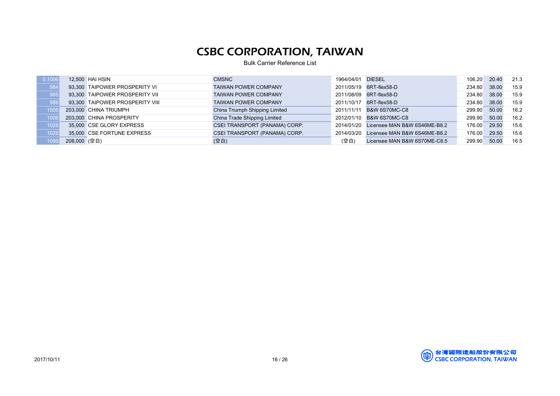| 0.1006 |              | 12,500 HAI HSIN                 | <b>CMSNC</b>                   | 1964/04/01 | <b>DIESEL</b>                | 106.20 | 20.40 | 21.3 |
|--------|--------------|---------------------------------|--------------------------------|------------|------------------------------|--------|-------|------|
| 984    |              | 93.300 TAIPOWER PROSPERITY VI   | <b>TAIWAN POWER COMPANY</b>    | 2011/05/19 | 6RT-flex58-D                 | 234.80 | 38.00 | 15.9 |
| 985    |              | 93.300 TAIPOWER PROSPERITY VII  | <b>TAIWAN POWER COMPANY</b>    | 2011/08/09 | 6RT-flex58-D                 | 234.80 | 38.00 | 15.9 |
| 986    |              | 93.300 TAIPOWER PROSPERITY VIII | <b>TAIWAN POWER COMPANY</b>    | 2011/10/17 | 6RT-flex58-D                 | 234.80 | 38.00 | 15.9 |
| 1005   |              | 203,000 CHINA TRIUMPH           | China Triumph Shipping Limited | 2011/11/11 | <b>B&amp;W 6S70MC-C8</b>     | 299.90 | 50.00 | 16.2 |
| 1006   |              | 203,000 CHINA PROSPERITY        | China Trade Shipping Limited   | 2012/01/10 | <b>B&amp;W 6S70MC-C8</b>     | 299.90 | 50.00 | 16.2 |
| 1028   |              | 35,000 CSE GLORY EXPRESS        | CSEI TRANSPORT (PANAMA) CORP.  | 2014/01/20 | Licensee MAN B&W 6S46ME-B8.2 | 176.00 | 29.50 | 15.6 |
| 1029   |              | 35,000 CSE FORTUNE EXPRESS      | CSEI TRANSPORT (PANAMA) CORP.  | 2014/03/20 | Licensee MAN B&W 6S46ME-B8.2 | 176.00 | 29.50 | 15.6 |
| 1099   | 208,000 (空白) |                                 | (空白)                           | (空白)       | Licensee MAN B&W 6S70ME-C8.5 | 299.90 | 50.00 | 16.5 |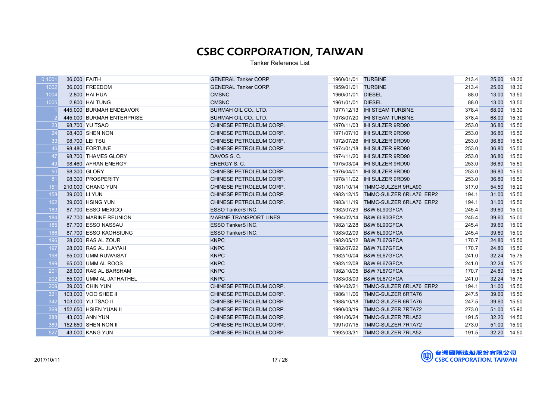Tanker Reference List

| 0.1001 | 36,000 FAITH  |                           | <b>GENERAL Tanker CORP.</b>   | 1960/01/01 TURBINE |                                    | 213.4 | 25.60       | 18.30 |
|--------|---------------|---------------------------|-------------------------------|--------------------|------------------------------------|-------|-------------|-------|
| 1002   |               | 36,000 FREEDOM            | <b>GENERAL Tanker CORP.</b>   | 1959/01/01 TURBINE |                                    | 213.4 | 25.60       | 18.30 |
| 1004   |               | 2,800 HAI HUA             | <b>CMSNC</b>                  | 1960/01/01 DIESEL  |                                    | 88.0  | 13.00       | 13.50 |
| 1005   |               | 2,800 HAI TUNG            | <b>CMSNC</b>                  | 1961/01/01 DIESEL  |                                    | 88.0  | 13.00       | 13.50 |
|        |               | 445,000 BURMAH ENDEAVOR   | BURMAH OIL CO., LTD.          |                    | 1977/12/13 IHI STEAM TURBINE       | 378.4 | 68.00       | 15.30 |
|        |               | 445,000 BURMAH ENTERPRISE | BURMAH OIL CO., LTD.          |                    | 1978/07/20 IHI STEAM TURBINE       | 378.4 | 68.00       | 15.30 |
| 23     |               | 98,700 YU TSAO            | CHINESE PETROLEUM CORP.       |                    | 1970/11/03 IHI SULZER 9RD90        | 253.0 | 36.80       | 15.50 |
| 24     |               | 98,400 SHEN NON           | CHINESE PETROLEUM CORP.       |                    | 1971/07/10 IHI SULZER 9RD90        | 253.0 | 36.80       | 15.50 |
| 33     |               | 98,700 LEI TSU            | CHINESE PETROLEUM CORP.       |                    | 1972/07/26    IHI SULZER 9RD90     | 253.0 | 36.80       | 15.50 |
| 46     |               | 98,480 FORTUNE            | CHINESE PETROLEUM CORP.       |                    | 1974/01/18    IHI SULZER 9RD90     | 253.0 | 36.80       | 15.50 |
| 47     |               | 98,700 THAMES GLORY       | DAVOS S.C.                    |                    | 1974/11/20 IHI SULZER 9RD90        | 253.0 | 36.80       | 15.50 |
| 49     |               | 98,460 AFRAN ENERGY       | <b>ENERGY S. C.</b>           |                    | 1975/03/04 IHI SULZER 9RD90        | 253.0 | 36.80       | 15.50 |
| 50     |               | 98,300 GLORY              | CHINESE PETROLEUM CORP.       |                    | 1976/04/01 IHI SULZER 9RD90        | 253.0 | 36.80       | 15.50 |
| 81     |               | 98,300 PROSPERITY         | CHINESE PETROLEUM CORP.       |                    | 1978/11/02 IHI SULZER 9RD90        | 253.0 | 36.80       | 15.50 |
| 151    |               | 210,000 CHANG YUN         | CHINESE PETROLEUM CORP.       |                    | 1981/10/14 TMMC-SULZER 9RLA90      | 317.0 | 54.50       | 15.20 |
| 158    | 39,000 LI YUN |                           | CHINESE PETROLEUM CORP.       |                    | 1982/12/15 TMMC-SULZER 6RLA76 ERP2 | 194.1 | 31.00       | 15.50 |
| 162    |               | 39,000 HSING YUN          | CHINESE PETROLEUM CORP.       |                    | 1983/11/19 TMMC-SULZER 6RLA76 ERP2 | 194.1 | 31.00       | 15.50 |
| 183    |               | 87,700 ESSO MEXICO        | <b>ESSO TankerS INC.</b>      |                    | 1982/07/29 B&W 6L90GFCA            | 245.4 | 39.60       | 15.00 |
| 184    |               | 87,700 MARINE REUNION     | <b>MARINE TRANSPORT LINES</b> |                    | 1994/02/14 B&W 6L90GFCA            | 245.4 | 39.60       | 15.00 |
| 185    |               | 87.700 ESSO NASSAU        | <b>ESSO TankerS INC.</b>      |                    | 1982/12/28 B&W 6L90GFCA            | 245.4 | 39.60       | 15.00 |
| 186    |               | 87,700 ESSO KAOHSIUNG     | ESSO TankerS INC.             |                    | 1983/02/09 B&W 6L90GFCA            | 245.4 | 39.60       | 15.00 |
| 196    |               | 28,000 RAS AL ZOUR        | <b>KNPC</b>                   |                    | 1982/05/12 B&W 7L67GFCA            | 170.7 | 24.80       | 15.50 |
| 197    |               | 28,000 RAS AL JLAY'AH     | <b>KNPC</b>                   |                    | 1982/07/22 B&W 7L67GFCA            | 170.7 | 24.80       | 15.50 |
| 198    |               | 65,000 UMM RUWAISAT       | <b>KNPC</b>                   |                    | 1982/10/04 B&W 9L67GFCA            | 241.0 | 32.24       | 15.75 |
| 199    |               | 65,000 UMM AL ROOS        | <b>KNPC</b>                   |                    | 1982/12/08 B&W 9L67GFCA            | 241.0 | 32.24       | 15.75 |
| 201    |               | 28,000 RAS AL BARSHAM     | <b>KNPC</b>                   |                    | 1982/10/05 B&W 7L67GFCA            | 170.7 | 24.80       | 15.50 |
| 202    |               | 65,000 UMM AL JATHATHEL   | <b>KNPC</b>                   |                    | 1983/03/09 B&W 9L67GFCA            | 241.0 | 32.24       | 15.75 |
| 209    |               | 39,000 CHIN YUN           | CHINESE PETROLEUM CORP.       | 1984/02/21         | TMMC-SULZER 6RLA76 ERP2            | 194.1 | 31.00       | 15.50 |
| 321    |               | 103,000 VOO SHEE II       | CHINESE PETROLEUM CORP.       |                    | 1986/11/06 TMMC-SULZER 6RTA76      | 247.5 | 39.60       | 15.50 |
| 342    |               | 103,000 YU TSAO II        | CHINESE PETROLEUM CORP.       |                    | 1988/10/18 TMMC-SULZER 6RTA76      | 247.5 | 39.60       | 15.50 |
| 369    |               | 152,650 HSIEN YUAN II     | CHINESE PETROLEUM CORP.       |                    | 1990/03/19 TMMC-SULZER 7RTA72      | 273.0 | 51.00       | 15.90 |
| 388    |               | 43,000 ANN YUN            | CHINESE PETROLEUM CORP.       |                    | 1991/06/24 TMMC-SULZER 7RLA52      | 191.5 | 32.20       | 14.50 |
| 389    |               | 152,650 SHEN NON II       | CHINESE PETROLEUM CORP.       |                    | 1991/07/15 TMMC-SULZER 7RTA72      | 273.0 | 51.00       | 15.90 |
| 527    |               | 43,000 KANG YUN           | CHINESE PETROLEUM CORP.       |                    | 1992/03/31 TMMC-SULZER 7RLA52      | 191.5 | 32.20 14.50 |       |

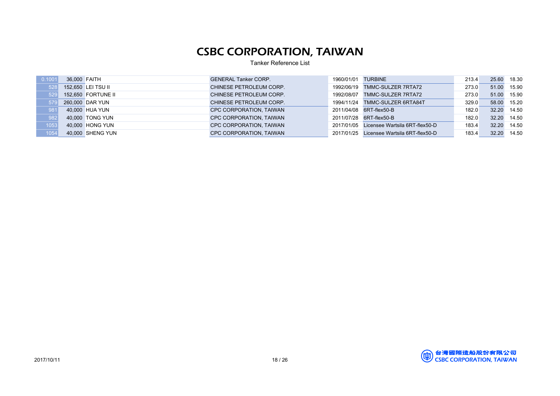Tanker Reference List

| 0.1001 | 36,000 FAITH |                    | <b>GENERAL Tanker CORP.</b> | 1960/01/01 TURBINE |                                           | 213.4 | 25.60 | 18.30 |
|--------|--------------|--------------------|-----------------------------|--------------------|-------------------------------------------|-------|-------|-------|
| 528    |              | 152,650 LEI TSU II | CHINESE PETROLEUM CORP.     |                    | 1992/06/19 TMMC-SULZER 7RTA72             | 273.0 | 51.00 | 15.90 |
| 529    |              | 152.650 FORTUNE II | CHINESE PETROLEUM CORP.     |                    | 1992/08/07 TMMC-SULZER 7RTA72             | 273.0 | 51.00 | 15.90 |
| 579    |              | 260,000 DAR YUN    | CHINESE PETROLEUM CORP.     |                    | 1994/11/24 TMMC-SULZER 6RTA84T            | 329.0 | 58.00 | 15.20 |
| 981    |              | 40,000 HUA YUN     | CPC CORPORATION, TAIWAN     |                    | 2011/04/08 6RT-flex50-B                   | 182.0 | 32.20 | 14.50 |
| 982    |              | 40,000 TONG YUN    | CPC CORPORATION. TAIWAN     |                    | 2011/07/28 6RT-flex50-B                   | 182.0 | 32.20 | 14.50 |
| 1053   |              | 40,000 HONG YUN    | CPC CORPORATION, TAIWAN     |                    | 2017/01/05 Licensee Wartsila 6RT-flex50-D | 183.4 | 32.20 | 14.50 |
| 1054   |              | 40,000 SHENG YUN   | CPC CORPORATION, TAIWAN     |                    | 2017/01/25 Licensee Wartsila 6RT-flex50-D | 183.4 | 32.20 | 14.50 |

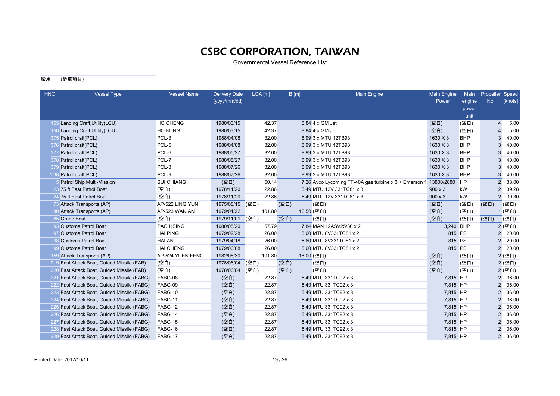Governmental Vessel Reference List

#### 船東 (多重項目)

| <b>HNO</b> | <b>Vessel Type</b>                          | <b>Vessel Name</b> | <b>Delivery Date</b><br>[yyyy/mm/dd] | LOA [m] | B[m] | <b>Main Engine</b>                                    | <b>Main Engine</b><br>Power | Main<br>engine<br>power | Propeller Speed<br>No. | [knots] |
|------------|---------------------------------------------|--------------------|--------------------------------------|---------|------|-------------------------------------------------------|-----------------------------|-------------------------|------------------------|---------|
|            |                                             |                    |                                      |         |      |                                                       |                             | unit                    |                        |         |
|            | 155 Landing Craft, Utility (LCU)            | HO CHENG           | 1980/03/15                           | 42.37   |      | 8.84 4 x GM Jet                                       | (空白)                        | (空白)                    | $\overline{4}$         | 5.00    |
|            | 156 Landing Craft, Utility (LCU)            | <b>HO KUNG</b>     | 1980/03/15                           | 42.37   |      | 8.84 4 x GM Jet                                       | (空白)                        | (空白)                    | $\overline{4}$         | 5.00    |
|            | 375 Patrol craft(PCL)                       | PCL-3              | 1988/04/08                           | 32.00   |      | 8.99 3 x MTU 12TB93                                   | 1630 X 3                    | <b>BHP</b>              | 3                      | 40.00   |
|            | 376 Patrol craft(PCL)                       | PCL-5              | 1988/04/08                           | 32.00   |      | 8.99 3 x MTU 12TB93                                   | 1630 X 3                    | <b>BHP</b>              | 3                      | 40.00   |
|            | 377 Patrol craft(PCL)                       | PCL-6              | 1988/05/27                           | 32.00   |      | 8.99 3 x MTU 12TB93                                   | 1630 X 3                    | <b>BHP</b>              | 3                      | 40.00   |
|            | 378 Patrol craft(PCL)                       | PCL-7              | 1988/05/27                           | 32.00   |      | 8.99 3 x MTU 12TB93                                   | 1630 X 3                    | <b>BHP</b>              | 3                      | 40.00   |
|            | 379 Patrol craft(PCL)                       | PCL-8              | 1988/07/26                           | 32.00   |      | 8.99 3 x MTU 12TB93                                   | 1630 X 3                    | <b>BHP</b>              | 3                      | 40.00   |
| 1.38       | Patrol craft(PCL)                           | PCL-9              | 1988/07/26                           | 32.00   |      | 8.99 3 x MTU 12TB93                                   | 1630 X 3                    | <b>BHP</b>              | 3                      | 40.00   |
|            | <b>Patrol Ship Multi-Mission</b>            | <b>SUI CHIANG</b>  | (空白)                                 | 50.14   |      | 7.26 Avco Lycoming TF-40A gas turbine x 3 + Emerson 1 | 13800/2880                  | <b>HP</b>               | $\overline{2}$         | 38.00   |
|            | 23 75 ft Fast Patrol Boat                   | (空白)               | 1978/11/20                           | 22.86   |      | 5.49 MTU 12V 331TC81 x 3                              | $900 \times 3$              | kW                      | $\overline{2}$         | 39.28   |
|            | 24 75 ft Fast Patrol Boat                   | (空白)               | 1978/11/20                           | 22.86   |      | 5.49 MTU 12V 331TC81 x 3                              | $900 \times 3$              | kW                      | $\overline{2}$         | 39.30   |
|            | 73 Attack Transports (AP)                   | AP-522 LING YUN    | 1975/08/15                           | (空白)    | (空白) | (空白)                                                  | (空白)                        | (空白)                    | (空白)                   | (空白)    |
|            | 80 Attack Transports (AP)                   | AP-523 WAN AN      | 1979/01/22                           | 101.80  |      | 16.50 (空白)                                            | (空白)                        | (空白)                    |                        | 1 (空白)  |
|            | <b>Crane Boat</b>                           | (空白)               | 1979/11/01                           | (空白)    | (空白) | (空白)                                                  | (空白)                        | (空白)                    | (空白)                   | (空白)    |
| -93        | <b>Customs Patrol Boat</b>                  | PAO HSING          | 1980/05/20                           | 57.79   |      | 7.84 MAN 12ASV25/30 x 2                               | 3,240 BHP                   |                         |                        | 2 (空白)  |
|            | 97 Customs Patrol Boat                      | <b>HAI PING</b>    | 1979/02/28                           | 26.00   |      | 5.60 MTU 8V331TC81 x 2                                | 815 PS                      |                         | $\overline{2}$         | 20.00   |
|            | <b>Customs Patrol Boat</b>                  | <b>HAI AN</b>      | 1979/04/18                           | 26.00   |      | 5.60 MTU 8V331TC81 x 2                                | 815 PS                      |                         | $\overline{2}$         | 20.00   |
|            | <b>Customs Patrol Boat</b>                  | <b>HAI CHENG</b>   | 1979/06/08                           | 26.00   |      | 5.60 MTU 8V331TC81 x 2                                | 815 PS                      |                         | $\overline{2}$         | 20.00   |
|            | 159 Attack Transports (AP)                  | AP-524 YUEN FENG   | 1982/08/30                           | 101.80  |      | 18.00 (空白)                                            | (空白)                        | (空白)                    |                        | 2 (空白)  |
|            | 219 Fast Attack Boat, Guided Missile (FAB)  | (空白)               | 1978/06/04                           | (空白)    | (空白) | (空白)                                                  | (空白)                        | (空白)                    |                        | 2 (空白)  |
|            | 220 Fast Attack Boat, Guided Missile (FAB)  | (空白)               | 1978/06/04                           | (空白)    | (空白) | (空白)                                                  | (空白)                        | (空白)                    |                        | 2 (空白)  |
|            | 221 Fast Attack Boat, Guided Missile (FABG) | FABG-08            | (空白)                                 | 22.87   |      | 5.49 MTU 331TC92 x 3                                  | 7,815 HP                    |                         | $\overline{2}$         | 36.00   |
|            | 222 Fast Attack Boat, Guided Missile (FABG) | FABG-09            | (空白)                                 | 22.87   |      | 5.49 MTU 331TC92 x 3                                  | 7,815 HP                    |                         | $\overline{2}$         | 36.00   |
|            | 223 Fast Attack Boat, Guided Missile (FABG) | FABG-10            | (空白)                                 | 22.87   |      | 5.49 MTU 331TC92 x 3                                  | 7,815 HP                    |                         | $\overline{2}$         | 36.00   |
|            | 224 Fast Attack Boat, Guided Missile (FABG) | FABG-11            | (空白)                                 | 22.87   |      | 5.49 MTU 331TC92 x 3                                  | 7,815 HP                    |                         | $\overline{2}$         | 36.00   |
|            | 225 Fast Attack Boat, Guided Missile (FABG) | FABG-12            | (空白)                                 | 22.87   |      | 5.49 MTU 331TC92 x 3                                  | 7,815 HP                    |                         | $\overline{2}$         | 36.00   |
|            | 226 Fast Attack Boat, Guided Missile (FABG) | FABG-14            | (空白)                                 | 22.87   |      | 5.49 MTU 331TC92 x 3                                  | 7,815 HP                    |                         | $\overline{2}$         | 36.00   |
|            | 227 Fast Attack Boat, Guided Missile (FABG) | FABG-15            | (空白)                                 | 22.87   |      | 5.49 MTU 331TC92 x 3                                  | 7,815 HP                    |                         | $\overline{2}$         | 36.00   |
|            | 228 Fast Attack Boat, Guided Missile (FABG) | FABG-16            | (空白)                                 | 22.87   |      | 5.49 MTU 331TC92 x 3                                  | 7,815 HP                    |                         | $\overline{2}$         | 36.00   |
|            | 229 Fast Attack Boat, Guided Missile (FABG) | FABG-17            | (空白)                                 | 22.87   |      | 5.49 MTU 331TC92 x 3                                  | 7,815 HP                    |                         | $\overline{2}$         | 36.00   |

Printed Date: 2017/10/11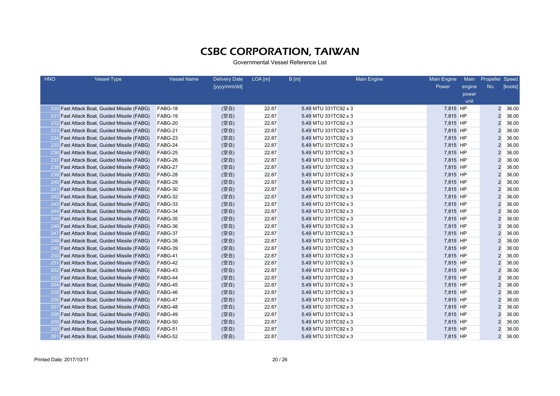| <b>HNO</b> | <b>Vessel Type</b>                             | <b>Vessel Name</b> | <b>Delivery Date</b> | LOA [m] | B[m]                 | <b>Main Engine</b> | Main Engine | Main   | Propeller Speed |         |
|------------|------------------------------------------------|--------------------|----------------------|---------|----------------------|--------------------|-------------|--------|-----------------|---------|
|            |                                                |                    | [yyyy/mm/dd]         |         |                      |                    | Power       | engine | No.             | [knots] |
|            |                                                |                    |                      |         |                      |                    |             | power  |                 |         |
|            |                                                |                    |                      |         |                      |                    |             | unit   |                 |         |
|            | 230 Fast Attack Boat, Guided Missile (FABG)    | FABG-18            | (空白)                 | 22.87   | 5.49 MTU 331TC92 x 3 |                    | 7,815 HP    |        | $\overline{2}$  | 36.00   |
| 231        | <b>Fast Attack Boat, Guided Missile (FABG)</b> | FABG-19            | (空白)                 | 22.87   | 5.49 MTU 331TC92 x 3 |                    | 7,815 HP    |        | $\overline{2}$  | 36.00   |
|            | 232 Fast Attack Boat, Guided Missile (FABG)    | FABG-20            | (空白)                 | 22.87   | 5.49 MTU 331TC92 x 3 |                    | 7,815 HP    |        | $\overline{2}$  | 36.00   |
|            | 233 Fast Attack Boat, Guided Missile (FABG)    | FABG-21            | (空白)                 | 22.87   | 5.49 MTU 331TC92 x 3 |                    | 7,815 HP    |        | $\overline{2}$  | 36.00   |
|            | 234 Fast Attack Boat, Guided Missile (FABG)    | FABG-23            | (空白)                 | 22.87   | 5.49 MTU 331TC92 x 3 |                    | 7,815 HP    |        | $\overline{2}$  | 36.00   |
|            | 235 Fast Attack Boat, Guided Missile (FABG)    | FABG-24            | (空白)                 | 22.87   | 5.49 MTU 331TC92 x 3 |                    | 7,815 HP    |        | $\overline{2}$  | 36.00   |
|            | 236 Fast Attack Boat, Guided Missile (FABG)    | FABG-25            | (空白)                 | 22.87   | 5.49 MTU 331TC92 x 3 |                    | 7,815 HP    |        | $\overline{2}$  | 36.00   |
|            | 237 Fast Attack Boat, Guided Missile (FABG)    | FABG-26            | (空白)                 | 22.87   | 5.49 MTU 331TC92 x 3 |                    | 7,815 HP    |        | $\overline{2}$  | 36.00   |
|            | 238 Fast Attack Boat, Guided Missile (FABG)    | FABG-27            | (空白)                 | 22.87   | 5.49 MTU 331TC92 x 3 |                    | 7,815 HP    |        | 2               | 36.00   |
|            | 239 Fast Attack Boat, Guided Missile (FABG)    | FABG-28            | (空白)                 | 22.87   | 5.49 MTU 331TC92 x 3 |                    | 7,815 HP    |        | 2               | 36.00   |
|            | 240 Fast Attack Boat, Guided Missile (FABG)    | FABG-29            | (空白)                 | 22.87   | 5.49 MTU 331TC92 x 3 |                    | 7,815 HP    |        | $\overline{2}$  | 36.00   |
| 241        | <b>Fast Attack Boat, Guided Missile (FABG)</b> | FABG-30            | (空白)                 | 22.87   | 5.49 MTU 331TC92 x 3 |                    | 7,815 HP    |        | 2               | 36.00   |
| 242        | <b>Fast Attack Boat, Guided Missile (FABG)</b> | FABG-32            | (空白)                 | 22.87   | 5.49 MTU 331TC92 x 3 |                    | 7,815 HP    |        | 2               | 36.00   |
| -243       | <b>Fast Attack Boat, Guided Missile (FABG)</b> | FABG-33            | (空白)                 | 22.87   | 5.49 MTU 331TC92 x 3 |                    | 7,815 HP    |        | $\overline{2}$  | 36.00   |
| 244        | Fast Attack Boat, Guided Missile (FABG)        | FABG-34            | (空白)                 | 22.87   | 5.49 MTU 331TC92 x 3 |                    | 7,815 HP    |        | $\overline{c}$  | 36.00   |
| -245       | Fast Attack Boat, Guided Missile (FABG)        | FABG-35            | (空白)                 | 22.87   | 5.49 MTU 331TC92 x 3 |                    | 7,815 HP    |        | $\overline{2}$  | 36.00   |
|            | 246 Fast Attack Boat, Guided Missile (FABG)    | FABG-36            | (空白)                 | 22.87   | 5.49 MTU 331TC92 x 3 |                    | 7,815 HP    |        | 2               | 36.00   |
|            | 247 Fast Attack Boat, Guided Missile (FABG)    | FABG-37            | (空白)                 | 22.87   | 5.49 MTU 331TC92 x 3 |                    | 7,815 HP    |        | 2               | 36.00   |
|            | 248 Fast Attack Boat, Guided Missile (FABG)    | FABG-38            | (空白)                 | 22.87   | 5.49 MTU 331TC92 x 3 |                    | 7,815 HP    |        | $\overline{2}$  | 36.00   |
|            | 249 Fast Attack Boat, Guided Missile (FABG)    | FABG-39            | (空白)                 | 22.87   | 5.49 MTU 331TC92 x 3 |                    | 7,815 HP    |        | $\overline{2}$  | 36.00   |
|            | 250 Fast Attack Boat, Guided Missile (FABG)    | FABG-41            | (空白)                 | 22.87   | 5.49 MTU 331TC92 x 3 |                    | 7,815 HP    |        | $\overline{2}$  | 36.00   |
| 251        | Fast Attack Boat, Guided Missile (FABG)        | FABG-42            | (空白)                 | 22.87   | 5.49 MTU 331TC92 x 3 |                    | 7,815 HP    |        | $\overline{2}$  | 36.00   |
|            | 252 Fast Attack Boat, Guided Missile (FABG)    | FABG-43            | (空白)                 | 22.87   | 5.49 MTU 331TC92 x 3 |                    | 7,815 HP    |        | $\overline{2}$  | 36.00   |
|            | 253 Fast Attack Boat, Guided Missile (FABG)    | FABG-44            | (空白)                 | 22.87   | 5.49 MTU 331TC92 x 3 |                    | 7,815 HP    |        | $\overline{2}$  | 36.00   |
| -254       | Fast Attack Boat, Guided Missile (FABG)        | FABG-45            | (空白)                 | 22.87   | 5.49 MTU 331TC92 x 3 |                    | 7,815 HP    |        | $\overline{2}$  | 36.00   |
|            | 255 Fast Attack Boat, Guided Missile (FABG)    | FABG-46            | (空白)                 | 22.87   | 5.49 MTU 331TC92 x 3 |                    | 7,815 HP    |        | 2               | 36.00   |
|            | 256 Fast Attack Boat, Guided Missile (FABG)    | FABG-47            | (空白)                 | 22.87   | 5.49 MTU 331TC92 x 3 |                    | 7,815 HP    |        | $\overline{2}$  | 36.00   |
|            | 257 Fast Attack Boat, Guided Missile (FABG)    | FABG-48            | (空白)                 | 22.87   | 5.49 MTU 331TC92 x 3 |                    | 7,815 HP    |        | $\overline{2}$  | 36.00   |
|            | 258 Fast Attack Boat, Guided Missile (FABG)    | FABG-49            | (空白)                 | 22.87   | 5.49 MTU 331TC92 x 3 |                    | 7,815 HP    |        | $\overline{2}$  | 36.00   |
|            | 259 Fast Attack Boat, Guided Missile (FABG)    | FABG-50            | (空白)                 | 22.87   | 5.49 MTU 331TC92 x 3 |                    | 7,815 HP    |        | 2               | 36.00   |
|            | 260 Fast Attack Boat, Guided Missile (FABG)    | FABG-51            | (空白)                 | 22.87   | 5.49 MTU 331TC92 x 3 |                    | 7,815 HP    |        | 2               | 36.00   |
|            | 261 Fast Attack Boat, Guided Missile (FABG)    | FABG-52            | (空白)                 | 22.87   | 5.49 MTU 331TC92 x 3 |                    | 7,815 HP    |        | $\overline{c}$  | 36.00   |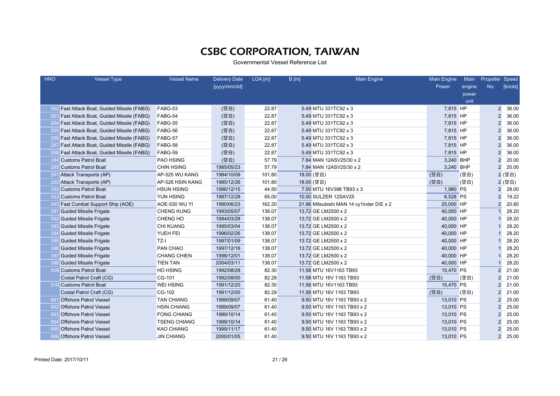| <b>HNO</b> | <b>Vessel Type</b>                          | <b>Vessel Name</b>   | <b>Delivery Date</b> | LOA [m] | B[m]                 | <b>Main Engine</b>                       | Main Engine | Main   | Propeller Speed |         |
|------------|---------------------------------------------|----------------------|----------------------|---------|----------------------|------------------------------------------|-------------|--------|-----------------|---------|
|            |                                             |                      | [yyyy/mm/dd]         |         |                      |                                          | Power       | engine | No.             | [knots] |
|            |                                             |                      |                      |         |                      |                                          |             | power  |                 |         |
|            |                                             |                      |                      |         |                      |                                          |             | unit   |                 |         |
|            | 262 Fast Attack Boat, Guided Missile (FABG) | FABG-53              | (空白)                 | 22.87   | 5.49 MTU 331TC92 x 3 |                                          | 7,815 HP    |        |                 | 2 36.00 |
|            | 263 Fast Attack Boat, Guided Missile (FABG) | FABG-54              | (空白)                 | 22.87   | 5.49 MTU 331TC92 x 3 |                                          | 7,815 HP    |        | $\overline{2}$  | 36.00   |
|            | 264 Fast Attack Boat, Guided Missile (FABG) | FABG-55              | (空白)                 | 22.87   | 5.49 MTU 331TC92 x 3 |                                          | 7,815 HP    |        | $\overline{2}$  | 36.00   |
|            | 265 Fast Attack Boat, Guided Missile (FABG) | FABG-56              | (空白)                 | 22.87   | 5.49 MTU 331TC92 x 3 |                                          | 7,815 HP    |        | $\overline{2}$  | 36.00   |
|            | 266 Fast Attack Boat, Guided Missile (FABG) | FABG-57              | (空白)                 | 22.87   | 5.49 MTU 331TC92 x 3 |                                          | 7,815 HP    |        | $\overline{2}$  | 36.00   |
|            | 267 Fast Attack Boat, Guided Missile (FABG) | FABG-58              | (空白)                 | 22.87   | 5.49 MTU 331TC92 x 3 |                                          | 7,815 HP    |        | $\overline{2}$  | 36.00   |
| 268        | Fast Attack Boat, Guided Missile (FABG)     | FABG-59              | (空白)                 | 22.87   | 5.49 MTU 331TC92 x 3 |                                          | 7,815 HP    |        | $\overline{2}$  | 36.00   |
| 284        | <b>Customs Patrol Boat</b>                  | <b>PAO HSING</b>     | (空白)                 | 57.79   |                      | 7.84 MAN 12ASV25/30 x 2                  | 3,240 BHP   |        | $\overline{2}$  | 20.00   |
| 285        | <b>Customs Patrol Boat</b>                  | <b>CHIN HSING</b>    | 1985/05/23           | 57.79   |                      | 7.84 MAN 12ASV25/30 x 2                  | 3,240 BHP   |        | $\overline{2}$  | 20.00   |
|            | 291 Attack Transports (AP)                  | AP-525 WU KANG       | 1984/10/09           | 101.80  | 18.00 (空白)           |                                          | (空白)        | (空白)   |                 | 2 (空白)  |
|            | 292 Attack Transports (AP)                  | AP-526 HSIN KANG     | 1985/12/26           | 101.80  | 18.00 (空白)           |                                          | (空白)        | (空白)   |                 | 2 (空白)  |
|            | 332 Customs Patrol Boat                     | <b>HSUN HSING</b>    | 1986/12/15           | 44.50   |                      | 7.50 MTU 16V396 TB93 x 3                 | 1,980 PS    |        | $\overline{2}$  | 28.00   |
| 333        | <b>Customs Patrol Boat</b>                  | YUN HSING            | 1987/12/28           | 65.00   | 10.00 SULZER 12SAV25 |                                          | 6,528 PS    |        | $\overline{2}$  | 19.22   |
| 343        | Fast Combat Support Ship (AOE)              | <b>AOE-530 WU YI</b> | 1990/06/23           | 162.20  |                      | 21.96 Mitsubishi MAN 14 cy1inder D/E x 2 | 25,000 HP   |        | $\overline{2}$  | 20.80   |
| 391        | <b>Guided Missile Frigate</b>               | <b>CHENG KUNG</b>    | 1993/05/07           | 138.07  | 13.72 GE LM2500 x 2  |                                          | 40,000 HP   |        |                 | 28.20   |
| 392        | <b>Guided Missile Frigate</b>               | CHENG HO             | 1994/03/28           | 138.07  | 13.72 GE LM2500 x 2  |                                          | 40,000 HP   |        |                 | 28.20   |
| 393        | <b>Guided Missile Frigate</b>               | <b>CHI KUANG</b>     | 1995/03/04           | 138.07  | 13.72 GE LM2500 x 2  |                                          | 40,000 HP   |        |                 | 28.20   |
| 394        | <b>Guided Missile Frigate</b>               | YUEH FEI             | 1996/02/26           | 138.07  | 13.72 GE LM2500 x 2  |                                          | 40,000 HP   |        |                 | 28.20   |
| 395        | <b>Guided Missile Frigate</b>               | $TZ-I$               | 1997/01/09           | 138.07  | 13.72 GE LM2500 x 2  |                                          | 40,000 HP   |        |                 | 28.20   |
| 396        | <b>Guided Missile Frigate</b>               | PAN CHAO             | 1997/12/16           | 138.07  | 13.72 GE LM2500 x 2  |                                          | 40,000 HP   |        |                 | 28.20   |
|            | 397 Guided Missile Frigate                  | <b>CHANG CHIEN</b>   | 1998/12/01           | 138.07  | 13.72 GE LM2500 x 2  |                                          | 40,000 HP   |        |                 | 28.20   |
| 398        | <b>Guided Missile Frigate</b>               | <b>TIEN TAN</b>      | 2004/03/11           | 138.07  | 13.72 GE LM2500 x 2  |                                          | 40,000 HP   |        |                 | 28.20   |
|            | 509 Customs Patrol Boat                     | <b>HO HSING</b>      | 1992/08/28           | 82.30   |                      | 11.58 MTU 16V1163 TB93                   | 15,470 PS   |        | $\overline{2}$  | 21.00   |
|            | Costal Patrol Craft (CG)                    | CG-101               | 1992/08/00           | 82.29   |                      | 11.58 MTU 16V 1163 TB93                  | (空白)        | (空白)   | $\overline{2}$  | 21.00   |
|            | 510 Customs Patrol Boat                     | <b>WEI HSING</b>     | 1991/12/20           | 82.30   |                      | 11.58 MTU 16V1163 TB93                   | 15,470 PS   |        | $\overline{2}$  | 21.00   |
|            | Costal Patrol Craft (CG)                    | CG-102               | 1991/12/00           | 82.29   |                      | 11.58 MTU 16V 1163 TB93                  | (空白)        | (空白)   | $\overline{2}$  | 21.00   |
|            | 691 Offshore Patrol Vessel                  | <b>TAN CHIANG</b>    | 1999/09/07           | 61.40   |                      | 9.50 MTU 16V 1163 TB93 x 2               | 13,010 PS   |        | $\overline{2}$  | 25.00   |
| 692        | <b>Offshore Patrol Vessel</b>               | <b>HSIN CHIANG</b>   | 1999/09/07           | 61.40   |                      | 9.50 MTU 16V 1163 TB93 x 2               | 13,010 PS   |        | $\overline{2}$  | 25.00   |
| 693        | <b>Offshore Patrol Vessel</b>               | <b>FONG CHIANG</b>   | 1999/10/14           | 61.40   |                      | 9.50 MTU 16V 1163 TB93 x 2               | 13,010 PS   |        | $\overline{2}$  | 25.00   |
| 694        | <b>Offshore Patrol Vessel</b>               | <b>TSENG CHIANG</b>  | 1999/10/14           | 61.40   |                      | 9.50 MTU 16V 1163 TB93 x 2               | 13,010 PS   |        | $\overline{2}$  | 25.00   |
| 695        | <b>Offshore Patrol Vessel</b>               | <b>KAO CHIANG</b>    | 1999/11/17           | 61.40   |                      | 9.50 MTU 16V 1163 TB93 x 2               | 13,010 PS   |        | $\overline{2}$  | 25.00   |
|            | 696 Offshore Patrol Vessel                  | <b>JIN CHIANG</b>    | 2000/01/05           | 61.40   |                      | 9.50 MTU 16V 1163 TB93 x 2               | 13,010 PS   |        | $\overline{2}$  | 25.00   |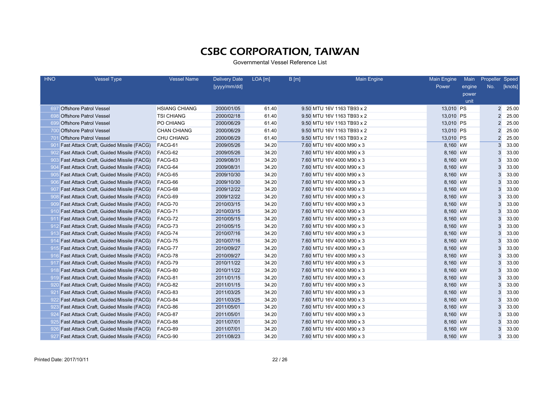| <b>HNO</b> | <b>Vessel Type</b>                              | <b>Vessel Name</b>   | <b>Delivery Date</b> | LOA [m] | B[m] | <b>Main Engine</b>         | Main Engine | Main   | Propeller Speed |         |
|------------|-------------------------------------------------|----------------------|----------------------|---------|------|----------------------------|-------------|--------|-----------------|---------|
|            |                                                 |                      | [yyyy/mm/dd]         |         |      |                            | Power       | engine | No.             | [knots] |
|            |                                                 |                      |                      |         |      |                            |             | power  |                 |         |
|            |                                                 |                      |                      |         |      |                            |             | unit   |                 |         |
|            | 697 Offshore Patrol Vessel                      | <b>HSIANG CHIANG</b> | 2000/01/05           | 61.40   |      | 9.50 MTU 16V 1163 TB93 x 2 | 13,010 PS   |        |                 | 2 25.00 |
| 698        | <b>Offshore Patrol Vessel</b>                   | <b>TSI CHIANG</b>    | 2000/02/18           | 61.40   |      | 9.50 MTU 16V 1163 TB93 x 2 | 13,010 PS   |        | $\overline{2}$  | 25.00   |
| 699        | <b>Offshore Patrol Vessel</b>                   | PO CHIANG            | 2000/06/29           | 61.40   |      | 9.50 MTU 16V 1163 TB93 x 2 | 13,010 PS   |        | $\overline{2}$  | 25.00   |
| 700        | <b>Offshore Patrol Vessel</b>                   | <b>CHAN CHIANG</b>   | 2000/06/29           | 61.40   |      | 9.50 MTU 16V 1163 TB93 x 2 | 13,010 PS   |        | $\overline{2}$  | 25.00   |
| 70         | <b>Offshore Patrol Vessel</b>                   | <b>CHU CHIANG</b>    | 2000/06/29           | 61.40   |      | 9.50 MTU 16V 1163 TB93 x 2 | 13,010 PS   |        | $\overline{2}$  | 25.00   |
| 901        | Fast Attack Craft, Guided Missile (FACG)        | FACG-61              | 2009/05/26           | 34.20   |      | 7.60 MTU 16V 4000 M90 x 3  | 8,160 kW    |        | 3               | 33.00   |
| 902        | <b>Fast Attack Craft, Guided Missile (FACG)</b> | FACG-62              | 2009/05/26           | 34.20   |      | 7.60 MTU 16V 4000 M90 x 3  | 8,160 kW    |        | 3               | 33.00   |
|            | 903 Fast Attack Craft, Guided Missile (FACG)    | FACG-63              | 2009/08/31           | 34.20   |      | 7.60 MTU 16V 4000 M90 x 3  | 8,160 kW    |        | 3               | 33.00   |
| 904        | <b>Fast Attack Craft, Guided Missile (FACG)</b> | FACG-64              | 2009/08/31           | 34.20   |      | 7.60 MTU 16V 4000 M90 x 3  | 8,160 kW    |        | 3               | 33.00   |
|            | 905 Fast Attack Craft, Guided Missile (FACG)    | FACG-65              | 2009/10/30           | 34.20   |      | 7.60 MTU 16V 4000 M90 x 3  | 8,160 kW    |        | 3               | 33.00   |
|            | 906 Fast Attack Craft, Guided Missile (FACG)    | FACG-66              | 2009/10/30           | 34.20   |      | 7.60 MTU 16V 4000 M90 x 3  | 8,160 kW    |        | 3               | 33.00   |
| 907        | Fast Attack Craft, Guided Missile (FACG)        | FACG-68              | 2009/12/22           | 34.20   |      | 7.60 MTU 16V 4000 M90 x 3  | 8,160 kW    |        | 3               | 33.00   |
| 908        | Fast Attack Craft, Guided Missile (FACG)        | FACG-69              | 2009/12/22           | 34.20   |      | 7.60 MTU 16V 4000 M90 x 3  | 8,160 kW    |        | 3               | 33.00   |
| 909        | Fast Attack Craft, Guided Missile (FACG)        | FACG-70              | 2010/03/15           | 34.20   |      | 7.60 MTU 16V 4000 M90 x 3  | 8,160 kW    |        | 3               | 33.00   |
| -910       | Fast Attack Craft, Guided Missile (FACG)        | FACG-71              | 2010/03/15           | 34.20   |      | 7.60 MTU 16V 4000 M90 x 3  | 8,160 kW    |        | 3               | 33.00   |
| 91'        | Fast Attack Craft, Guided Missile (FACG)        | FACG-72              | 2010/05/15           | 34.20   |      | 7.60 MTU 16V 4000 M90 x 3  | 8,160 kW    |        | 3               | 33.00   |
| 912        | <b>Fast Attack Craft, Guided Missile (FACG)</b> | FACG-73              | 2010/05/15           | 34.20   |      | 7.60 MTU 16V 4000 M90 x 3  | 8,160 kW    |        | 3               | 33.00   |
| 913        | Fast Attack Craft, Guided Missile (FACG)        | FACG-74              | 2010/07/16           | 34.20   |      | 7.60 MTU 16V 4000 M90 x 3  | 8,160 kW    |        | 3               | 33.00   |
| 914        | Fast Attack Craft, Guided Missile (FACG)        | FACG-75              | 2010/07/16           | 34.20   |      | 7.60 MTU 16V 4000 M90 x 3  | 8,160 kW    |        | 3               | 33.00   |
|            | 915 Fast Attack Craft, Guided Missile (FACG)    | FACG-77              | 2010/09/27           | 34.20   |      | 7.60 MTU 16V 4000 M90 x 3  | 8,160 kW    |        | 3               | 33.00   |
| 916        | Fast Attack Craft, Guided Missile (FACG)        | FACG-78              | 2010/09/27           | 34.20   |      | 7.60 MTU 16V 4000 M90 x 3  | 8,160 kW    |        | 3               | 33.00   |
| 917        | <b>Fast Attack Craft, Guided Missile (FACG)</b> | FACG-79              | 2010/11/22           | 34.20   |      | 7.60 MTU 16V 4000 M90 x 3  | 8,160 kW    |        | 3               | 33.00   |
| 918        | Fast Attack Craft, Guided Missile (FACG)        | FACG-80              | 2010/11/22           | 34.20   |      | 7.60 MTU 16V 4000 M90 x 3  | 8,160 kW    |        | 3               | 33.00   |
| 919        | Fast Attack Craft, Guided Missile (FACG)        | FACG-81              | 2011/01/15           | 34.20   |      | 7.60 MTU 16V 4000 M90 x 3  | 8,160 kW    |        | 3               | 33.00   |
| -920       | <b>Fast Attack Craft, Guided Missile (FACG)</b> | FACG-82              | 2011/01/15           | 34.20   |      | 7.60 MTU 16V 4000 M90 x 3  | 8,160 kW    |        | 3               | 33.00   |
| 921        | Fast Attack Craft, Guided Missile (FACG)        | FACG-83              | 2011/03/25           | 34.20   |      | 7.60 MTU 16V 4000 M90 x 3  | 8,160 kW    |        | 3               | 33.00   |
| 922        | <b>Fast Attack Craft, Guided Missile (FACG)</b> | FACG-84              | 2011/03/25           | 34.20   |      | 7.60 MTU 16V 4000 M90 x 3  | 8,160 kW    |        | 3               | 33.00   |
|            | 923 Fast Attack Craft, Guided Missile (FACG)    | FACG-86              | 2011/05/01           | 34.20   |      | 7.60 MTU 16V 4000 M90 x 3  | 8,160 kW    |        | 3               | 33.00   |
| 924        | <b>Fast Attack Craft, Guided Missile (FACG)</b> | FACG-87              | 2011/05/01           | 34.20   |      | 7.60 MTU 16V 4000 M90 x 3  | 8,160 kW    |        | 3               | 33.00   |
|            | 925 Fast Attack Craft, Guided Missile (FACG)    | FACG-88              | 2011/07/01           | 34.20   |      | 7.60 MTU 16V 4000 M90 x 3  | 8,160 kW    |        | 3               | 33.00   |
| -926       | Fast Attack Craft, Guided Missile (FACG)        | FACG-89              | 2011/07/01           | 34.20   |      | 7.60 MTU 16V 4000 M90 x 3  | 8,160 kW    |        | 3               | 33.00   |
|            | 927 Fast Attack Craft, Guided Missile (FACG)    | FACG-90              | 2011/08/23           | 34.20   |      | 7.60 MTU 16V 4000 M90 x 3  | 8,160 kW    |        | 3               | 33.00   |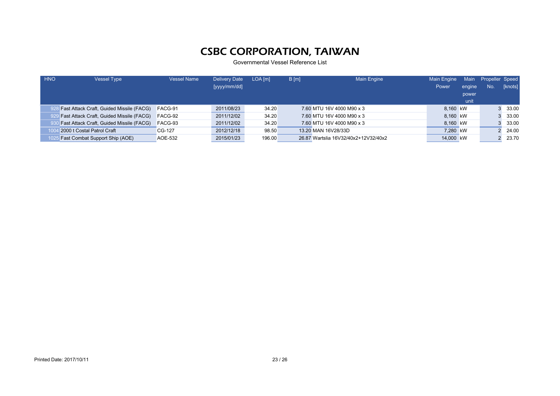| <b>HNO</b> | <b>Vessel Type</b>                           | <b>Vessel Name</b> | <b>Delivery Date</b> | $LOA$ [m] | B[m] | <b>Main Engine</b>                   | Main Engine | Main   | Propeller Speed |         |
|------------|----------------------------------------------|--------------------|----------------------|-----------|------|--------------------------------------|-------------|--------|-----------------|---------|
|            |                                              |                    | [yyyy/mm/dd]         |           |      |                                      | Power       | engine | No.             | [knots] |
|            |                                              |                    |                      |           |      |                                      |             | power  |                 |         |
|            |                                              |                    |                      |           |      |                                      |             | unit   |                 |         |
|            | 228 Fast Attack Craft, Guided Missile (FACG) | FACG-91            | 2011/08/23           | 34.20     |      | 7.60 MTU 16V 4000 M90 x 3            | 8.160 kW    |        |                 | 33.00   |
|            | 929 Fast Attack Craft, Guided Missile (FACG) | FACG-92            | 2011/12/02           | 34.20     |      | 7.60 MTU 16V 4000 M90 x 3            | 8.160 kW    |        |                 | 33.00   |
|            | Fast Attack Craft, Guided Missile (FACG)     | FACG-93            | 2011/12/02           | 34.20     |      | 7.60 MTU 16V 4000 M90 x 3            | 8.160 kW    |        |                 | 33.00   |
|            | 2000 t Costal Patrol Craft                   | CG-127             | 2012/12/18           | 98.50     |      | 13.20 MAN 16V28/33D                  | 7.280 kW    |        |                 | 24.00   |
|            | <b>Fast Combat Support Ship (AOE)</b>        | AOE-532            | 2015/01/23           | 196.00    |      | 26.87 Wartslia 16V32/40x2+12V32/40x2 | 14,000 kW   |        |                 | 23.70   |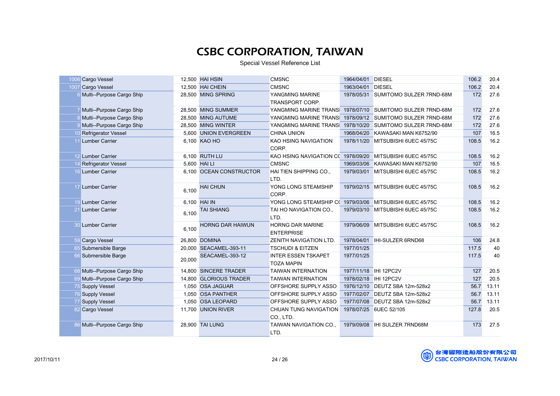Special Vessel Reference List

|    | 1006 Cargo Vessel            |        | 12,500 HAI HSIN         | <b>CMSNC</b>                                             | 1964/04/01 DIESEL |                                     | 106.2 | 20.4  |
|----|------------------------------|--------|-------------------------|----------------------------------------------------------|-------------------|-------------------------------------|-------|-------|
|    | 1007 Cargo Vessel            |        | 12.500 HAI CHEIN        | <b>CMSNC</b>                                             | 1963/04/01 DIESEL |                                     | 106.2 | 20.4  |
|    | 6 Multi--Purpose Cargo Ship  |        | 28,500 MING SPRING      | YANGMING MARINE                                          |                   | 1978/05/31 SUMITOMO SULZER 7RND-68M | 172   | 27.6  |
|    |                              |        |                         | TRANSPORT CORP.                                          |                   |                                     |       |       |
|    | Multi--Purpose Cargo Ship    |        | 28,500 MING SUMMER      | YANGMING MARINE TRANS                                    |                   | 1978/07/10 SUMITOMO SULZER 7RND-68M | 172   | 27.6  |
|    | 8 Multi--Purpose Cargo Ship  |        | 28,500 MING AUTUME      | YANGMING MARINE TRANS                                    |                   | 1978/09/12 SUMITOMO SULZER 7RND-68M | 172   | 27.6  |
|    | 9 Multi--Purpose Cargo Ship  |        | 28.500 MING WINTER      | YANGMING MARINE TRANS                                    | 1978/10/20        | SUMITOMO SULZER 7RND-68M            | 172   | 27.6  |
|    | 10 Refrigerator Vessel       | 5.600  | <b>UNION EVERGREEN</b>  | <b>CHINA UNION</b>                                       |                   | 1968/04/20 KAWASAKI MAN K6752/90    | 107   | 16.5  |
|    | <b>Lumber Carrier</b>        |        | 6,100 KAO HO            | KAO HSING NAVIGATION<br>CORP.                            |                   | 1978/11/20 MITSUBISHI 6UEC 45/75C   | 108.5 | 16.2  |
|    | 12 Lumber Carrier            |        | 6.100 RUTH LU           | KAO HSING NAVIGATION C(1978/09/20 MITSUBISHI 6UEC 45/75C |                   |                                     | 108.5 | 16.2  |
|    | <b>Refrigerator Vessel</b>   |        | 5.600 HAI LI            | <b>CMSNC</b>                                             | 1969/03/06        | KAWASAKI MAN K6752/90               | 107   | 16.5  |
|    | 16 Lumber Carrier            |        | 6,100 OCEAN CONSTRUCTOR | HAI TIEN SHIPPING CO.,                                   |                   | 1979/03/01 MITSUBISHI 6UEC 45/75C   | 108.5 | 16.2  |
|    |                              |        |                         | LTD.                                                     |                   |                                     |       |       |
|    | 17 Lumber Carrier            | 6,100  | <b>HAI CHUN</b>         | YONG LONG STEAMSHIP                                      |                   | 1979/02/15 MITSUBISHI 6UEC 45/75C   | 108.5 | 16.2  |
|    |                              |        |                         | CORP.                                                    |                   |                                     |       |       |
|    | 19 Lumber Carrier            |        | 6,100 HAI IN            | YONG LONG STEAMSHIP C( 1979/03/06                        |                   | MITSUBISHI 6UEC 45/75C              | 108.5 | 16.2  |
|    | 21 Lumber Carrier            | 6,100  | <b>TAI SHIANG</b>       | TAI HO NAVIGATION CO.,<br>LTD.                           |                   | 1979/03/10 MITSUBISHI 6UEC 45/75C   | 108.5 | 16.2  |
|    | 30 Lumber Carrier            | 6.100  | <b>HORNG DAR HAIWUN</b> | <b>HORNG DAR MARINE</b><br><b>ENTERPRISE</b>             |                   | 1979/06/09 MITSUBISHI 6UEC 45/75C   | 108.5 | 16.2  |
|    | 59 Cargo Vessel              |        | 26,800 DOMINA           | ZENITH NAVIGATION LTD.                                   |                   | 1978/04/01 IHI-SULZER 6RND68        | 106   | 24.8  |
|    | 65 Submersible Barge         |        | 20,000 SEACAMEL-393-11  | <b>TSCHUDI &amp; EITZEN</b>                              | 1977/01/25        |                                     | 117.5 | 40    |
|    | 66 Submersible Barge         | 20,000 | SEACAMEL-393-12         | <b>INTER ESSEN TSKAPET</b><br><b>TOZA MAPIN</b>          | 1977/01/25        |                                     | 117.5 | 40    |
|    | 68 Multi--Purpose Cargo Ship |        | 14.800 SINCERE TRADER   | <b>TAIWAN INTERNATION</b>                                |                   | 1977/11/18 IHI 12PC2V               | 127   | 20.5  |
|    | 69 Multi--Purpose Cargo Ship |        | 14,800 GLORIOUS TRADER  | <b>TAIWAN INTERNATION</b>                                |                   | 1978/02/18 IHI 12PC2V               | 127   | 20.5  |
|    | 75 Supply Vessel             |        | 1,050 OSA JAGUAR        | OFFSHORE SUPPLY ASSO                                     |                   | 1976/12/10 DEUTZ SBA 12m-528x2      | 56.7  | 13.11 |
|    | 76 Supply Vessel             |        | 1,050 OSA PANTHER       | OFFSHORE SUPPLY ASSO                                     |                   | 1977/02/07 DEUTZ SBA 12m-528x2      | 56.7  | 13.11 |
|    | 77 Supply Vessel             |        | 1,050 OSA LEOPARD       | OFFSHORE SUPPLY ASSO                                     |                   | 1977/07/08 DEUTZ SBA 12m-528x2      | 56.7  | 13.11 |
| 82 | Cargo Vessel                 |        | 11,700 UNION RIVER      | <b>CHUAN TUNG NAVIGATION</b>                             |                   | 1978/07/25 6UEC 52/105              | 127.8 | 20.5  |
|    |                              |        |                         | CO., LTD.                                                |                   |                                     |       |       |
|    | 86 Multi--Purpose Cargo Ship |        | 28,900 TAI LUNG         | TAIWAN NAVIGATION CO.,                                   |                   |                                     | 173   | 27.5  |
|    |                              |        |                         | LTD.                                                     |                   |                                     |       |       |

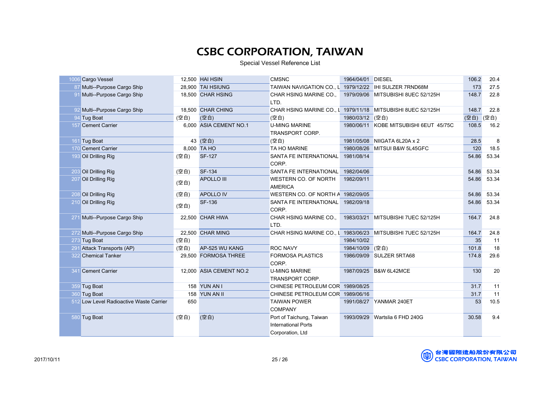Special Vessel Reference List

|     | 1006 Cargo Vessel                       |      | 12,500 HAI HSIN         | <b>CMSNC</b>                                                | 1964/04/01 DIESEL |                                        | 106.2 | 20.4  |
|-----|-----------------------------------------|------|-------------------------|-------------------------------------------------------------|-------------------|----------------------------------------|-------|-------|
|     | 87 Multi--Purpose Cargo Ship            |      | 28.900 TAI HSIUNG       | TAIWAN NAVIGATION CO., L 1979/12/22 IHI SULZER 7RND68M      |                   |                                        | 173   | 27.5  |
|     | 91 Multi--Purpose Cargo Ship            |      | 18,500 CHAR HSING       | CHAR HSING MARINE CO.,                                      |                   | 1979/09/06 MITSUBISHI 8UEC 52/125H     | 148.7 | 22.8  |
|     |                                         |      |                         | LTD.                                                        |                   |                                        |       |       |
|     | 92 Multi--Purpose Cargo Ship            |      | 18,500 CHAR CHING       | CHAR HSING MARINE CO., L 1979/11/18 MITSUBISHI 8UEC 52/125H |                   |                                        | 148.7 | 22.8  |
|     | 94 Tug Boat                             | (空白) | (空白)                    | (空白)                                                        | 1980/03/12 (空白)   |                                        | (空白)  | (空白)  |
|     | 157 Cement Carrier                      |      | 6.000 ASIA CEMENT NO.1  | <b>U-MING MARINE</b>                                        |                   | 1980/06/11 KOBE MITSUBISHI 6EUT 45/75C | 108.5 | 16.2  |
|     |                                         |      |                         | <b>TRANSPORT CORP.</b>                                      |                   |                                        |       |       |
|     | 161 Tug Boat                            |      | 43 (空白)                 | (空白)                                                        |                   | 1981/05/08 NIIGATA 6L20A x 2           | 28.5  | 8     |
|     | 170 Cement Carrier                      |      | 8.000 TA HO             | <b>TA HO MARINE</b>                                         | 1980/08/26        | MITSUI B&W 5L45GFC                     | 120   | 18.5  |
|     | 193 Oil Drilling Rig                    | (空白) | <b>SF-127</b>           | SANTA FE INTERNATIONAL                                      | 1981/08/14        |                                        | 54.86 | 53.34 |
|     |                                         |      |                         | CORP.                                                       |                   |                                        |       |       |
|     | 203 Oil Drilling Rig                    | (空白) | <b>SF-134</b>           | <b>SANTA FE INTERNATIONAL</b>                               | 1982/04/06        |                                        | 54.86 | 53.34 |
|     | 207 Oil Drilling Rig                    |      | <b>APOLLO III</b>       | WESTERN CO. OF NORTH                                        | 1982/09/11        |                                        | 54.86 | 53.34 |
|     |                                         | (空白) |                         | <b>AMERICA</b>                                              |                   |                                        |       |       |
|     | 208 Oil Drilling Rig                    | (空白) | <b>APOLLO IV</b>        | WESTERN CO. OF NORTH A 1982/09/05                           |                   |                                        | 54.86 | 53.34 |
|     | 210 Oil Drilling Rig                    |      | <b>SF-136</b>           | SANTA FE INTERNATIONAL                                      | 1982/09/18        |                                        | 54.86 | 53.34 |
|     |                                         | (空白) |                         | CORP.                                                       |                   |                                        |       |       |
|     | 271 Multi--Purpose Cargo Ship           |      | 22,500 CHAR HWA         | CHAR HSING MARINE CO.,                                      | 1983/03/21        | MITSUBISHI 7UEC 52/125H                | 164.7 | 24.8  |
|     |                                         |      |                         | LTD.                                                        |                   |                                        |       |       |
|     | 272 Multi--Purpose Cargo Ship           |      | 22.500 CHAR MING        | CHAR HSING MARINE CO., L 1983/06/23 MITSUBISHI 7UEC 52/125H |                   |                                        | 164.7 | 24.8  |
|     | 273 Tug Boat                            | (空白) |                         |                                                             | 1984/10/02        |                                        | 35    | 11    |
|     | 291 Attack Transports (AP)              | (空白) | AP-525 WU KANG          | <b>ROC NAVY</b>                                             | 1984/10/09        | (空白)                                   | 101.8 | 18    |
|     | 322 Chemical Tanker                     |      | 29,500 FORMOSA THREE    | <b>FORMOSA PLASTICS</b>                                     |                   | 1986/09/09 SULZER 5RTA68               | 174.8 | 29.6  |
|     |                                         |      |                         | CORP.                                                       |                   |                                        |       |       |
| 341 | <b>Cement Carrier</b>                   |      | 12,000 ASIA CEMENT NO.2 | <b>U-MING MARINE</b>                                        | 1987/09/25        | B&W 6L42MCE                            | 130   | 20    |
|     |                                         |      |                         | <b>TRANSPORT CORP.</b>                                      |                   |                                        |       |       |
|     | 359 Tug Boat                            |      | 158 YUN AN I            | CHINESE PETROLEUM COR 1989/08/25                            |                   |                                        | 31.7  | 11    |
|     | 360 Tug Boat                            |      | 158 YUN AN II           | CHINESE PETROLEUM COR 1989/06/16                            |                   |                                        | 31.7  | 11    |
|     | 512 Low Level Radioactive Waste Carrier | 650  |                         | <b>TAIWAN POWER</b>                                         |                   | 1991/08/27 YANMAR 240ET                | 53    | 10.5  |
|     |                                         |      |                         | <b>COMPANY</b>                                              |                   |                                        |       |       |
|     | 580 Tug Boat                            | (空白) | (空白)                    | Port of Taichung, Taiwan                                    |                   | 1993/09/29 Wartslia 6 FHD 240G         | 30.58 | 9.4   |
|     |                                         |      |                         | <b>International Ports</b>                                  |                   |                                        |       |       |
|     |                                         |      |                         |                                                             |                   |                                        |       |       |
|     |                                         |      |                         | Corporation, Ltd                                            |                   |                                        |       |       |